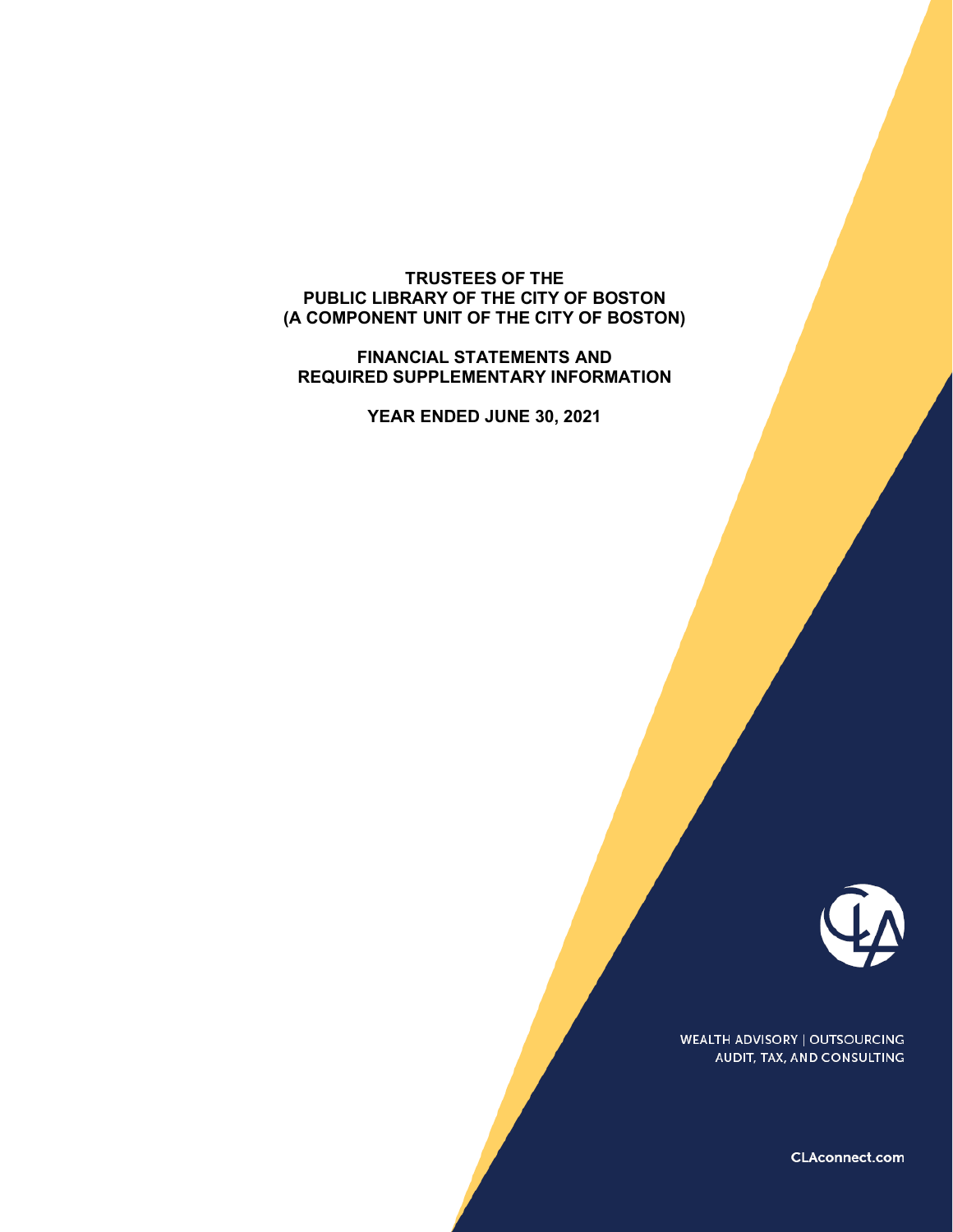### **TRUSTEES OF THE PUBLIC LIBRARY OF THE CITY OF BOSTON (A COMPONENT UNIT OF THE CITY OF BOSTON)**

#### **FINANCIAL STATEMENTS AND REQUIRED SUPPLEMENTARY INFORMATION**

**YEAR ENDED JUNE 30, 2021**



**WEALTH ADVISORY | OUTSOURCING** AUDIT, TAX, AND CONSULTING

CLAconnect.com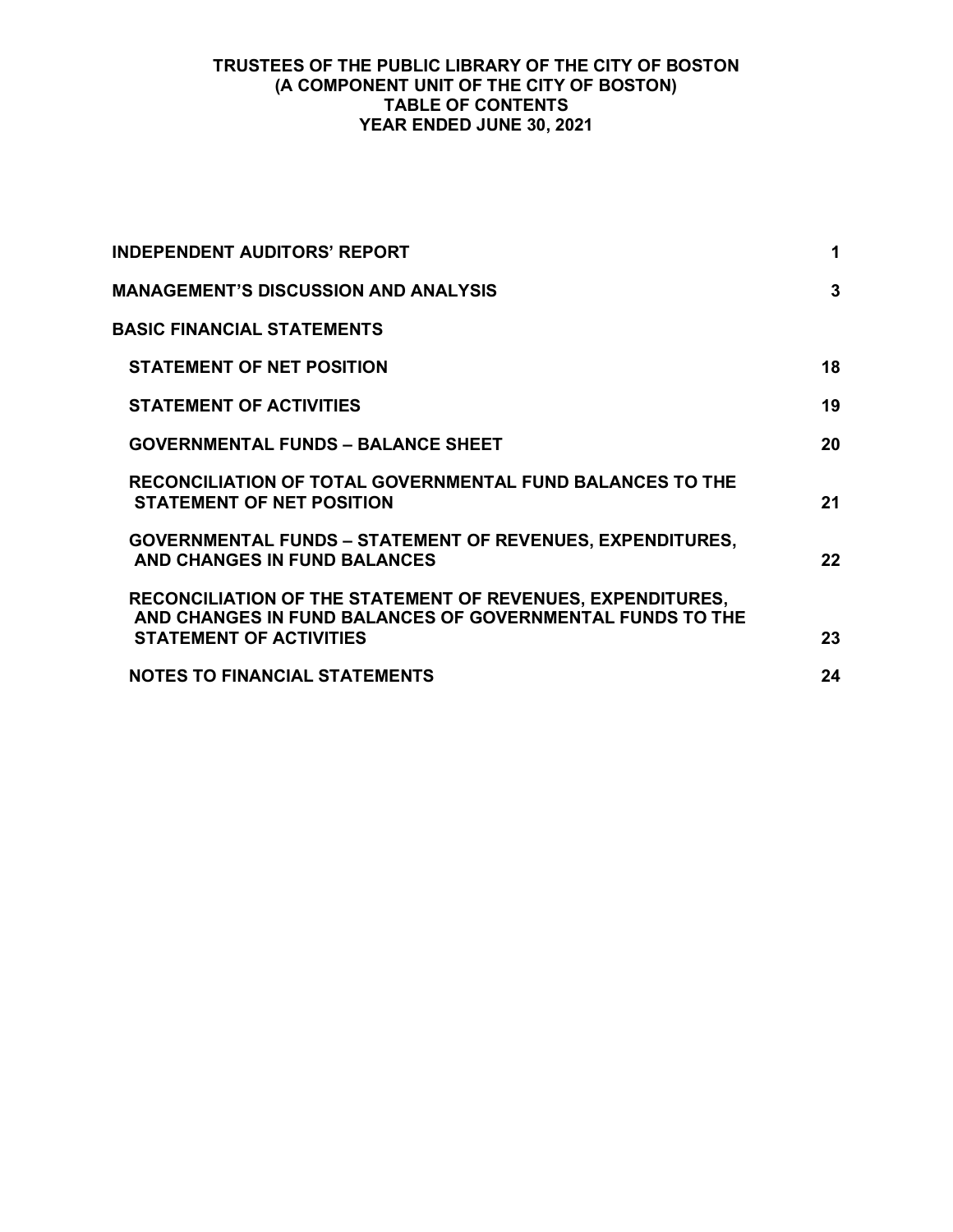## **TRUSTEES OF THE PUBLIC LIBRARY OF THE CITY OF BOSTON (A COMPONENT UNIT OF THE CITY OF BOSTON) TABLE OF CONTENTS YEAR ENDED JUNE 30, 2021**

| <b>INDEPENDENT AUDITORS' REPORT</b>                                                                                                                       | 1  |
|-----------------------------------------------------------------------------------------------------------------------------------------------------------|----|
| <b>MANAGEMENT'S DISCUSSION AND ANALYSIS</b>                                                                                                               | 3  |
| <b>BASIC FINANCIAL STATEMENTS</b>                                                                                                                         |    |
| <b>STATEMENT OF NET POSITION</b>                                                                                                                          | 18 |
| <b>STATEMENT OF ACTIVITIES</b>                                                                                                                            | 19 |
| <b>GOVERNMENTAL FUNDS - BALANCE SHEET</b>                                                                                                                 | 20 |
| RECONCILIATION OF TOTAL GOVERNMENTAL FUND BALANCES TO THE<br><b>STATEMENT OF NET POSITION</b>                                                             | 21 |
| <b>GOVERNMENTAL FUNDS - STATEMENT OF REVENUES, EXPENDITURES,</b><br>AND CHANGES IN FUND BALANCES                                                          | 22 |
| RECONCILIATION OF THE STATEMENT OF REVENUES, EXPENDITURES,<br>AND CHANGES IN FUND BALANCES OF GOVERNMENTAL FUNDS TO THE<br><b>STATEMENT OF ACTIVITIES</b> | 23 |
|                                                                                                                                                           |    |
| <b>NOTES TO FINANCIAL STATEMENTS</b>                                                                                                                      | 24 |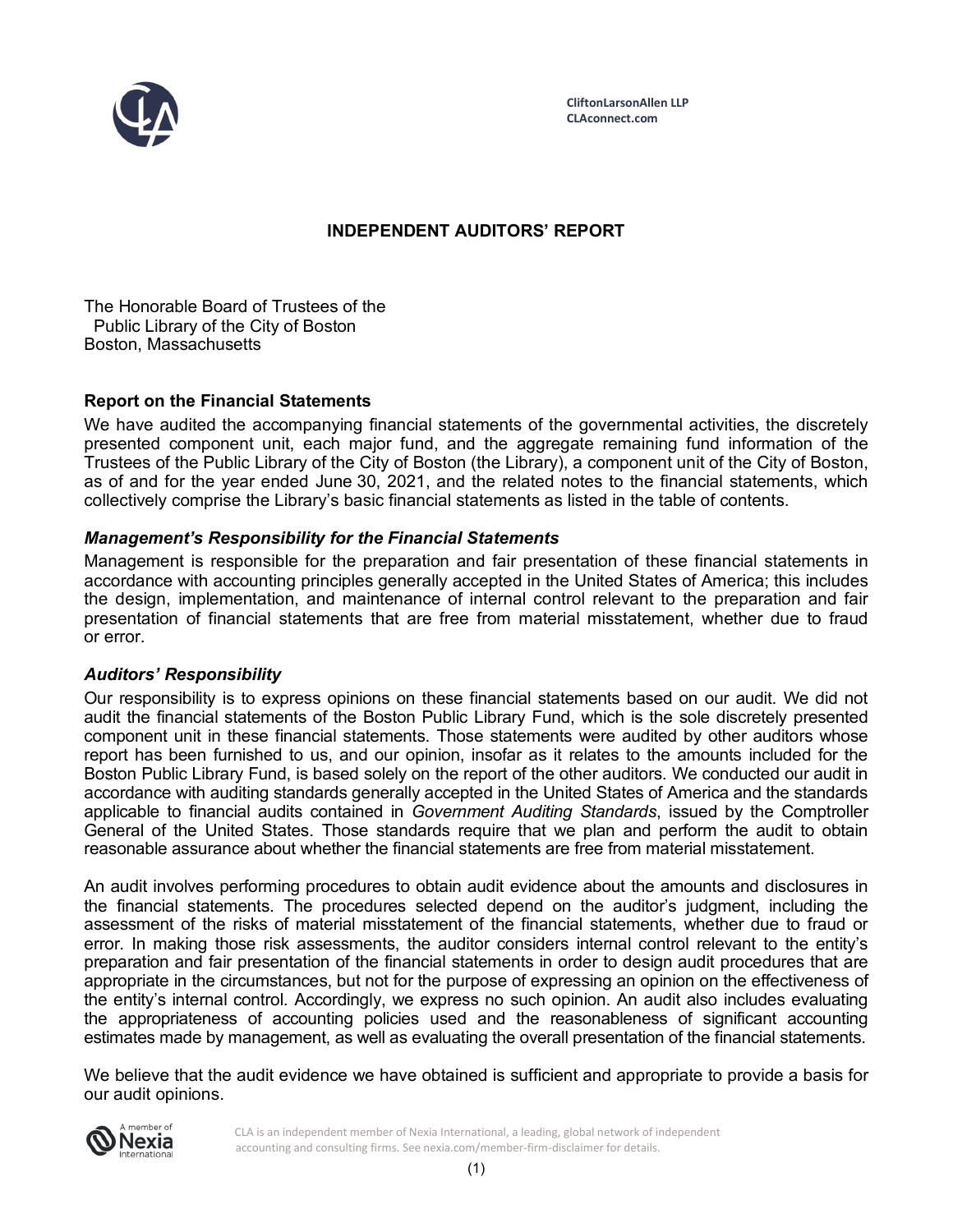

**CliftonLarsonAllen LLP CLAconnect.com**

# **INDEPENDENT AUDITORS' REPORT**

The Honorable Board of Trustees of the Public Library of the City of Boston Boston, Massachusetts

## **Report on the Financial Statements**

We have audited the accompanying financial statements of the governmental activities, the discretely presented component unit, each major fund, and the aggregate remaining fund information of the Trustees of the Public Library of the City of Boston (the Library), a component unit of the City of Boston, as of and for the year ended June 30, 2021, and the related notes to the financial statements, which collectively comprise the Library's basic financial statements as listed in the table of contents.

## *Management's Responsibility for the Financial Statements*

Management is responsible for the preparation and fair presentation of these financial statements in accordance with accounting principles generally accepted in the United States of America; this includes the design, implementation, and maintenance of internal control relevant to the preparation and fair presentation of financial statements that are free from material misstatement, whether due to fraud or error.

#### *Auditors' Responsibility*

Our responsibility is to express opinions on these financial statements based on our audit. We did not audit the financial statements of the Boston Public Library Fund, which is the sole discretely presented component unit in these financial statements. Those statements were audited by other auditors whose report has been furnished to us, and our opinion, insofar as it relates to the amounts included for the Boston Public Library Fund, is based solely on the report of the other auditors. We conducted our audit in accordance with auditing standards generally accepted in the United States of America and the standards applicable to financial audits contained in *Government Auditing Standards*, issued by the Comptroller General of the United States. Those standards require that we plan and perform the audit to obtain reasonable assurance about whether the financial statements are free from material misstatement.

An audit involves performing procedures to obtain audit evidence about the amounts and disclosures in the financial statements. The procedures selected depend on the auditor's judgment, including the assessment of the risks of material misstatement of the financial statements, whether due to fraud or error. In making those risk assessments, the auditor considers internal control relevant to the entity's preparation and fair presentation of the financial statements in order to design audit procedures that are appropriate in the circumstances, but not for the purpose of expressing an opinion on the effectiveness of the entity's internal control. Accordingly, we express no such opinion. An audit also includes evaluating the appropriateness of accounting policies used and the reasonableness of significant accounting estimates made by management, as well as evaluating the overall presentation of the financial statements.

We believe that the audit evidence we have obtained is sufficient and appropriate to provide a basis for our audit opinions.



CLA is an independent member of Nexia International, a leading, global network of independent accounting and consulting firms. See nexia.com/member-firm-disclaimer for details.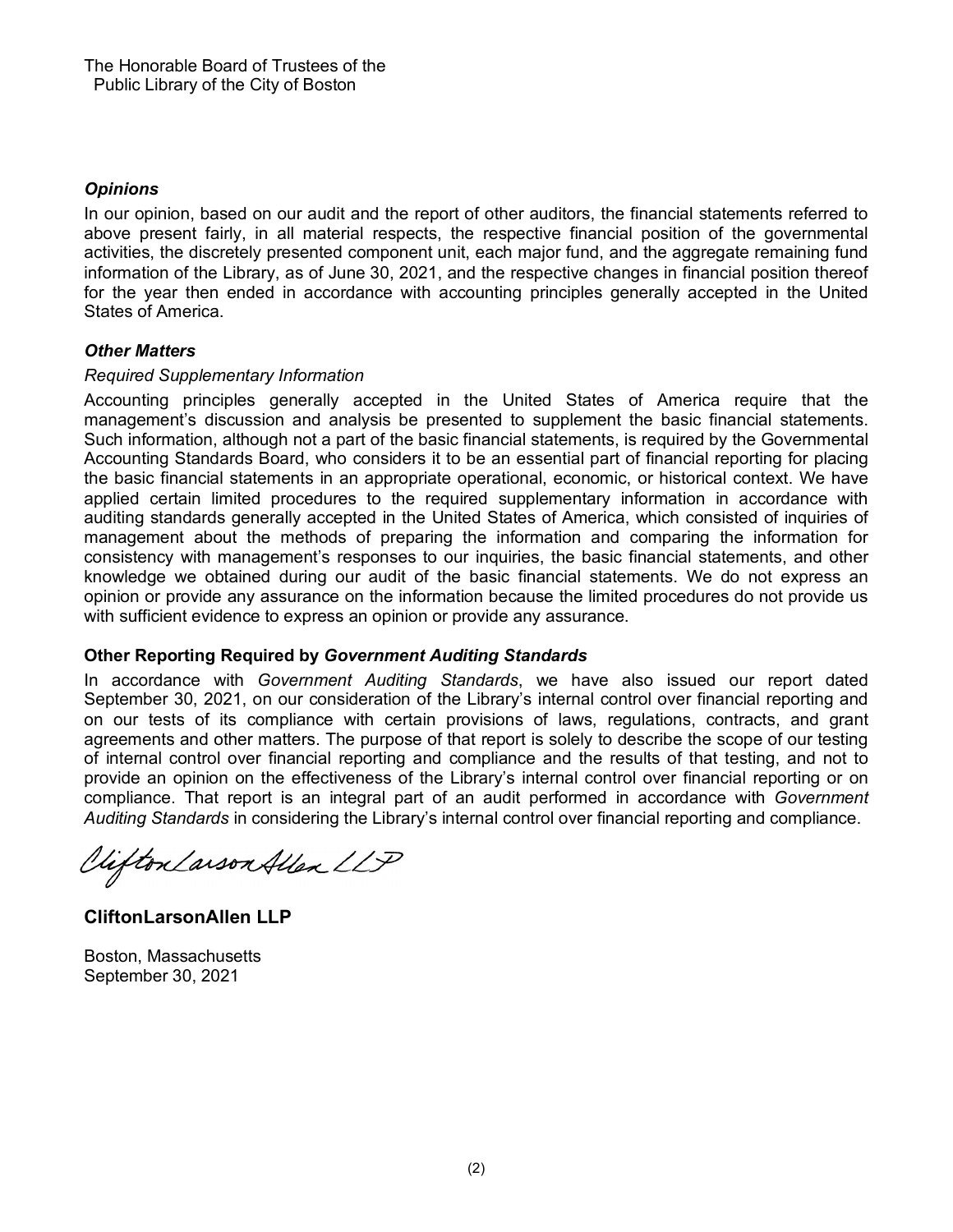## *Opinions*

In our opinion, based on our audit and the report of other auditors, the financial statements referred to above present fairly, in all material respects, the respective financial position of the governmental activities, the discretely presented component unit, each major fund, and the aggregate remaining fund information of the Library, as of June 30, 2021, and the respective changes in financial position thereof for the year then ended in accordance with accounting principles generally accepted in the United States of America.

# *Other Matters*

## *Required Supplementary Information*

Accounting principles generally accepted in the United States of America require that the management's discussion and analysis be presented to supplement the basic financial statements. Such information, although not a part of the basic financial statements, is required by the Governmental Accounting Standards Board, who considers it to be an essential part of financial reporting for placing the basic financial statements in an appropriate operational, economic, or historical context. We have applied certain limited procedures to the required supplementary information in accordance with auditing standards generally accepted in the United States of America, which consisted of inquiries of management about the methods of preparing the information and comparing the information for consistency with management's responses to our inquiries, the basic financial statements, and other knowledge we obtained during our audit of the basic financial statements. We do not express an opinion or provide any assurance on the information because the limited procedures do not provide us with sufficient evidence to express an opinion or provide any assurance.

## **Other Reporting Required by** *Government Auditing Standards*

In accordance with *Government Auditing Standards*, we have also issued our report dated September 30, 2021, on our consideration of the Library's internal control over financial reporting and on our tests of its compliance with certain provisions of laws, regulations, contracts, and grant agreements and other matters. The purpose of that report is solely to describe the scope of our testing of internal control over financial reporting and compliance and the results of that testing, and not to provide an opinion on the effectiveness of the Library's internal control over financial reporting or on compliance. That report is an integral part of an audit performed in accordance with *Government Auditing Standards* in considering the Library's internal control over financial reporting and compliance.

Viifton Larson Allen LLP

**CliftonLarsonAllen LLP**

Boston, Massachusetts September 30, 2021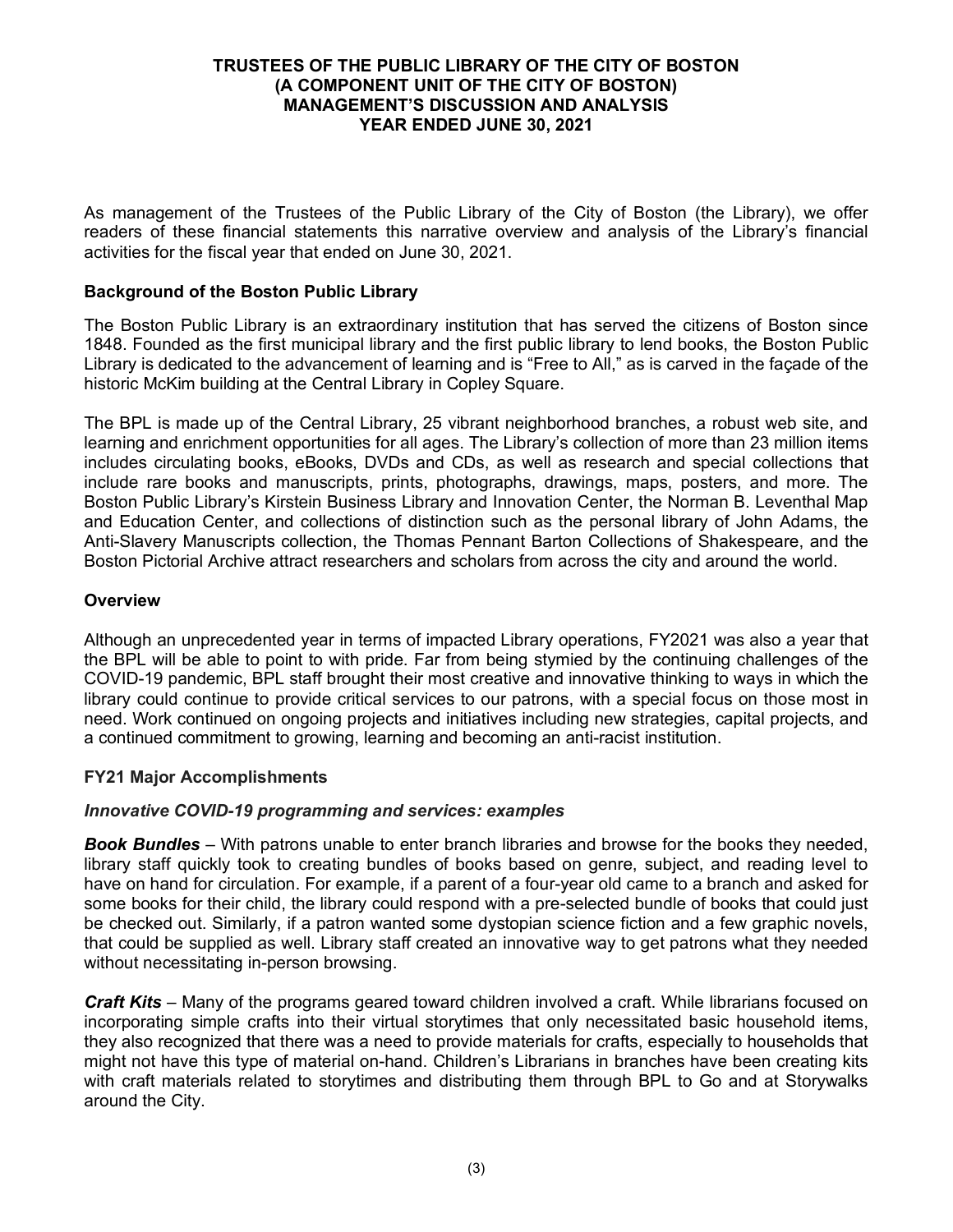As management of the Trustees of the Public Library of the City of Boston (the Library), we offer readers of these financial statements this narrative overview and analysis of the Library's financial activities for the fiscal year that ended on June 30, 2021.

## **Background of the Boston Public Library**

The Boston Public Library is an extraordinary institution that has served the citizens of Boston since 1848. Founded as the first municipal library and the first public library to lend books, the Boston Public Library is dedicated to the advancement of learning and is "Free to All," as is carved in the façade of the historic McKim building at the Central Library in Copley Square.

The BPL is made up of the Central Library, 25 vibrant neighborhood branches, a robust web site, and learning and enrichment opportunities for all ages. The Library's collection of more than 23 million items includes circulating books, eBooks, DVDs and CDs, as well as research and special collections that include rare books and manuscripts, prints, photographs, drawings, maps, posters, and more. The Boston Public Library's Kirstein Business Library and Innovation Center, the Norman B. Leventhal Map and Education Center, and collections of distinction such as the personal library of John Adams, the Anti-Slavery Manuscripts collection, the Thomas Pennant Barton Collections of Shakespeare, and the Boston Pictorial Archive attract researchers and scholars from across the city and around the world.

## **Overview**

Although an unprecedented year in terms of impacted Library operations, FY2021 was also a year that the BPL will be able to point to with pride. Far from being stymied by the continuing challenges of the COVID-19 pandemic, BPL staff brought their most creative and innovative thinking to ways in which the library could continue to provide critical services to our patrons, with a special focus on those most in need. Work continued on ongoing projects and initiatives including new strategies, capital projects, and a continued commitment to growing, learning and becoming an anti-racist institution.

## **FY21 Major Accomplishments**

## *Innovative COVID-19 programming and services: examples*

*Book Bundles* – With patrons unable to enter branch libraries and browse for the books they needed, library staff quickly took to creating bundles of books based on genre, subject, and reading level to have on hand for circulation. For example, if a parent of a four-year old came to a branch and asked for some books for their child, the library could respond with a pre-selected bundle of books that could just be checked out. Similarly, if a patron wanted some dystopian science fiction and a few graphic novels, that could be supplied as well. Library staff created an innovative way to get patrons what they needed without necessitating in-person browsing.

*Craft Kits* – Many of the programs geared toward children involved a craft. While librarians focused on incorporating simple crafts into their virtual storytimes that only necessitated basic household items, they also recognized that there was a need to provide materials for crafts, especially to households that might not have this type of material on-hand. Children's Librarians in branches have been creating kits with craft materials related to storytimes and distributing them through BPL to Go and at Storywalks around the City.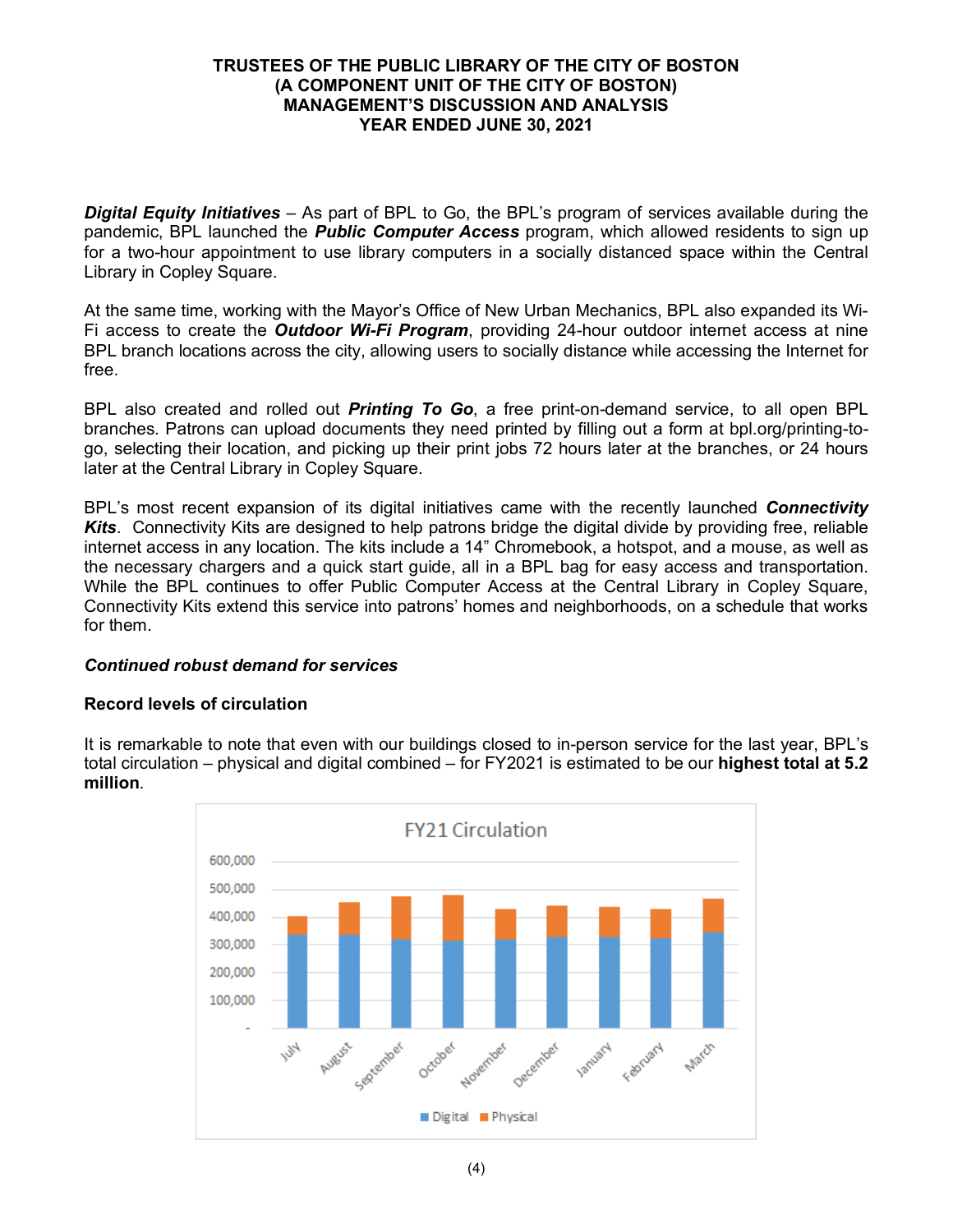*Digital Equity Initiatives* – As part of BPL to Go, the BPL's program of services available during the pandemic, BPL launched the *Public Computer Access* program, which allowed residents to sign up for a two-hour appointment to use library computers in a socially distanced space within the Central Library in Copley Square.

At the same time, working with the Mayor's Office of New Urban Mechanics, BPL also expanded its Wi-Fi access to create the *Outdoor Wi-Fi Program*, providing 24-hour outdoor internet access at nine BPL branch locations across the city, allowing users to socially distance while accessing the Internet for free.

BPL also created and rolled out *Printing To Go*, a free print-on-demand service, to all open BPL branches. Patrons can upload documents they need printed by filling out a form at bpl.org/printing-togo, selecting their location, and picking up their print jobs 72 hours later at the branches, or 24 hours later at the Central Library in Copley Square.

BPL's most recent expansion of its digital initiatives came with the recently launched *Connectivity Kits*. Connectivity Kits are designed to help patrons bridge the digital divide by providing free, reliable internet access in any location. The kits include a 14" Chromebook, a hotspot, and a mouse, as well as the necessary chargers and a quick start guide, all in a BPL bag for easy access and transportation. While the BPL continues to offer Public Computer Access at the Central Library in Copley Square, Connectivity Kits extend this service into patrons' homes and neighborhoods, on a schedule that works for them.

## *Continued robust demand for services*

# **Record levels of circulation**

It is remarkable to note that even with our buildings closed to in-person service for the last year, BPL's total circulation – physical and digital combined – for FY2021 is estimated to be our **highest total at 5.2 million**.

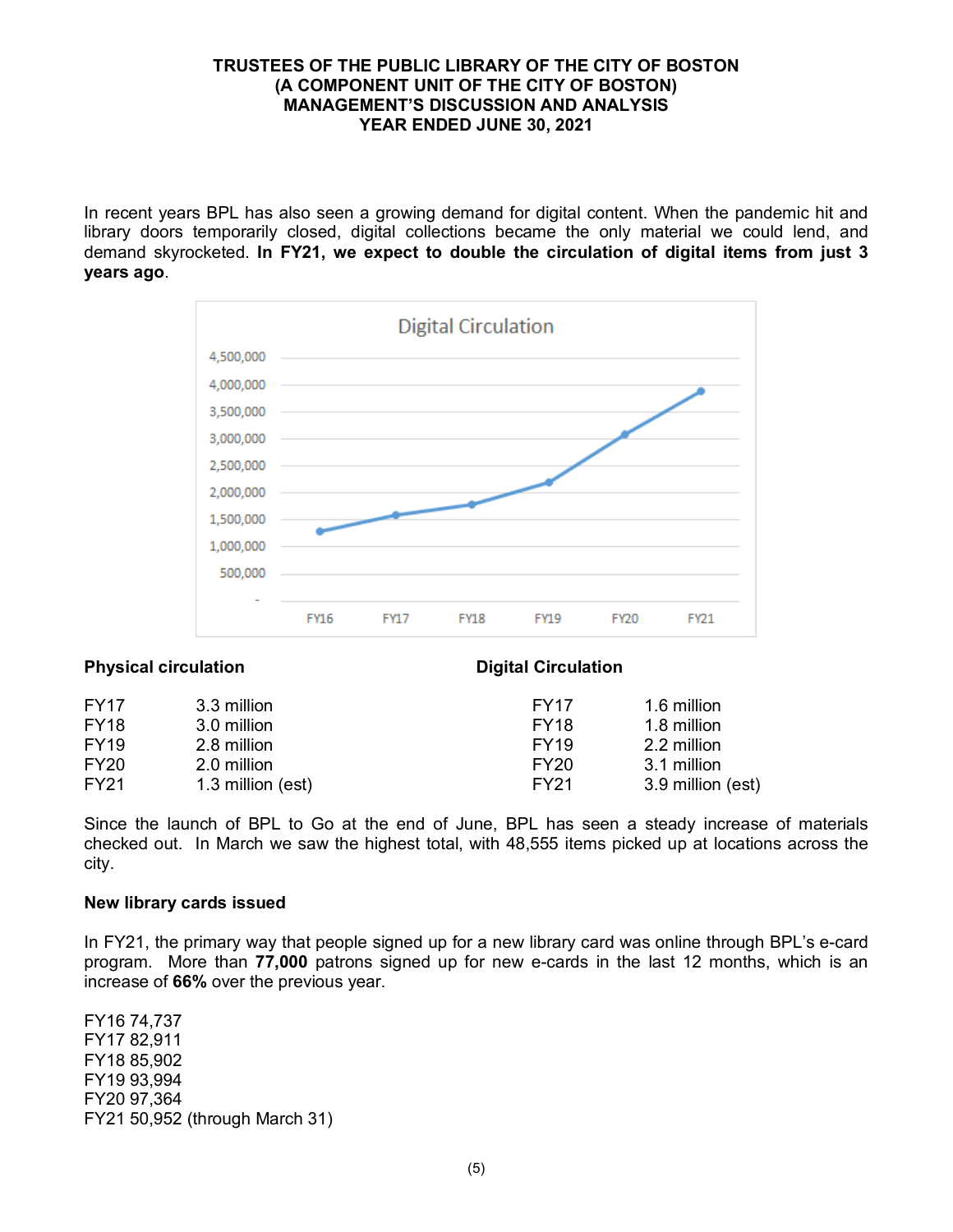In recent years BPL has also seen a growing demand for digital content. When the pandemic hit and library doors temporarily closed, digital collections became the only material we could lend, and demand skyrocketed. **In FY21, we expect to double the circulation of digital items from just 3 years ago**.



## **Physical circulation Digital Circulation**

| <b>FY17</b> | 3.3 million       | FY <sub>17</sub> | 1.6 million       |
|-------------|-------------------|------------------|-------------------|
| <b>FY18</b> | 3.0 million       | FY <sub>18</sub> | 1.8 million       |
| <b>FY19</b> | 2.8 million       | <b>FY19</b>      | 2.2 million       |
| FY20        | 2.0 million       | <b>FY20</b>      | 3.1 million       |
| <b>FY21</b> | 1.3 million (est) | <b>FY21</b>      | 3.9 million (est) |

Since the launch of BPL to Go at the end of June, BPL has seen a steady increase of materials checked out. In March we saw the highest total, with 48,555 items picked up at locations across the city.

#### **New library cards issued**

In FY21, the primary way that people signed up for a new library card was online through BPL's e-card program. More than **77,000** patrons signed up for new e-cards in the last 12 months, which is an increase of **66%** over the previous year.

FY16 74,737 FY17 82,911 FY18 85,902 FY19 93,994 FY20 97,364 FY21 50,952 (through March 31)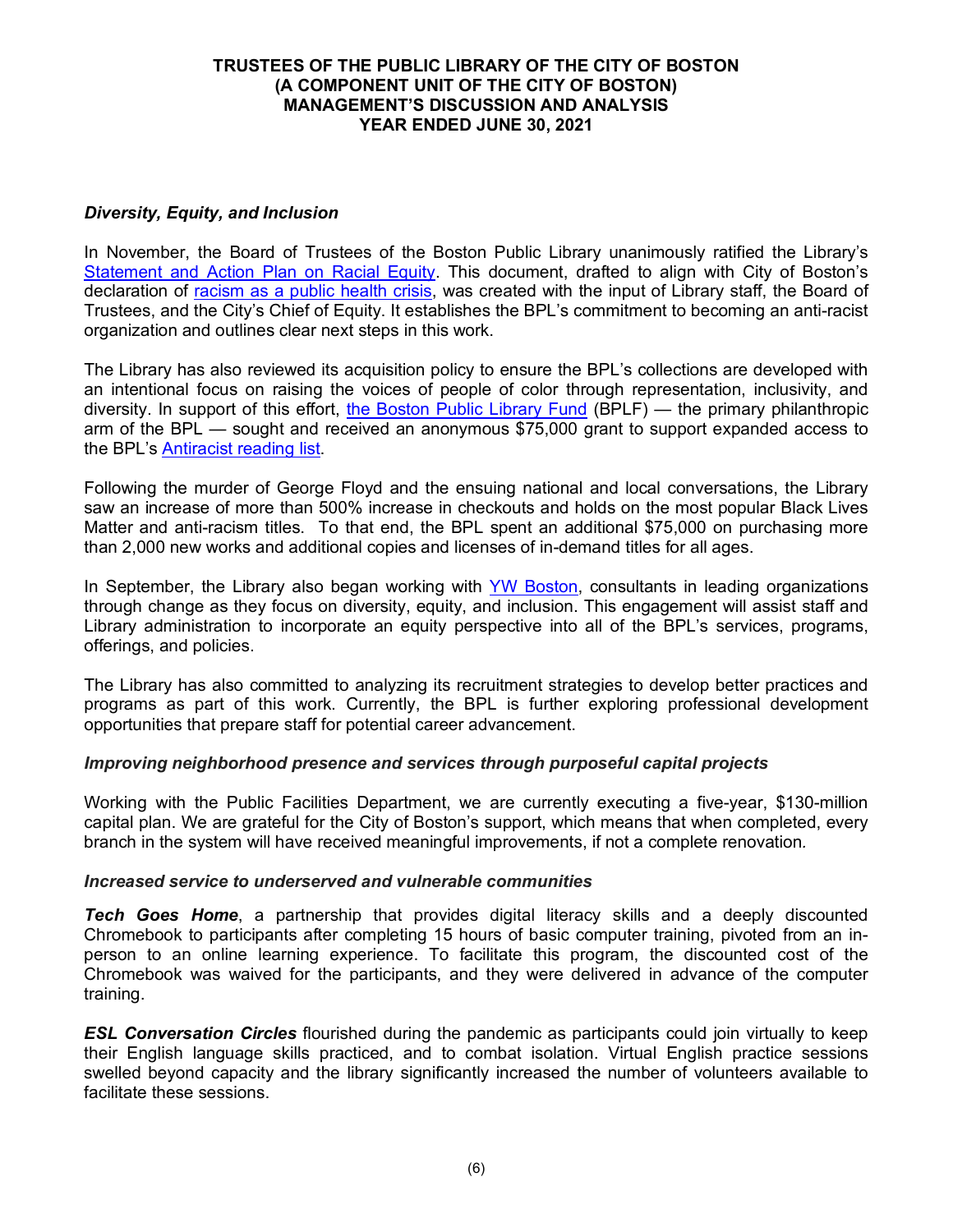### *Diversity, Equity, and Inclusion*

In November, the Board of Trustees of the Boston Public Library unanimously ratified the Library's [Statement and Action Plan on Racial Equity.](https://www.bpl.org/racial-equity/) This document, drafted to align with City of Boston's declaration of [racism as a public health](https://www.boston.gov/news/mayor-walsh-declares-racism-public-health-crisis) crisis, was created with the input of Library staff, the Board of Trustees, and the City's Chief of Equity. It establishes the BPL's commitment to becoming an anti-racist organization and outlines clear next steps in this work.

The Library has also reviewed its acquisition policy to ensure the BPL's collections are developed with an intentional focus on raising the voices of people of color through representation, inclusivity, and diversity. In support of this effort, [the Boston Public Library Fund](https://bplfund.org/) (BPLF) — the primary philanthropic arm of the BPL — sought and received an anonymous \$75,000 grant to support expanded access to the BPL's [Antiracist reading list.](https://bpl.overdrive.com/collection/1086201)

Following the murder of George Floyd and the ensuing national and local conversations, the Library saw an increase of more than 500% increase in checkouts and holds on the most popular Black Lives Matter and anti-racism titles. To that end, the BPL spent an additional \$75,000 on purchasing more than 2,000 new works and additional copies and licenses of in-demand titles for all ages.

In September, the Library also began working with [YW Boston,](https://www.ywboston.org/) consultants in leading organizations through change as they focus on diversity, equity, and inclusion. This engagement will assist staff and Library administration to incorporate an equity perspective into all of the BPL's services, programs, offerings, and policies.

The Library has also committed to analyzing its recruitment strategies to develop better practices and programs as part of this work. Currently, the BPL is further exploring professional development opportunities that prepare staff for potential career advancement.

## *Improving neighborhood presence and services through purposeful capital projects*

Working with the Public Facilities Department, we are currently executing a five-year, \$130-million capital plan. We are grateful for the City of Boston's support, which means that when completed, every branch in the system will have received meaningful improvements, if not a complete renovation*.* 

#### *Increased service to underserved and vulnerable communities*

**Tech Goes Home**, a partnership that provides digital literacy skills and a deeply discounted Chromebook to participants after completing 15 hours of basic computer training, pivoted from an inperson to an online learning experience. To facilitate this program, the discounted cost of the Chromebook was waived for the participants, and they were delivered in advance of the computer training.

*ESL Conversation Circles* flourished during the pandemic as participants could join virtually to keep their English language skills practiced, and to combat isolation. Virtual English practice sessions swelled beyond capacity and the library significantly increased the number of volunteers available to facilitate these sessions.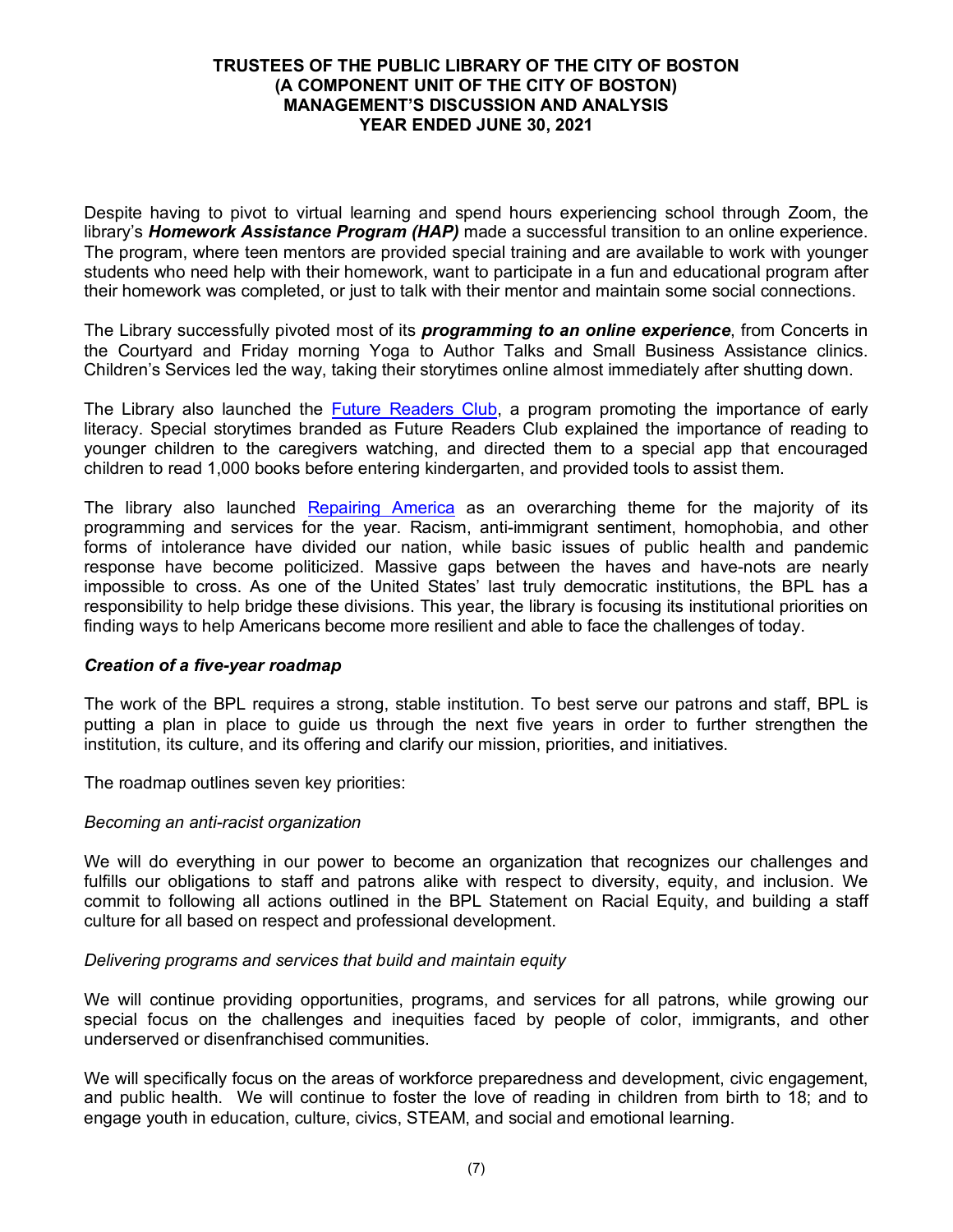Despite having to pivot to virtual learning and spend hours experiencing school through Zoom, the library's *Homework Assistance Program (HAP)* made a successful transition to an online experience. The program, where teen mentors are provided special training and are available to work with younger students who need help with their homework, want to participate in a fun and educational program after their homework was completed, or just to talk with their mentor and maintain some social connections.

The Library successfully pivoted most of its *programming to an online experience*, from Concerts in the Courtyard and Friday morning Yoga to Author Talks and Small Business Assistance clinics. Children's Services led the way, taking their storytimes online almost immediately after shutting down.

The Library also launched the **Future Readers Club**, a program promoting the importance of early literacy. Special storytimes branded as Future Readers Club explained the importance of reading to younger children to the caregivers watching, and directed them to a special app that encouraged children to read 1,000 books before entering kindergarten, and provided tools to assist them.

The library also launched [Repairing America](https://www.bpl.org/repairingamerica/) as an overarching theme for the majority of its programming and services for the year. Racism, anti-immigrant sentiment, homophobia, and other forms of intolerance have divided our nation, while basic issues of public health and pandemic response have become politicized. Massive gaps between the haves and have-nots are nearly impossible to cross. As one of the United States' last truly democratic institutions, the BPL has a responsibility to help bridge these divisions. This year, the library is focusing its institutional priorities on finding ways to help Americans become more resilient and able to face the challenges of today.

## *Creation of a five-year roadmap*

The work of the BPL requires a strong, stable institution. To best serve our patrons and staff, BPL is putting a plan in place to guide us through the next five years in order to further strengthen the institution, its culture, and its offering and clarify our mission, priorities, and initiatives.

The roadmap outlines seven key priorities:

#### *Becoming an anti-racist organization*

We will do everything in our power to become an organization that recognizes our challenges and fulfills our obligations to staff and patrons alike with respect to diversity, equity, and inclusion. We commit to following all actions outlined in the BPL Statement on Racial Equity, and building a staff culture for all based on respect and professional development.

#### *Delivering programs and services that build and maintain equity*

We will continue providing opportunities, programs, and services for all patrons, while growing our special focus on the challenges and inequities faced by people of color, immigrants, and other underserved or disenfranchised communities.

We will specifically focus on the areas of workforce preparedness and development, civic engagement, and public health. We will continue to foster the love of reading in children from birth to 18; and to engage youth in education, culture, civics, STEAM, and social and emotional learning.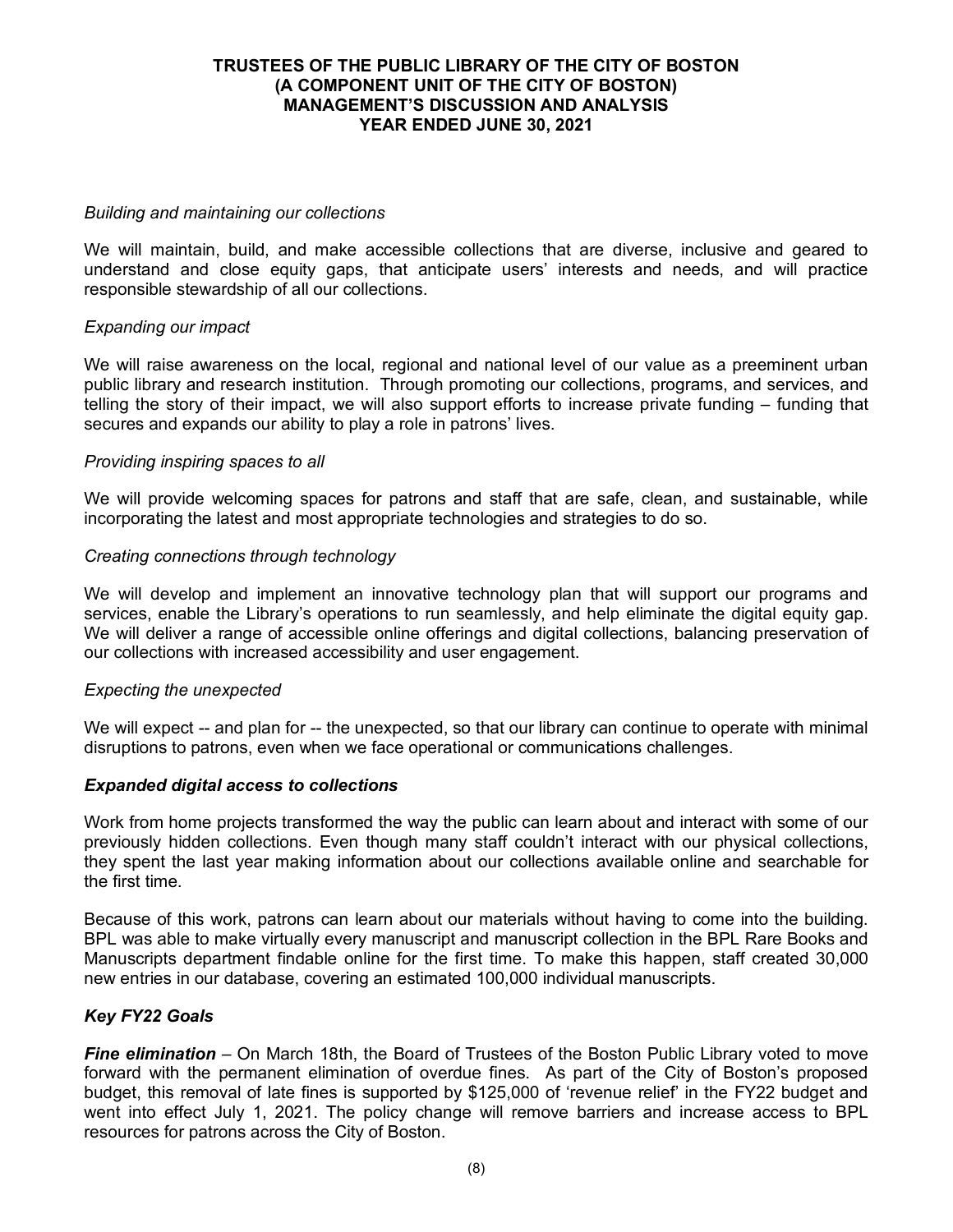#### *Building and maintaining our collections*

We will maintain, build, and make accessible collections that are diverse, inclusive and geared to understand and close equity gaps, that anticipate users' interests and needs, and will practice responsible stewardship of all our collections.

#### *Expanding our impact*

We will raise awareness on the local, regional and national level of our value as a preeminent urban public library and research institution. Through promoting our collections, programs, and services, and telling the story of their impact, we will also support efforts to increase private funding – funding that secures and expands our ability to play a role in patrons' lives.

#### *Providing inspiring spaces to all*

We will provide welcoming spaces for patrons and staff that are safe, clean, and sustainable, while incorporating the latest and most appropriate technologies and strategies to do so.

#### *Creating connections through technology*

We will develop and implement an innovative technology plan that will support our programs and services, enable the Library's operations to run seamlessly, and help eliminate the digital equity gap. We will deliver a range of accessible online offerings and digital collections, balancing preservation of our collections with increased accessibility and user engagement.

#### *Expecting the unexpected*

We will expect -- and plan for -- the unexpected, so that our library can continue to operate with minimal disruptions to patrons, even when we face operational or communications challenges.

#### *Expanded digital access to collections*

Work from home projects transformed the way the public can learn about and interact with some of our previously hidden collections. Even though many staff couldn't interact with our physical collections, they spent the last year making information about our collections available online and searchable for the first time.

Because of this work, patrons can learn about our materials without having to come into the building. BPL was able to make virtually every manuscript and manuscript collection in the BPL Rare Books and Manuscripts department findable online for the first time. To make this happen, staff created 30,000 new entries in our database, covering an estimated 100,000 individual manuscripts.

#### *Key FY22 Goals*

*Fine elimination* – On March 18th, the Board of Trustees of the Boston Public Library voted to move forward with the permanent elimination of overdue fines. As part of the City of Boston's proposed budget, this removal of late fines is supported by \$125,000 of 'revenue relief' in the FY22 budget and went into effect July 1, 2021. The policy change will remove barriers and increase access to BPL resources for patrons across the City of Boston.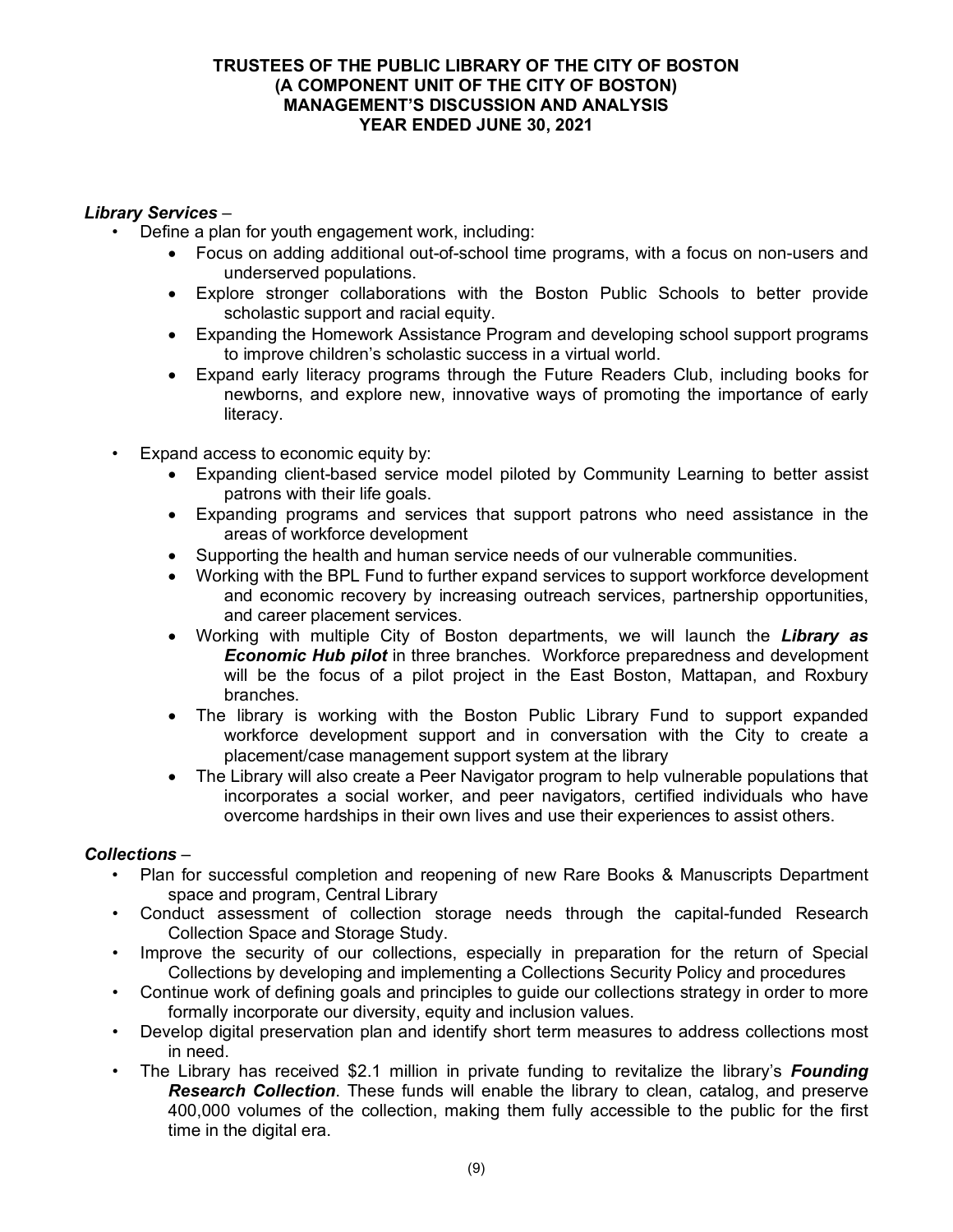# *Library Services* –

- Define a plan for youth engagement work, including:
	- Focus on adding additional out-of-school time programs, with a focus on non-users and underserved populations.
	- Explore stronger collaborations with the Boston Public Schools to better provide scholastic support and racial equity.
	- Expanding the Homework Assistance Program and developing school support programs to improve children's scholastic success in a virtual world.
	- Expand early literacy programs through the Future Readers Club, including books for newborns, and explore new, innovative ways of promoting the importance of early literacy.
- Expand access to economic equity by:
	- Expanding client-based service model piloted by Community Learning to better assist patrons with their life goals.
	- Expanding programs and services that support patrons who need assistance in the areas of workforce development
	- Supporting the health and human service needs of our vulnerable communities.
	- Working with the BPL Fund to further expand services to support workforce development and economic recovery by increasing outreach services, partnership opportunities, and career placement services.
	- Working with multiple City of Boston departments, we will launch the *Library as Economic Hub pilot* in three branches. Workforce preparedness and development will be the focus of a pilot project in the East Boston, Mattapan, and Roxbury branches.
	- The library is working with the Boston Public Library Fund to support expanded workforce development support and in conversation with the City to create a placement/case management support system at the library
	- The Library will also create a Peer Navigator program to help vulnerable populations that incorporates a social worker, and peer navigators, certified individuals who have overcome hardships in their own lives and use their experiences to assist others.

# *Collections* –

- Plan for successful completion and reopening of new Rare Books & Manuscripts Department space and program, Central Library
- Conduct assessment of collection storage needs through the capital-funded Research Collection Space and Storage Study.
- Improve the security of our collections, especially in preparation for the return of Special Collections by developing and implementing a Collections Security Policy and procedures
- Continue work of defining goals and principles to guide our collections strategy in order to more formally incorporate our diversity, equity and inclusion values.
- Develop digital preservation plan and identify short term measures to address collections most in need.
- The Library has received \$2.1 million in private funding to revitalize the library's *Founding Research Collection*. These funds will enable the library to clean, catalog, and preserve 400,000 volumes of the collection, making them fully accessible to the public for the first time in the digital era.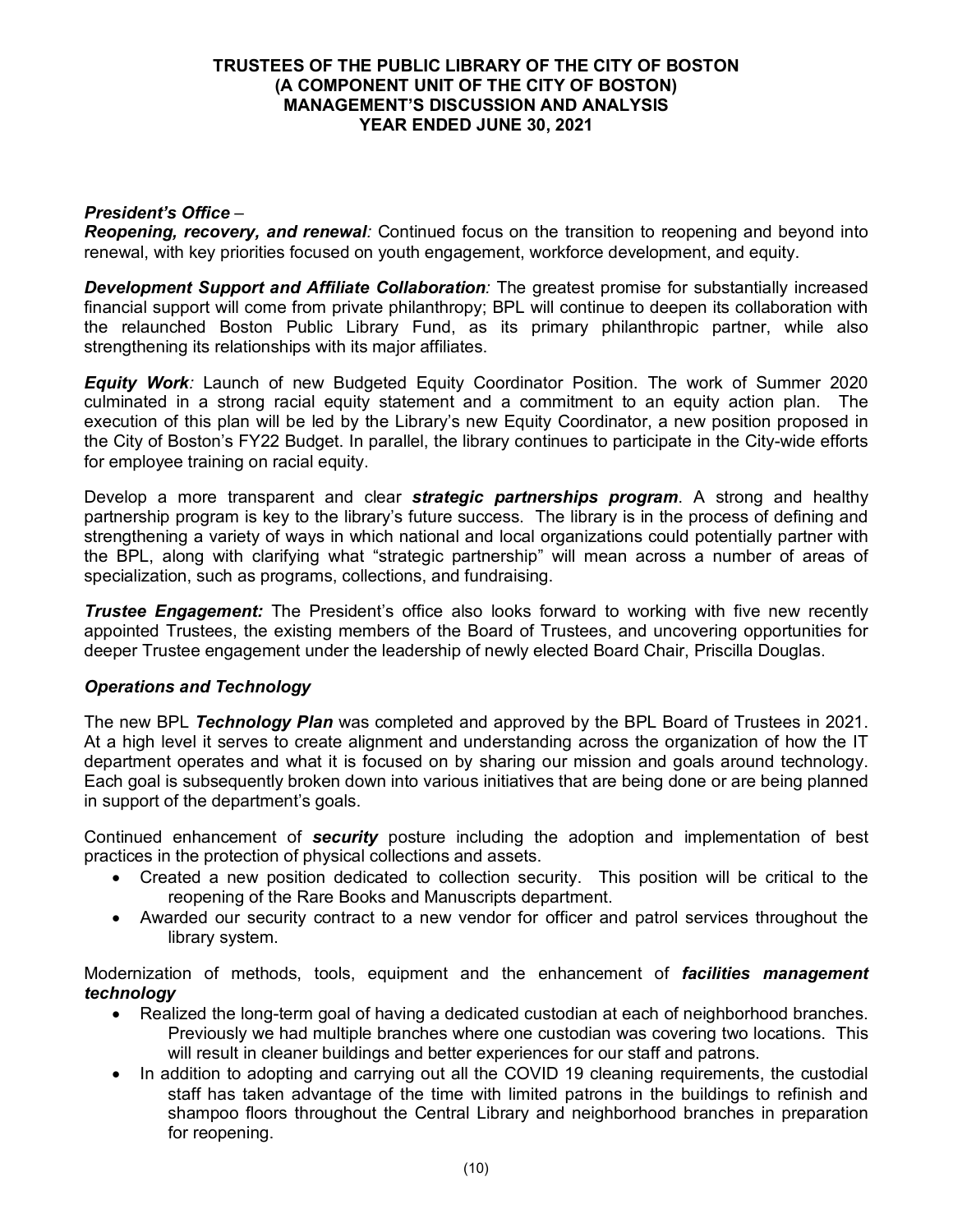## *President's Office* –

*Reopening, recovery, and renewal:* Continued focus on the transition to reopening and beyond into renewal, with key priorities focused on youth engagement, workforce development, and equity.

*Development Support and Affiliate Collaboration:* The greatest promise for substantially increased financial support will come from private philanthropy; BPL will continue to deepen its collaboration with the relaunched Boston Public Library Fund, as its primary philanthropic partner, while also strengthening its relationships with its major affiliates.

*Equity Work:* Launch of new Budgeted Equity Coordinator Position. The work of Summer 2020 culminated in a strong racial equity statement and a commitment to an equity action plan. The execution of this plan will be led by the Library's new Equity Coordinator, a new position proposed in the City of Boston's FY22 Budget. In parallel, the library continues to participate in the City-wide efforts for employee training on racial equity.

Develop a more transparent and clear *strategic partnerships program*. A strong and healthy partnership program is key to the library's future success. The library is in the process of defining and strengthening a variety of ways in which national and local organizations could potentially partner with the BPL, along with clarifying what "strategic partnership" will mean across a number of areas of specialization, such as programs, collections, and fundraising.

*Trustee Engagement:* The President's office also looks forward to working with five new recently appointed Trustees, the existing members of the Board of Trustees, and uncovering opportunities for deeper Trustee engagement under the leadership of newly elected Board Chair, Priscilla Douglas.

## *Operations and Technology*

The new BPL *Technology Plan* was completed and approved by the BPL Board of Trustees in 2021. At a high level it serves to create alignment and understanding across the organization of how the IT department operates and what it is focused on by sharing our mission and goals around technology. Each goal is subsequently broken down into various initiatives that are being done or are being planned in support of the department's goals.

Continued enhancement of *security* posture including the adoption and implementation of best practices in the protection of physical collections and assets.

- Created a new position dedicated to collection security. This position will be critical to the reopening of the Rare Books and Manuscripts department.
- Awarded our security contract to a new vendor for officer and patrol services throughout the library system.

Modernization of methods, tools, equipment and the enhancement of *facilities management technology*

- Realized the long-term goal of having a dedicated custodian at each of neighborhood branches. Previously we had multiple branches where one custodian was covering two locations. This will result in cleaner buildings and better experiences for our staff and patrons.
- In addition to adopting and carrying out all the COVID 19 cleaning requirements, the custodial staff has taken advantage of the time with limited patrons in the buildings to refinish and shampoo floors throughout the Central Library and neighborhood branches in preparation for reopening.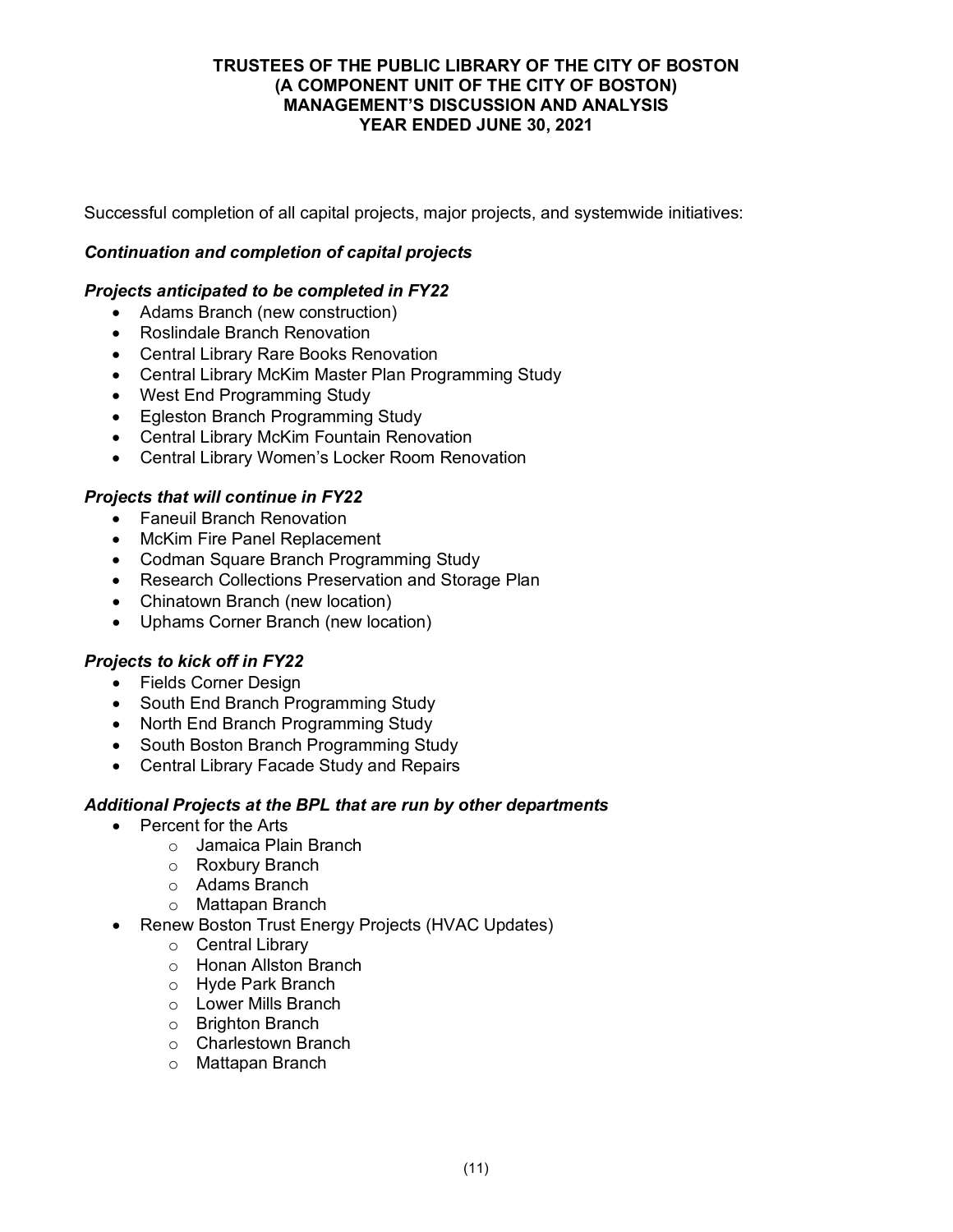Successful completion of all capital projects, major projects, and systemwide initiatives:

## *Continuation and completion of capital projects*

### *Projects anticipated to be completed in FY22*

- Adams Branch (new construction)
- Roslindale Branch Renovation
- Central Library Rare Books Renovation
- Central Library McKim Master Plan Programming Study
- West End Programming Study
- Egleston Branch Programming Study
- Central Library McKim Fountain Renovation
- Central Library Women's Locker Room Renovation

### *Projects that will continue in FY22*

- Faneuil Branch Renovation
- McKim Fire Panel Replacement
- Codman Square Branch Programming Study
- Research Collections Preservation and Storage Plan
- Chinatown Branch (new location)
- Uphams Corner Branch (new location)

## *Projects to kick off in FY22*

- Fields Corner Design
- South End Branch Programming Study
- North End Branch Programming Study
- South Boston Branch Programming Study
- Central Library Facade Study and Repairs

#### *Additional Projects at the BPL that are run by other departments*

- Percent for the Arts
	- o Jamaica Plain Branch
	- o Roxbury Branch
	- o Adams Branch
	- o Mattapan Branch
- Renew Boston Trust Energy Projects (HVAC Updates)
	- o Central Library
	- o Honan Allston Branch
	- o Hyde Park Branch
	- o Lower Mills Branch
	- o Brighton Branch
	- o Charlestown Branch
	- o Mattapan Branch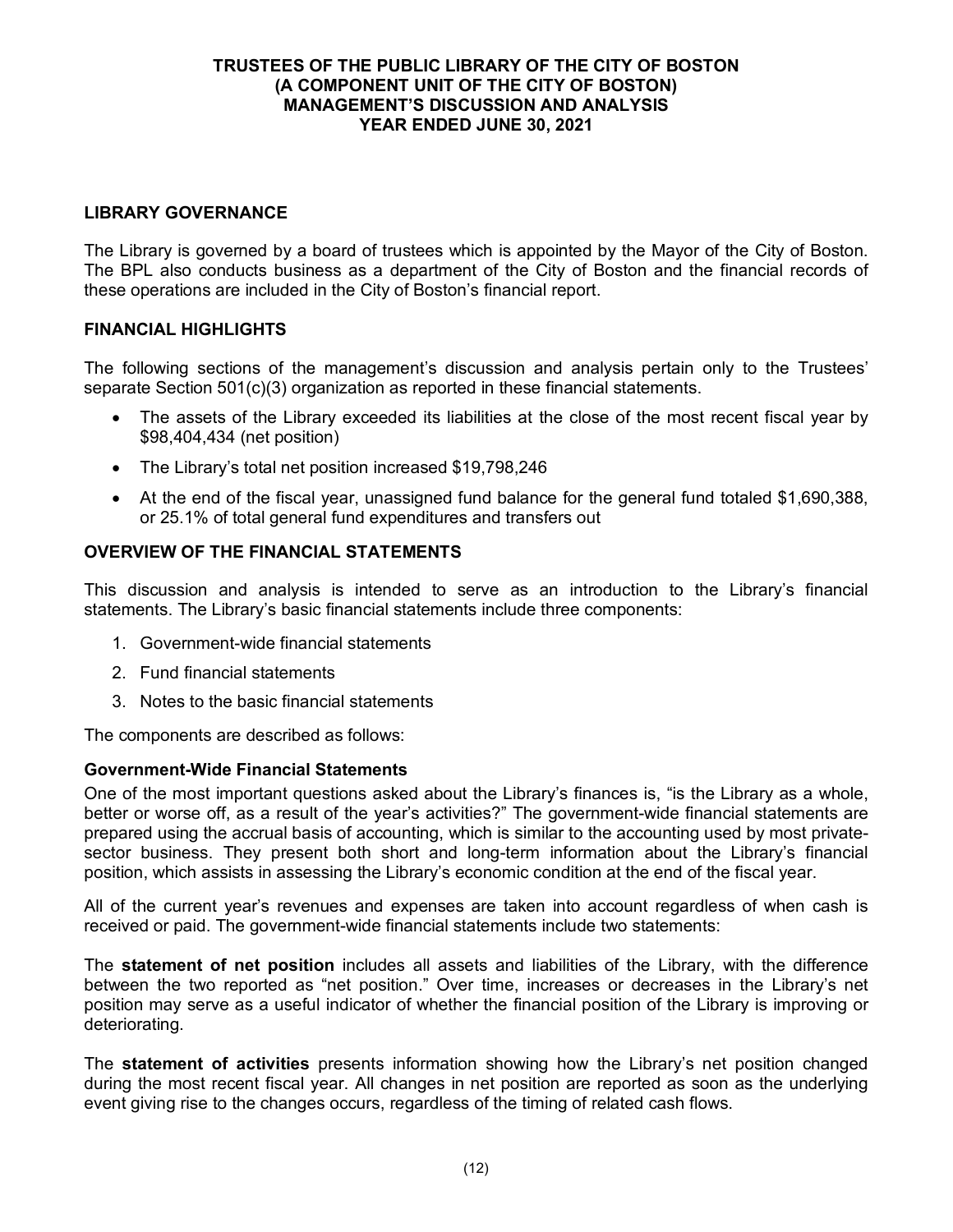# **LIBRARY GOVERNANCE**

The Library is governed by a board of trustees which is appointed by the Mayor of the City of Boston. The BPL also conducts business as a department of the City of Boston and the financial records of these operations are included in the City of Boston's financial report.

# **FINANCIAL HIGHLIGHTS**

The following sections of the management's discussion and analysis pertain only to the Trustees' separate Section 501(c)(3) organization as reported in these financial statements.

- The assets of the Library exceeded its liabilities at the close of the most recent fiscal year by \$98,404,434 (net position)
- The Library's total net position increased \$19,798,246
- At the end of the fiscal year, unassigned fund balance for the general fund totaled \$1,690,388, or 25.1% of total general fund expenditures and transfers out

# **OVERVIEW OF THE FINANCIAL STATEMENTS**

This discussion and analysis is intended to serve as an introduction to the Library's financial statements. The Library's basic financial statements include three components:

- 1. Government-wide financial statements
- 2. Fund financial statements
- 3. Notes to the basic financial statements

The components are described as follows:

## **Government-Wide Financial Statements**

One of the most important questions asked about the Library's finances is, "is the Library as a whole, better or worse off, as a result of the year's activities?" The government-wide financial statements are prepared using the accrual basis of accounting, which is similar to the accounting used by most privatesector business. They present both short and long-term information about the Library's financial position, which assists in assessing the Library's economic condition at the end of the fiscal year.

All of the current year's revenues and expenses are taken into account regardless of when cash is received or paid. The government-wide financial statements include two statements:

The **statement of net position** includes all assets and liabilities of the Library, with the difference between the two reported as "net position." Over time, increases or decreases in the Library's net position may serve as a useful indicator of whether the financial position of the Library is improving or deteriorating.

The **statement of activities** presents information showing how the Library's net position changed during the most recent fiscal year. All changes in net position are reported as soon as the underlying event giving rise to the changes occurs, regardless of the timing of related cash flows.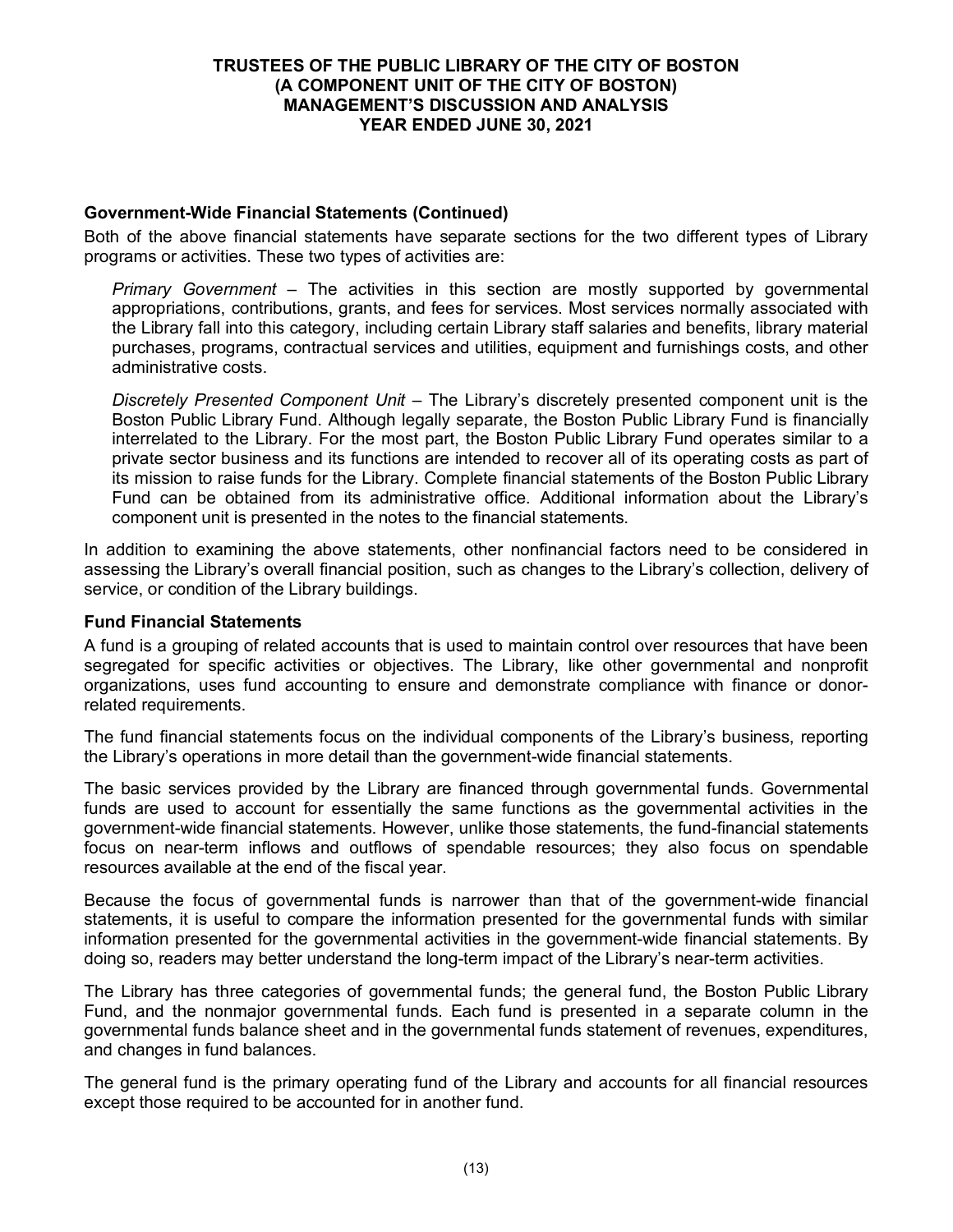## **Government-Wide Financial Statements (Continued)**

Both of the above financial statements have separate sections for the two different types of Library programs or activities. These two types of activities are:

*Primary Government* – The activities in this section are mostly supported by governmental appropriations, contributions, grants, and fees for services. Most services normally associated with the Library fall into this category, including certain Library staff salaries and benefits, library material purchases, programs, contractual services and utilities, equipment and furnishings costs, and other administrative costs.

*Discretely Presented Component Unit* – The Library's discretely presented component unit is the Boston Public Library Fund. Although legally separate, the Boston Public Library Fund is financially interrelated to the Library. For the most part, the Boston Public Library Fund operates similar to a private sector business and its functions are intended to recover all of its operating costs as part of its mission to raise funds for the Library. Complete financial statements of the Boston Public Library Fund can be obtained from its administrative office. Additional information about the Library's component unit is presented in the notes to the financial statements.

In addition to examining the above statements, other nonfinancial factors need to be considered in assessing the Library's overall financial position, such as changes to the Library's collection, delivery of service, or condition of the Library buildings.

### **Fund Financial Statements**

A fund is a grouping of related accounts that is used to maintain control over resources that have been segregated for specific activities or objectives. The Library, like other governmental and nonprofit organizations, uses fund accounting to ensure and demonstrate compliance with finance or donorrelated requirements.

The fund financial statements focus on the individual components of the Library's business, reporting the Library's operations in more detail than the government-wide financial statements.

The basic services provided by the Library are financed through governmental funds. Governmental funds are used to account for essentially the same functions as the governmental activities in the government-wide financial statements. However, unlike those statements, the fund-financial statements focus on near-term inflows and outflows of spendable resources; they also focus on spendable resources available at the end of the fiscal year.

Because the focus of governmental funds is narrower than that of the government-wide financial statements, it is useful to compare the information presented for the governmental funds with similar information presented for the governmental activities in the government-wide financial statements. By doing so, readers may better understand the long-term impact of the Library's near-term activities.

The Library has three categories of governmental funds; the general fund, the Boston Public Library Fund, and the nonmajor governmental funds. Each fund is presented in a separate column in the governmental funds balance sheet and in the governmental funds statement of revenues, expenditures, and changes in fund balances.

The general fund is the primary operating fund of the Library and accounts for all financial resources except those required to be accounted for in another fund.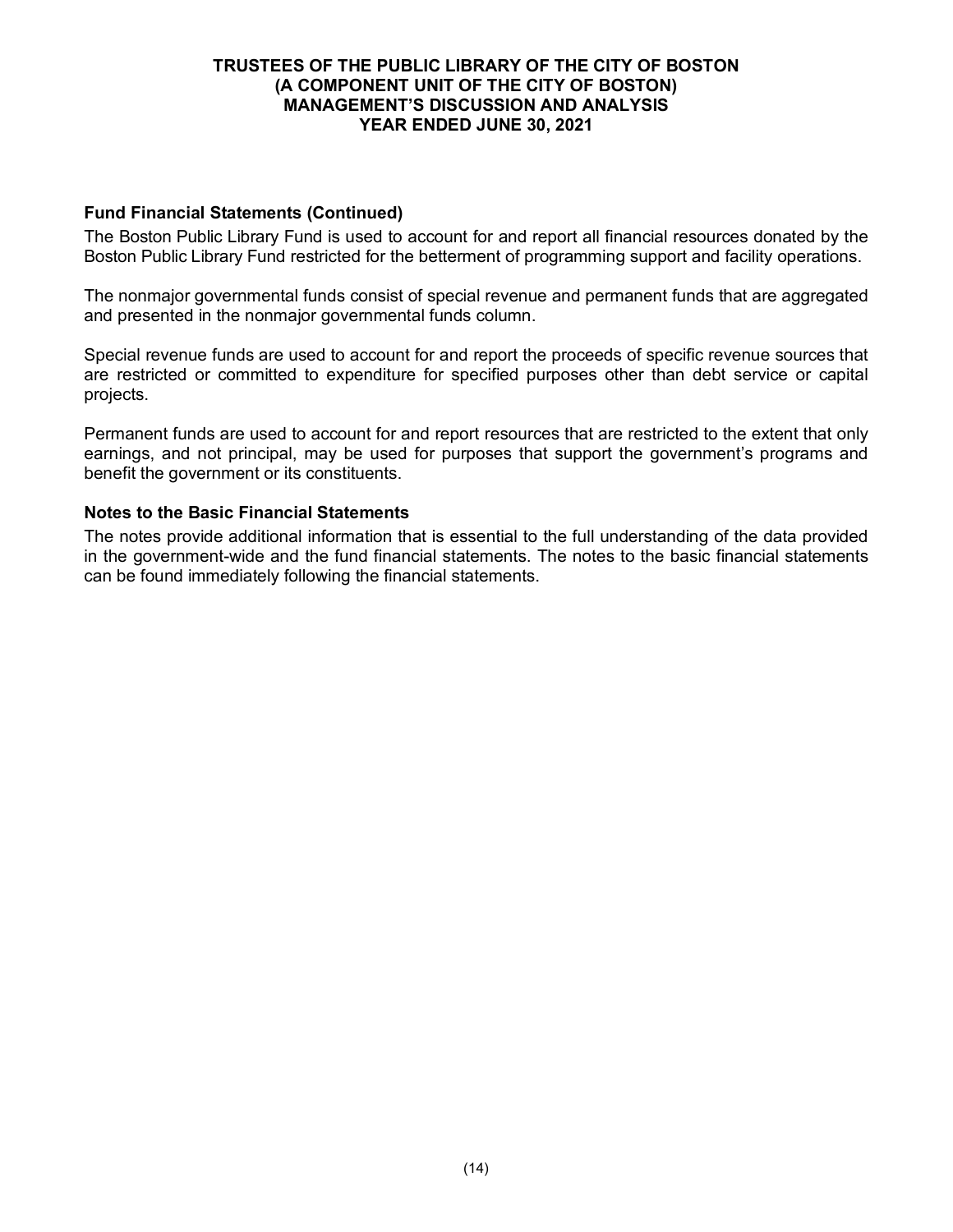## **Fund Financial Statements (Continued)**

The Boston Public Library Fund is used to account for and report all financial resources donated by the Boston Public Library Fund restricted for the betterment of programming support and facility operations.

The nonmajor governmental funds consist of special revenue and permanent funds that are aggregated and presented in the nonmajor governmental funds column.

Special revenue funds are used to account for and report the proceeds of specific revenue sources that are restricted or committed to expenditure for specified purposes other than debt service or capital projects.

Permanent funds are used to account for and report resources that are restricted to the extent that only earnings, and not principal, may be used for purposes that support the government's programs and benefit the government or its constituents.

## **Notes to the Basic Financial Statements**

The notes provide additional information that is essential to the full understanding of the data provided in the government-wide and the fund financial statements. The notes to the basic financial statements can be found immediately following the financial statements.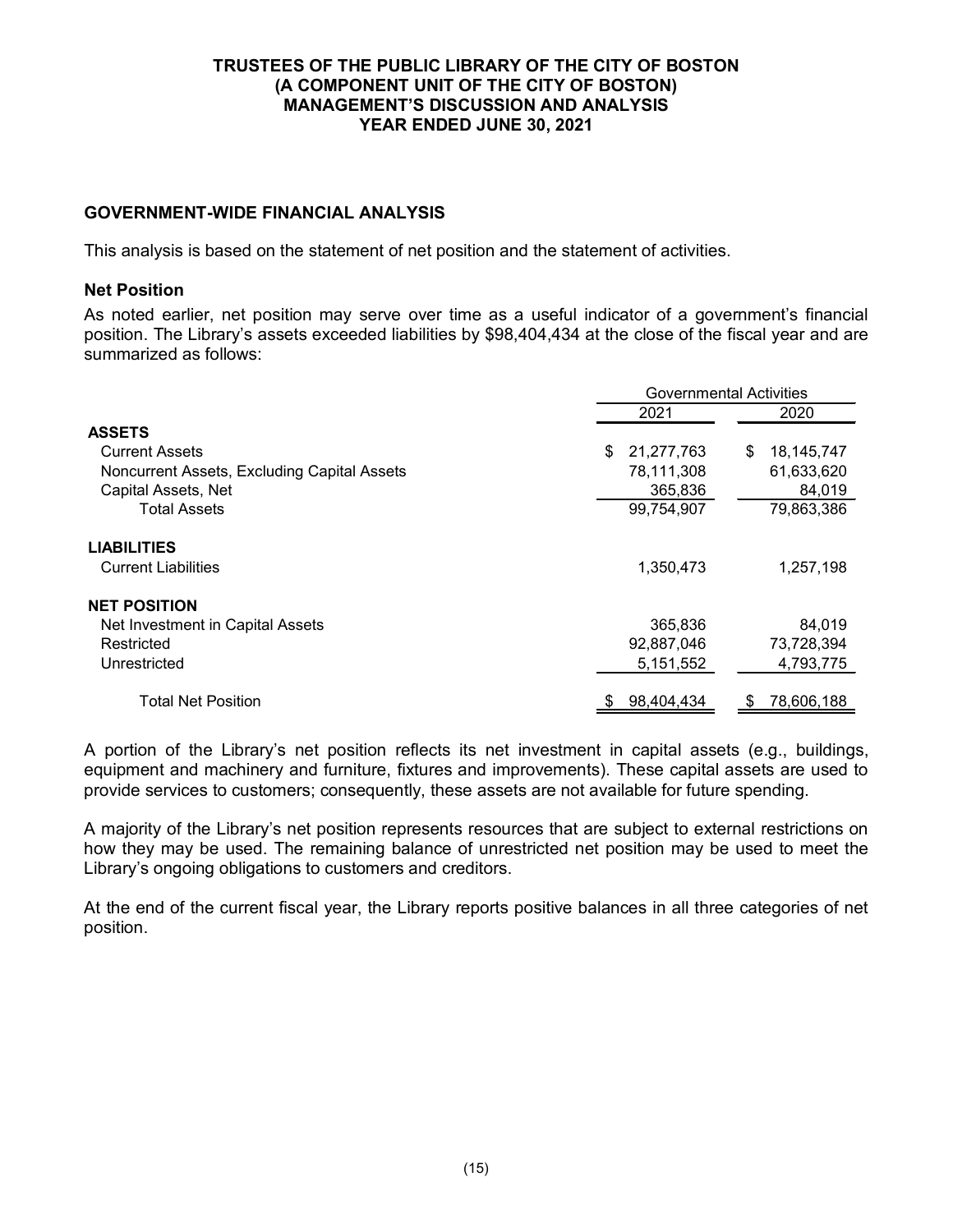## **GOVERNMENT-WIDE FINANCIAL ANALYSIS**

This analysis is based on the statement of net position and the statement of activities.

#### **Net Position**

As noted earlier, net position may serve over time as a useful indicator of a government's financial position. The Library's assets exceeded liabilities by \$98,404,434 at the close of the fiscal year and are summarized as follows:

|                                             | <b>Governmental Activities</b> |                    |  |
|---------------------------------------------|--------------------------------|--------------------|--|
|                                             | 2021                           | 2020               |  |
| <b>ASSETS</b>                               |                                |                    |  |
| <b>Current Assets</b>                       | \$<br>21,277,763               | \$<br>18, 145, 747 |  |
| Noncurrent Assets, Excluding Capital Assets | 78,111,308                     | 61,633,620         |  |
| Capital Assets, Net                         | 365,836                        | 84,019             |  |
| <b>Total Assets</b>                         | 99,754,907                     | 79,863,386         |  |
| <b>LIABILITIES</b>                          |                                |                    |  |
| <b>Current Liabilities</b>                  | 1,350,473                      | 1,257,198          |  |
| <b>NET POSITION</b>                         |                                |                    |  |
| Net Investment in Capital Assets            | 365,836                        | 84,019             |  |
| Restricted                                  | 92,887,046                     | 73,728,394         |  |
| Unrestricted                                | 5, 151, 552                    | 4,793,775          |  |
| <b>Total Net Position</b>                   | 98,404,434                     | 78,606,188<br>-5   |  |

A portion of the Library's net position reflects its net investment in capital assets (e.g., buildings, equipment and machinery and furniture, fixtures and improvements). These capital assets are used to provide services to customers; consequently, these assets are not available for future spending.

A majority of the Library's net position represents resources that are subject to external restrictions on how they may be used. The remaining balance of unrestricted net position may be used to meet the Library's ongoing obligations to customers and creditors.

At the end of the current fiscal year, the Library reports positive balances in all three categories of net position.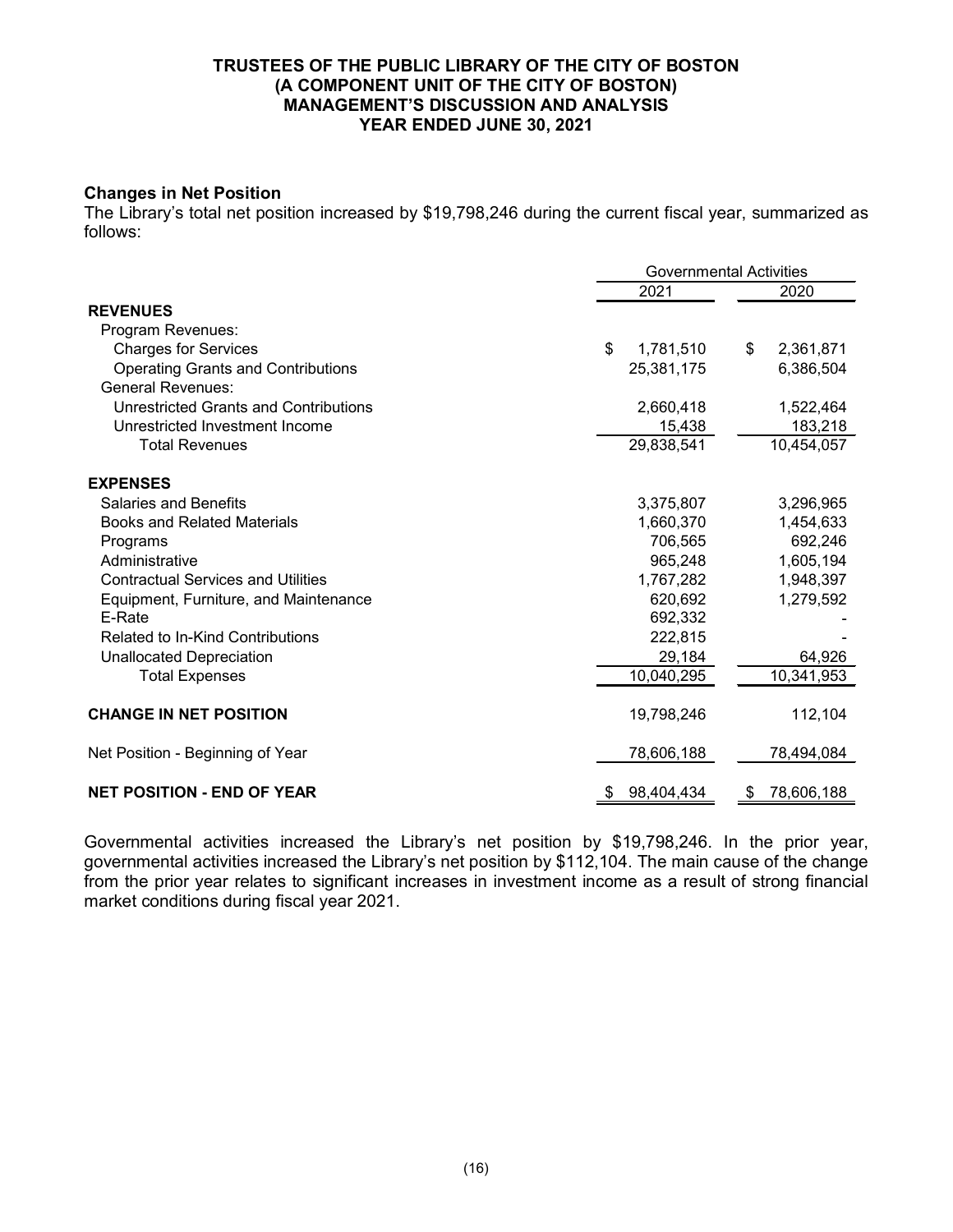### **Changes in Net Position**

The Library's total net position increased by \$19,798,246 during the current fiscal year, summarized as follows:

|                                           | <b>Governmental Activities</b> |                  |  |  |  |
|-------------------------------------------|--------------------------------|------------------|--|--|--|
|                                           | 2021                           | 2020             |  |  |  |
| <b>REVENUES</b>                           |                                |                  |  |  |  |
| Program Revenues:                         |                                |                  |  |  |  |
| <b>Charges for Services</b>               | \$<br>1,781,510                | \$<br>2,361,871  |  |  |  |
| <b>Operating Grants and Contributions</b> | 25,381,175                     | 6,386,504        |  |  |  |
| <b>General Revenues:</b>                  |                                |                  |  |  |  |
| Unrestricted Grants and Contributions     | 2,660,418                      | 1,522,464        |  |  |  |
| Unrestricted Investment Income            | 15,438                         | 183,218          |  |  |  |
| <b>Total Revenues</b>                     | 29,838,541                     | 10,454,057       |  |  |  |
| <b>EXPENSES</b>                           |                                |                  |  |  |  |
| <b>Salaries and Benefits</b>              | 3,375,807                      | 3,296,965        |  |  |  |
| <b>Books and Related Materials</b>        | 1,660,370                      | 1,454,633        |  |  |  |
| Programs                                  | 706,565                        | 692,246          |  |  |  |
| Administrative                            | 965,248                        | 1,605,194        |  |  |  |
| <b>Contractual Services and Utilities</b> | 1,767,282                      | 1,948,397        |  |  |  |
| Equipment, Furniture, and Maintenance     | 620,692                        | 1,279,592        |  |  |  |
| E-Rate                                    | 692,332                        |                  |  |  |  |
| <b>Related to In-Kind Contributions</b>   | 222,815                        |                  |  |  |  |
| <b>Unallocated Depreciation</b>           | 29,184                         | 64,926           |  |  |  |
| <b>Total Expenses</b>                     | 10,040,295                     | 10,341,953       |  |  |  |
| <b>CHANGE IN NET POSITION</b>             | 19,798,246                     | 112,104          |  |  |  |
| Net Position - Beginning of Year          | 78,606,188                     | 78,494,084       |  |  |  |
| <b>NET POSITION - END OF YEAR</b>         | 98,404,434<br>\$               | 78,606,188<br>\$ |  |  |  |

Governmental activities increased the Library's net position by \$19,798,246. In the prior year, governmental activities increased the Library's net position by \$112,104. The main cause of the change from the prior year relates to significant increases in investment income as a result of strong financial market conditions during fiscal year 2021.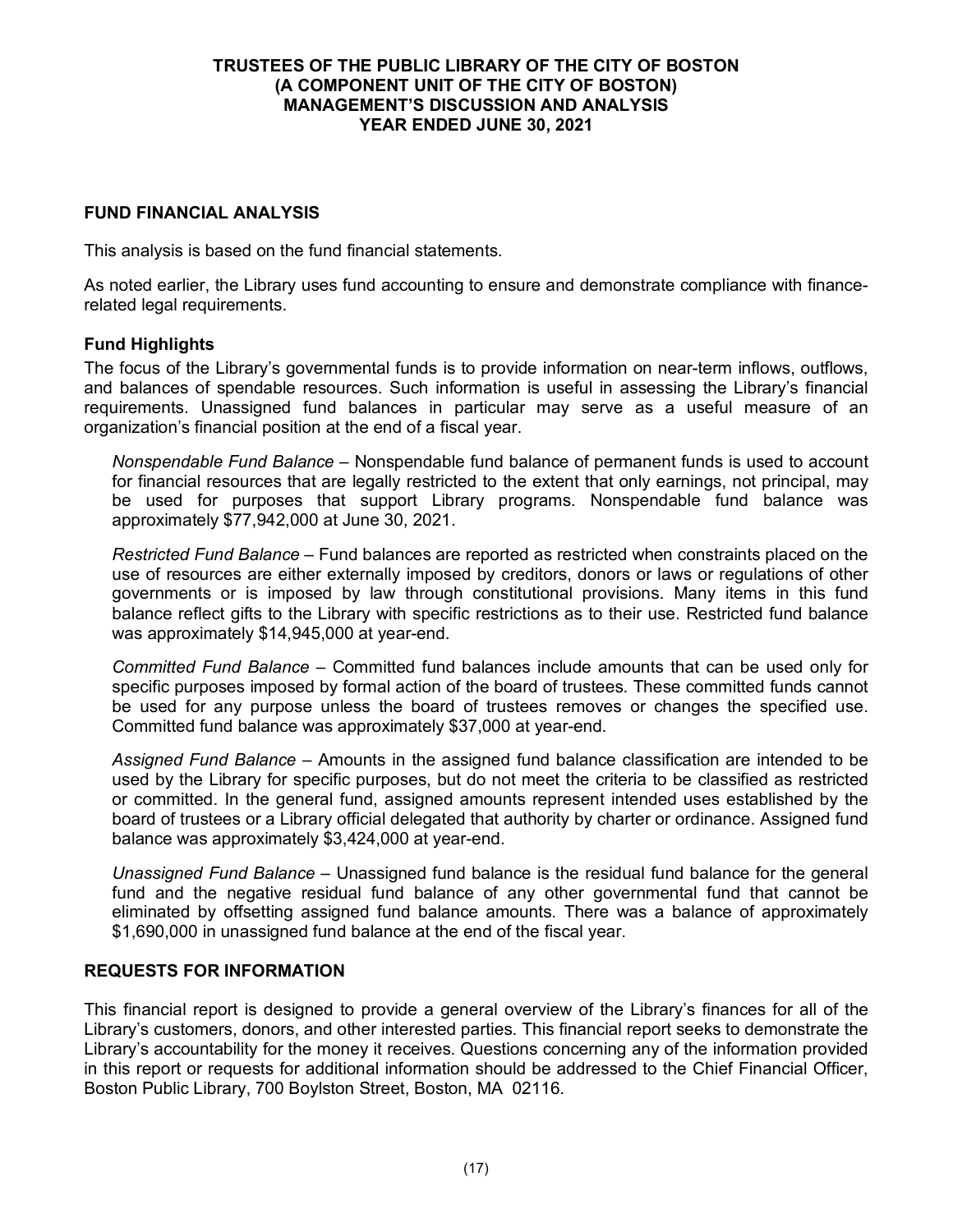## **FUND FINANCIAL ANALYSIS**

This analysis is based on the fund financial statements.

As noted earlier, the Library uses fund accounting to ensure and demonstrate compliance with financerelated legal requirements.

# **Fund Highlights**

The focus of the Library's governmental funds is to provide information on near-term inflows, outflows, and balances of spendable resources. Such information is useful in assessing the Library's financial requirements. Unassigned fund balances in particular may serve as a useful measure of an organization's financial position at the end of a fiscal year.

*Nonspendable Fund Balance* – Nonspendable fund balance of permanent funds is used to account for financial resources that are legally restricted to the extent that only earnings, not principal, may be used for purposes that support Library programs. Nonspendable fund balance was approximately \$77,942,000 at June 30, 2021.

*Restricted Fund Balance* – Fund balances are reported as restricted when constraints placed on the use of resources are either externally imposed by creditors, donors or laws or regulations of other governments or is imposed by law through constitutional provisions. Many items in this fund balance reflect gifts to the Library with specific restrictions as to their use. Restricted fund balance was approximately \$14,945,000 at year-end.

*Committed Fund Balance* – Committed fund balances include amounts that can be used only for specific purposes imposed by formal action of the board of trustees. These committed funds cannot be used for any purpose unless the board of trustees removes or changes the specified use. Committed fund balance was approximately \$37,000 at year-end.

*Assigned Fund Balance* – Amounts in the assigned fund balance classification are intended to be used by the Library for specific purposes, but do not meet the criteria to be classified as restricted or committed. In the general fund, assigned amounts represent intended uses established by the board of trustees or a Library official delegated that authority by charter or ordinance. Assigned fund balance was approximately \$3,424,000 at year-end.

*Unassigned Fund Balance* – Unassigned fund balance is the residual fund balance for the general fund and the negative residual fund balance of any other governmental fund that cannot be eliminated by offsetting assigned fund balance amounts. There was a balance of approximately \$1,690,000 in unassigned fund balance at the end of the fiscal year.

## **REQUESTS FOR INFORMATION**

This financial report is designed to provide a general overview of the Library's finances for all of the Library's customers, donors, and other interested parties. This financial report seeks to demonstrate the Library's accountability for the money it receives. Questions concerning any of the information provided in this report or requests for additional information should be addressed to the Chief Financial Officer, Boston Public Library, 700 Boylston Street, Boston, MA 02116.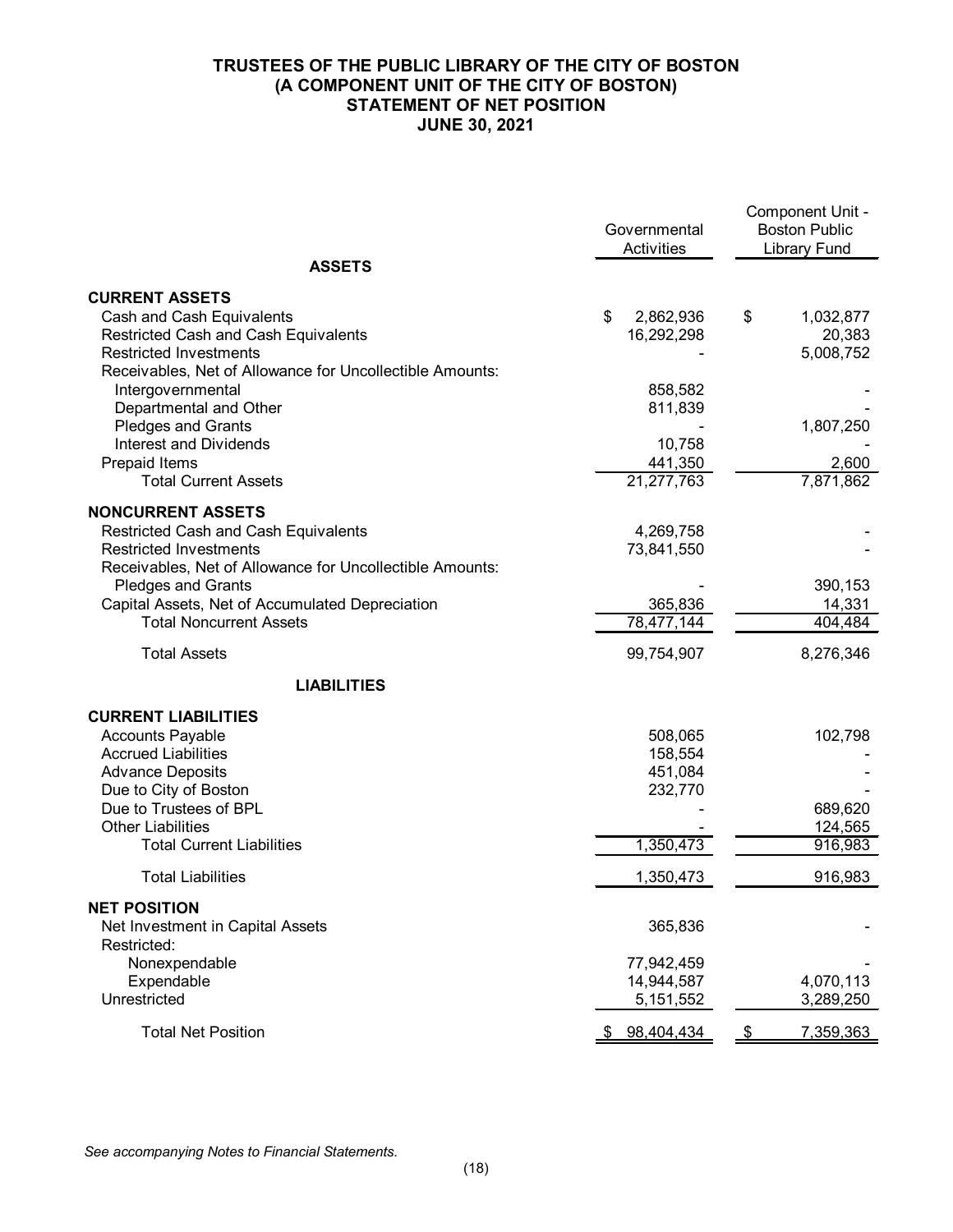## **TRUSTEES OF THE PUBLIC LIBRARY OF THE CITY OF BOSTON (A COMPONENT UNIT OF THE CITY OF BOSTON) STATEMENT OF NET POSITION JUNE 30, 2021**

|                                                                              | Governmental<br>Activities | Component Unit -<br><b>Boston Public</b><br><b>Library Fund</b> |
|------------------------------------------------------------------------------|----------------------------|-----------------------------------------------------------------|
| <b>ASSETS</b>                                                                |                            |                                                                 |
| <b>CURRENT ASSETS</b>                                                        |                            |                                                                 |
| Cash and Cash Equivalents                                                    | \$<br>2,862,936            | \$<br>1,032,877                                                 |
| Restricted Cash and Cash Equivalents                                         | 16,292,298                 | 20,383                                                          |
| <b>Restricted Investments</b>                                                |                            | 5,008,752                                                       |
| Receivables, Net of Allowance for Uncollectible Amounts:                     |                            |                                                                 |
| Intergovernmental                                                            | 858,582                    |                                                                 |
| Departmental and Other                                                       | 811,839                    |                                                                 |
| <b>Pledges and Grants</b><br><b>Interest and Dividends</b>                   | 10,758                     | 1,807,250                                                       |
| Prepaid Items                                                                | 441,350                    | 2,600                                                           |
| <b>Total Current Assets</b>                                                  | 21,277,763                 | 7,871,862                                                       |
|                                                                              |                            |                                                                 |
| <b>NONCURRENT ASSETS</b>                                                     |                            |                                                                 |
| Restricted Cash and Cash Equivalents                                         | 4,269,758                  |                                                                 |
| <b>Restricted Investments</b>                                                | 73,841,550                 |                                                                 |
| Receivables, Net of Allowance for Uncollectible Amounts:                     |                            |                                                                 |
| <b>Pledges and Grants</b><br>Capital Assets, Net of Accumulated Depreciation | 365,836                    | 390,153<br>14,331                                               |
| <b>Total Noncurrent Assets</b>                                               | 78,477,144                 | 404,484                                                         |
|                                                                              |                            |                                                                 |
| <b>Total Assets</b>                                                          | 99,754,907                 | 8,276,346                                                       |
| <b>LIABILITIES</b>                                                           |                            |                                                                 |
| <b>CURRENT LIABILITIES</b>                                                   |                            |                                                                 |
| <b>Accounts Payable</b>                                                      | 508,065                    | 102,798                                                         |
| <b>Accrued Liabilities</b>                                                   | 158,554                    |                                                                 |
| <b>Advance Deposits</b>                                                      | 451,084                    |                                                                 |
| Due to City of Boston                                                        | 232,770                    |                                                                 |
| Due to Trustees of BPL                                                       |                            | 689,620                                                         |
| <b>Other Liabilities</b>                                                     |                            | 124,565                                                         |
| <b>Total Current Liabilities</b>                                             | 1,350,473                  | 916,983                                                         |
| <b>Total Liabilities</b>                                                     | 1,350,473                  | 916,983                                                         |
| <b>NET POSITION</b>                                                          |                            |                                                                 |
| Net Investment in Capital Assets                                             | 365,836                    |                                                                 |
| Restricted:                                                                  |                            |                                                                 |
| Nonexpendable                                                                | 77,942,459                 |                                                                 |
| Expendable                                                                   | 14,944,587                 | 4,070,113                                                       |
| Unrestricted                                                                 | 5, 151, 552                | 3,289,250                                                       |
| <b>Total Net Position</b>                                                    | 98,404,434                 | 7,359,363<br><u>\$</u>                                          |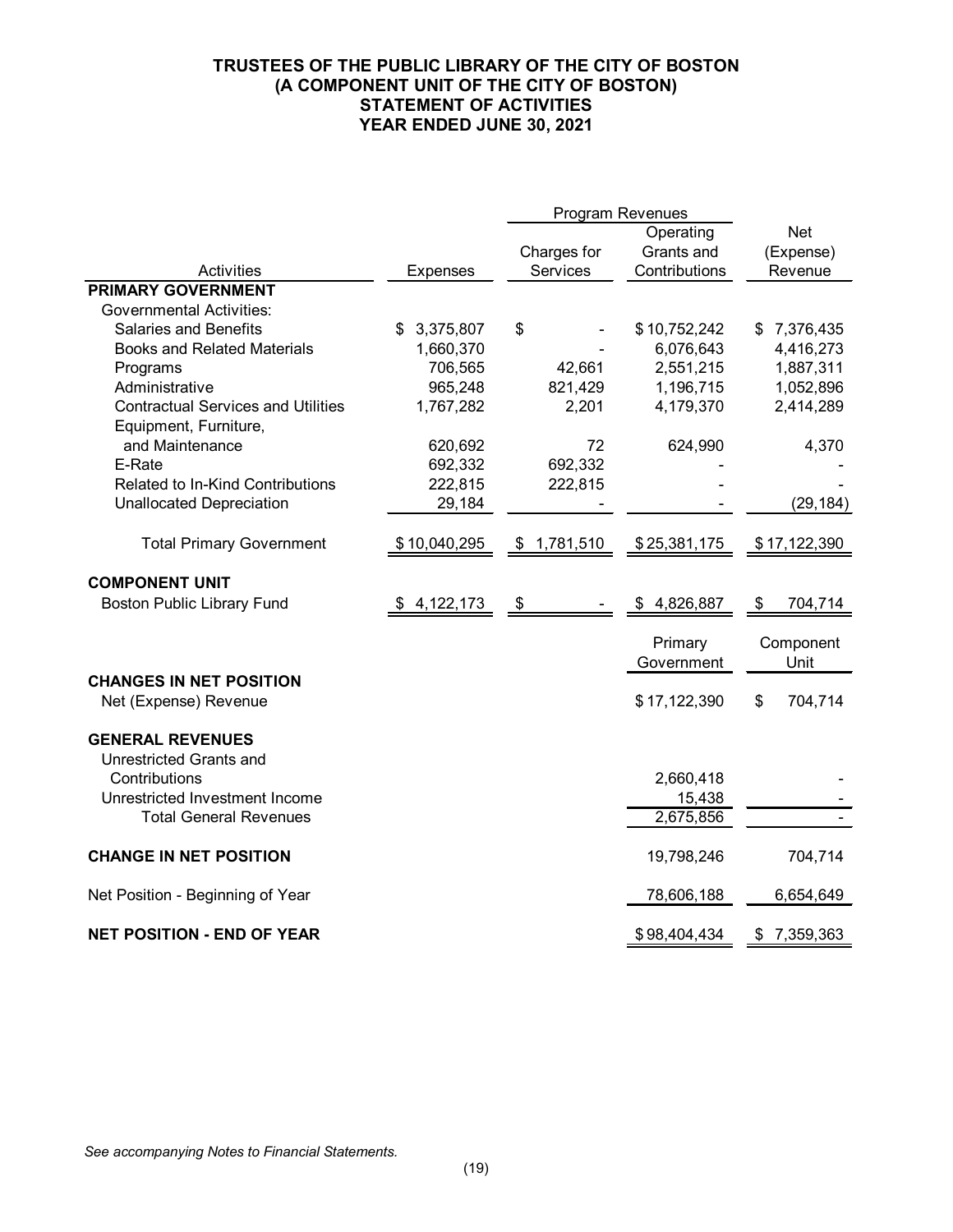### **TRUSTEES OF THE PUBLIC LIBRARY OF THE CITY OF BOSTON (A COMPONENT UNIT OF THE CITY OF BOSTON) STATEMENT OF ACTIVITIES YEAR ENDED JUNE 30, 2021**

|                                           |                 |                 | <b>Program Revenues</b> |                 |
|-------------------------------------------|-----------------|-----------------|-------------------------|-----------------|
|                                           |                 |                 | Operating               | <b>Net</b>      |
|                                           |                 | Charges for     | Grants and              | (Expense)       |
| Activities                                | <b>Expenses</b> | Services        | Contributions           | Revenue         |
| <b>PRIMARY GOVERNMENT</b>                 |                 |                 |                         |                 |
| <b>Governmental Activities:</b>           |                 |                 |                         |                 |
| <b>Salaries and Benefits</b>              | 3,375,807<br>\$ | \$              | \$10,752,242            | \$7,376,435     |
| <b>Books and Related Materials</b>        | 1,660,370       |                 | 6,076,643               | 4,416,273       |
| Programs                                  | 706,565         | 42,661          | 2,551,215               | 1,887,311       |
| Administrative                            | 965,248         | 821,429         | 1,196,715               | 1,052,896       |
| <b>Contractual Services and Utilities</b> | 1,767,282       | 2,201           | 4,179,370               | 2,414,289       |
| Equipment, Furniture,                     |                 |                 |                         |                 |
| and Maintenance                           | 620,692         | 72              | 624,990                 | 4,370           |
| E-Rate                                    | 692,332         | 692,332         |                         |                 |
| Related to In-Kind Contributions          | 222,815         | 222,815         |                         |                 |
| <b>Unallocated Depreciation</b>           | 29,184          |                 |                         | (29, 184)       |
|                                           |                 |                 |                         |                 |
| <b>Total Primary Government</b>           | \$10,040,295    | 1,781,510<br>\$ | \$25,381,175            | \$17,122,390    |
| <b>COMPONENT UNIT</b>                     |                 |                 |                         |                 |
| <b>Boston Public Library Fund</b>         | \$4,122,173     | \$              | 4,826,887<br>\$         | 704,714<br>\$   |
|                                           |                 |                 |                         |                 |
|                                           |                 |                 | Primary                 | Component       |
|                                           |                 |                 | Government              | Unit            |
| <b>CHANGES IN NET POSITION</b>            |                 |                 |                         |                 |
| Net (Expense) Revenue                     |                 |                 | \$17,122,390            | \$<br>704,714   |
| <b>GENERAL REVENUES</b>                   |                 |                 |                         |                 |
| <b>Unrestricted Grants and</b>            |                 |                 |                         |                 |
| Contributions                             |                 |                 | 2,660,418               |                 |
| Unrestricted Investment Income            |                 |                 | 15,438                  |                 |
| <b>Total General Revenues</b>             |                 |                 | 2,675,856               |                 |
| <b>CHANGE IN NET POSITION</b>             |                 |                 | 19,798,246              | 704,714         |
| Net Position - Beginning of Year          |                 |                 | 78,606,188              | 6,654,649       |
| <b>NET POSITION - END OF YEAR</b>         |                 |                 | \$98,404,434            | 7,359,363<br>\$ |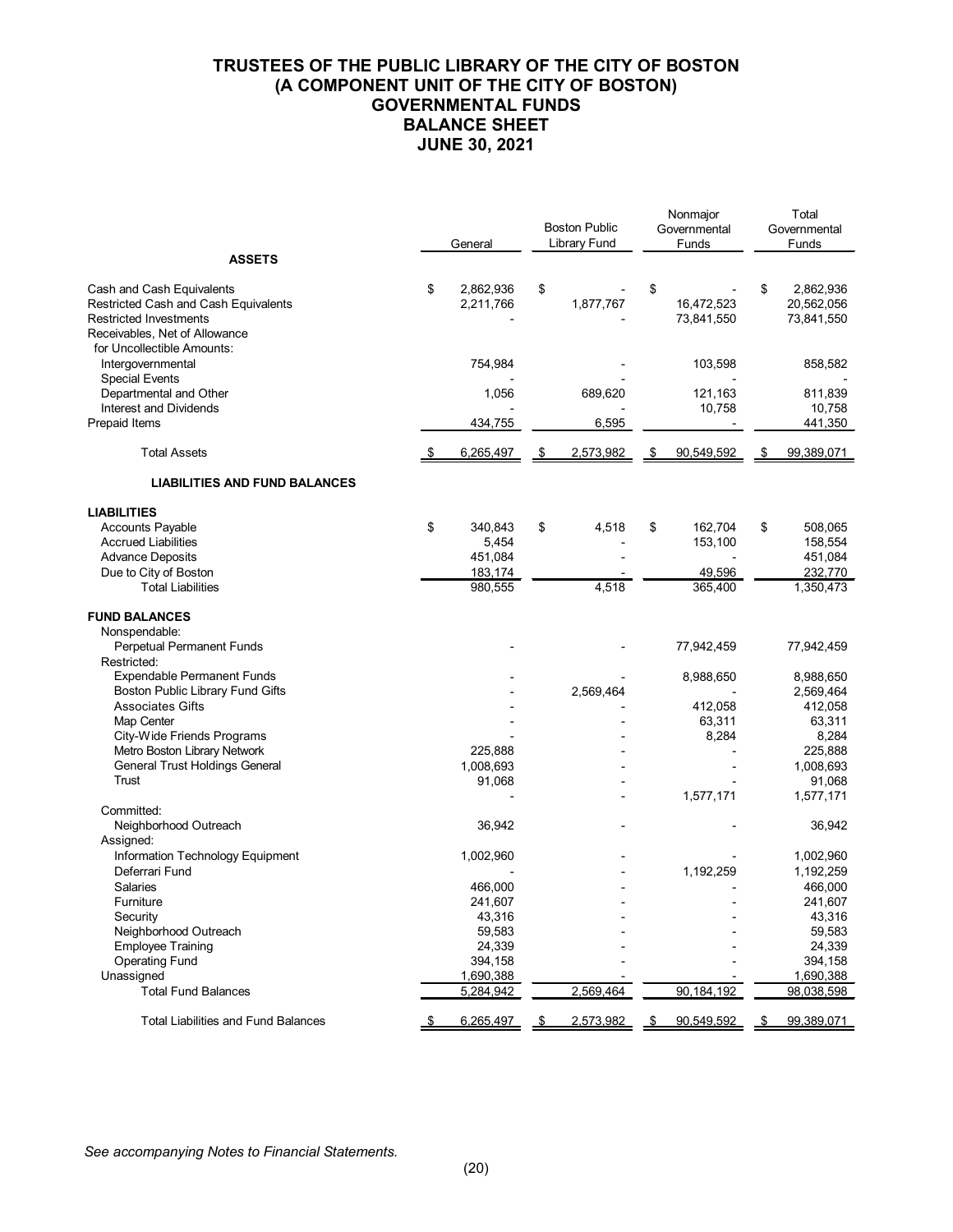# **TRUSTEES OF THE PUBLIC LIBRARY OF THE CITY OF BOSTON (A COMPONENT UNIT OF THE CITY OF BOSTON) GOVERNMENTAL FUNDS BALANCE SHEET JUNE 30, 2021**

|                                                                                                                                                                   | General                      |    | <b>Boston Public</b><br><b>Library Fund</b> | Nonmajor<br>Governmental<br>Funds | Total<br>Governmental<br>Funds              |
|-------------------------------------------------------------------------------------------------------------------------------------------------------------------|------------------------------|----|---------------------------------------------|-----------------------------------|---------------------------------------------|
| <b>ASSETS</b>                                                                                                                                                     |                              |    |                                             |                                   |                                             |
| Cash and Cash Equivalents<br>Restricted Cash and Cash Equivalents<br><b>Restricted Investments</b><br>Receivables, Net of Allowance<br>for Uncollectible Amounts: | \$<br>2,862,936<br>2,211,766 | \$ | 1,877,767                                   | \$<br>16,472,523<br>73,841,550    | \$<br>2,862,936<br>20,562,056<br>73,841,550 |
| Intergovernmental<br><b>Special Events</b>                                                                                                                        | 754,984                      |    |                                             | 103,598                           | 858,582                                     |
| Departmental and Other<br>Interest and Dividends                                                                                                                  | 1,056                        |    | 689,620                                     | 121,163<br>10,758                 | 811,839<br>10,758                           |
| Prepaid Items                                                                                                                                                     | 434,755                      |    | 6,595                                       |                                   | 441,350                                     |
| <b>Total Assets</b>                                                                                                                                               | 6,265,497                    | S. | 2,573,982                                   | \$<br>90,549,592                  | 99,389,071                                  |
| <b>LIABILITIES AND FUND BALANCES</b>                                                                                                                              |                              |    |                                             |                                   |                                             |
| <b>LIABILITIES</b>                                                                                                                                                |                              |    |                                             |                                   |                                             |
| <b>Accounts Payable</b>                                                                                                                                           | \$<br>340,843                | \$ | 4,518                                       | \$<br>162,704                     | \$<br>508,065                               |
| <b>Accrued Liabilities</b>                                                                                                                                        | 5,454                        |    |                                             | 153,100                           | 158,554                                     |
| <b>Advance Deposits</b>                                                                                                                                           | 451,084                      |    |                                             |                                   | 451,084                                     |
| Due to City of Boston<br><b>Total Liabilities</b>                                                                                                                 | 183,174<br>980,555           |    | 4,518                                       | 49,596<br>365,400                 | 232,770<br>1,350,473                        |
| <b>FUND BALANCES</b>                                                                                                                                              |                              |    |                                             |                                   |                                             |
| Nonspendable:                                                                                                                                                     |                              |    |                                             |                                   |                                             |
| <b>Perpetual Permanent Funds</b>                                                                                                                                  |                              |    |                                             | 77,942,459                        | 77,942,459                                  |
| Restricted:                                                                                                                                                       |                              |    |                                             |                                   |                                             |
| <b>Expendable Permanent Funds</b>                                                                                                                                 |                              |    |                                             | 8,988,650                         | 8,988,650                                   |
| Boston Public Library Fund Gifts                                                                                                                                  |                              |    | 2,569,464                                   |                                   | 2,569,464                                   |
| <b>Associates Gifts</b>                                                                                                                                           |                              |    |                                             | 412,058                           | 412,058                                     |
| Map Center                                                                                                                                                        |                              |    |                                             | 63,311                            | 63,311                                      |
| City-Wide Friends Programs                                                                                                                                        |                              |    |                                             | 8,284                             | 8,284                                       |
| Metro Boston Library Network                                                                                                                                      | 225,888                      |    |                                             |                                   | 225,888                                     |
| <b>General Trust Holdings General</b>                                                                                                                             | 1,008,693                    |    |                                             |                                   | 1,008,693                                   |
| Trust                                                                                                                                                             | 91,068                       |    |                                             |                                   | 91,068                                      |
|                                                                                                                                                                   |                              |    |                                             | 1,577,171                         | 1,577,171                                   |
| Committed:                                                                                                                                                        |                              |    |                                             |                                   |                                             |
| Neighborhood Outreach                                                                                                                                             | 36,942                       |    |                                             |                                   | 36,942                                      |
| Assigned:                                                                                                                                                         |                              |    |                                             |                                   |                                             |
| Information Technology Equipment                                                                                                                                  | 1,002,960                    |    |                                             |                                   | 1,002,960                                   |
| Deferrari Fund                                                                                                                                                    |                              |    |                                             | 1,192,259                         | 1,192,259                                   |
| <b>Salaries</b>                                                                                                                                                   | 466,000                      |    |                                             |                                   | 466,000                                     |
| Furniture                                                                                                                                                         | 241,607                      |    |                                             |                                   | 241,607                                     |
| Security                                                                                                                                                          | 43,316                       |    |                                             |                                   | 43,316                                      |
| Neighborhood Outreach                                                                                                                                             | 59,583                       |    |                                             |                                   | 59,583                                      |
| <b>Employee Training</b>                                                                                                                                          | 24,339                       |    |                                             |                                   | 24,339                                      |
| <b>Operating Fund</b>                                                                                                                                             | 394,158                      |    |                                             |                                   | 394,158                                     |
| Unassigned                                                                                                                                                        | 1,690,388                    |    |                                             |                                   | 1,690,388                                   |
| <b>Total Fund Balances</b>                                                                                                                                        | 5,284,942                    |    | 2,569,464                                   | 90,184,192                        | 98,038,598                                  |
| <b>Total Liabilities and Fund Balances</b>                                                                                                                        | 6,265,497                    | \$ | 2,573,982                                   | 90,549,592                        | 99,389,071                                  |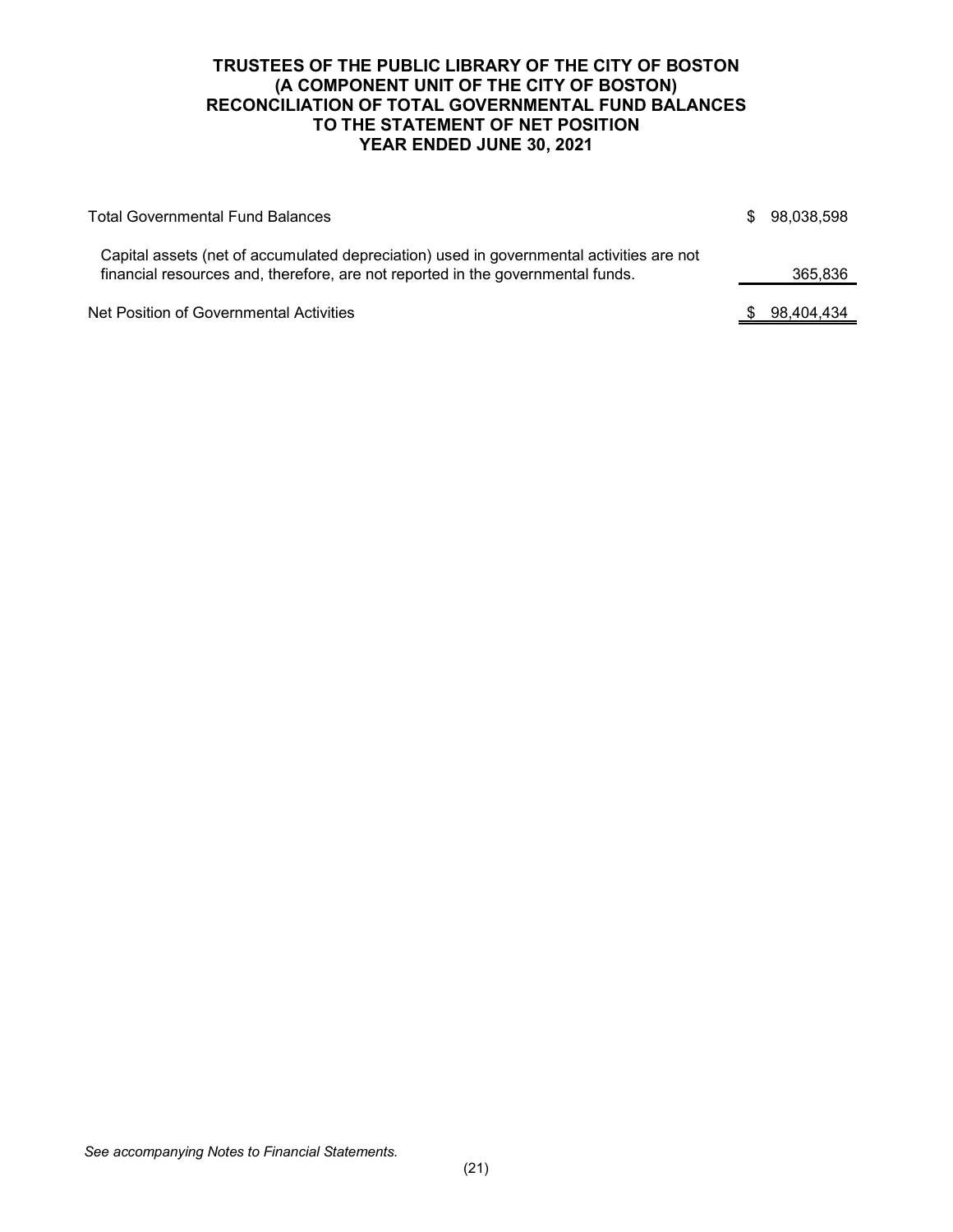### **TRUSTEES OF THE PUBLIC LIBRARY OF THE CITY OF BOSTON (A COMPONENT UNIT OF THE CITY OF BOSTON) RECONCILIATION OF TOTAL GOVERNMENTAL FUND BALANCES TO THE STATEMENT OF NET POSITION YEAR ENDED JUNE 30, 2021**

| Total Governmental Fund Balances                                                         | \$. | 98,038,598 |
|------------------------------------------------------------------------------------------|-----|------------|
| Capital assets (net of accumulated depreciation) used in governmental activities are not |     |            |
| financial resources and, therefore, are not reported in the governmental funds.          |     | 365,836    |
| Net Position of Governmental Activities                                                  |     | 98,404,434 |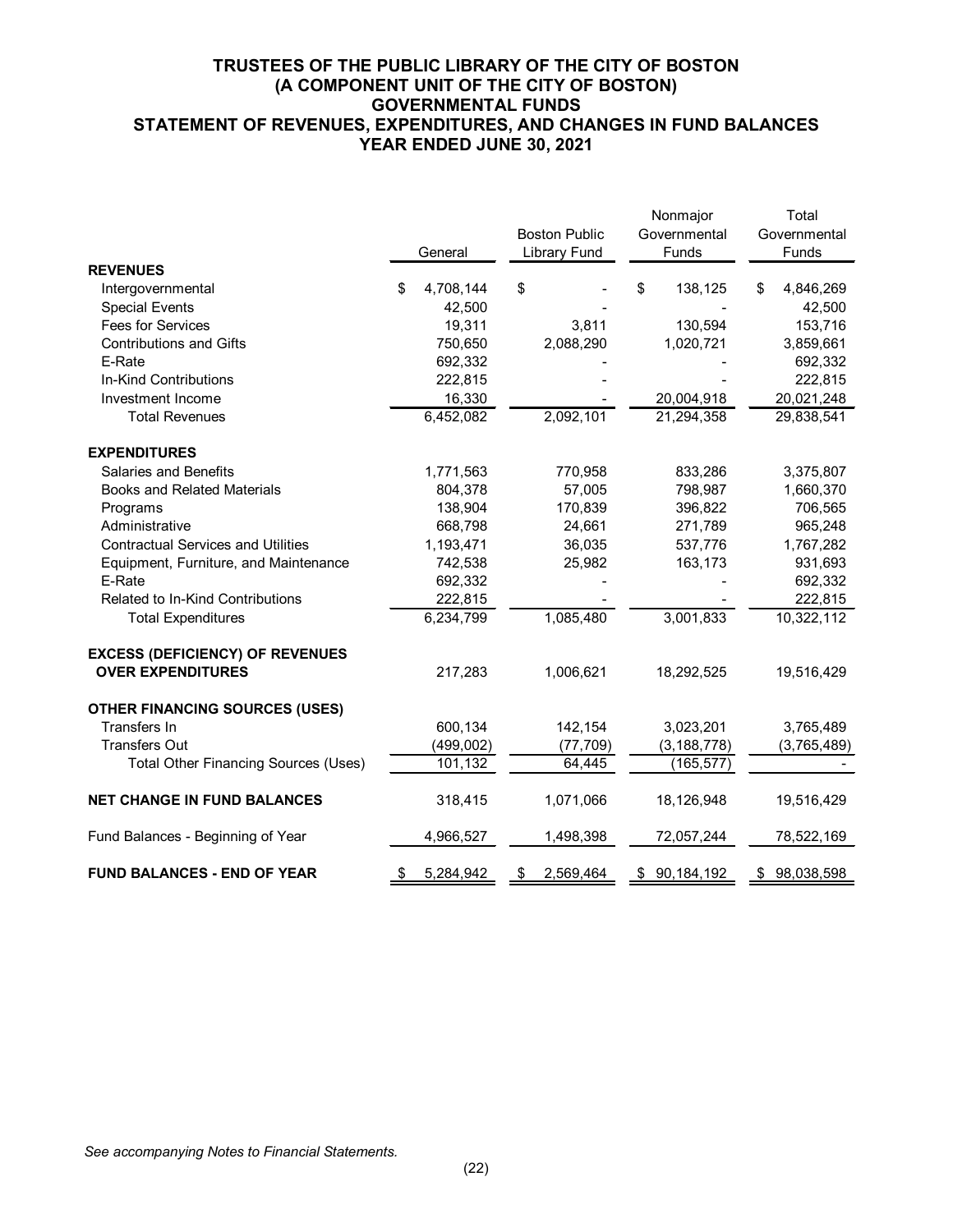## **TRUSTEES OF THE PUBLIC LIBRARY OF THE CITY OF BOSTON (A COMPONENT UNIT OF THE CITY OF BOSTON) GOVERNMENTAL FUNDS STATEMENT OF REVENUES, EXPENDITURES, AND CHANGES IN FUND BALANCES YEAR ENDED JUNE 30, 2021**

|                                           |                 |                      |     | Nonmajor      |     | Total        |
|-------------------------------------------|-----------------|----------------------|-----|---------------|-----|--------------|
|                                           |                 | <b>Boston Public</b> |     | Governmental  |     | Governmental |
|                                           | General         | <b>Library Fund</b>  |     | <b>Funds</b>  |     | Funds        |
| <b>REVENUES</b>                           |                 |                      |     |               |     |              |
| Intergovernmental                         | \$<br>4,708,144 | \$                   | \$  | 138,125       | \$  | 4,846,269    |
| <b>Special Events</b>                     | 42,500          |                      |     |               |     | 42,500       |
| Fees for Services                         | 19,311          | 3,811                |     | 130,594       |     | 153,716      |
| <b>Contributions and Gifts</b>            | 750,650         | 2,088,290            |     | 1,020,721     |     | 3,859,661    |
| E-Rate                                    | 692,332         |                      |     |               |     | 692,332      |
| In-Kind Contributions                     | 222,815         |                      |     |               |     | 222,815      |
| Investment Income                         | 16,330          |                      |     | 20,004,918    |     | 20,021,248   |
| <b>Total Revenues</b>                     | 6,452,082       | 2,092,101            |     | 21,294,358    |     | 29,838,541   |
| <b>EXPENDITURES</b>                       |                 |                      |     |               |     |              |
| <b>Salaries and Benefits</b>              | 1,771,563       | 770,958              |     | 833,286       |     | 3,375,807    |
| <b>Books and Related Materials</b>        | 804,378         | 57,005               |     | 798,987       |     | 1,660,370    |
| Programs                                  | 138,904         | 170,839              |     | 396,822       |     | 706,565      |
| Administrative                            | 668,798         | 24,661               |     | 271,789       |     | 965,248      |
| <b>Contractual Services and Utilities</b> | 1,193,471       | 36,035               |     | 537,776       |     | 1,767,282    |
| Equipment, Furniture, and Maintenance     | 742,538         | 25,982               |     | 163,173       |     | 931,693      |
| E-Rate                                    | 692,332         |                      |     |               |     | 692,332      |
| Related to In-Kind Contributions          | 222,815         |                      |     |               |     | 222,815      |
| <b>Total Expenditures</b>                 | 6,234,799       | 1,085,480            |     | 3,001,833     |     | 10,322,112   |
| <b>EXCESS (DEFICIENCY) OF REVENUES</b>    |                 |                      |     |               |     |              |
| <b>OVER EXPENDITURES</b>                  | 217,283         | 1,006,621            |     | 18,292,525    |     | 19,516,429   |
| <b>OTHER FINANCING SOURCES (USES)</b>     |                 |                      |     |               |     |              |
| Transfers In                              | 600,134         | 142,154              |     | 3,023,201     |     | 3,765,489    |
| <b>Transfers Out</b>                      | (499,002)       | (77, 709)            |     | (3, 188, 778) |     | (3,765,489)  |
| Total Other Financing Sources (Uses)      | 101,132         | 64,445               |     | (165, 577)    |     |              |
| <b>NET CHANGE IN FUND BALANCES</b>        | 318,415         | 1,071,066            |     | 18,126,948    |     | 19,516,429   |
| Fund Balances - Beginning of Year         | 4,966,527       | 1,498,398            |     | 72,057,244    |     | 78,522,169   |
| <b>FUND BALANCES - END OF YEAR</b>        | \$<br>5,284,942 | \$<br>2,569,464      | \$. | 90,184,192    | \$. | 98,038,598   |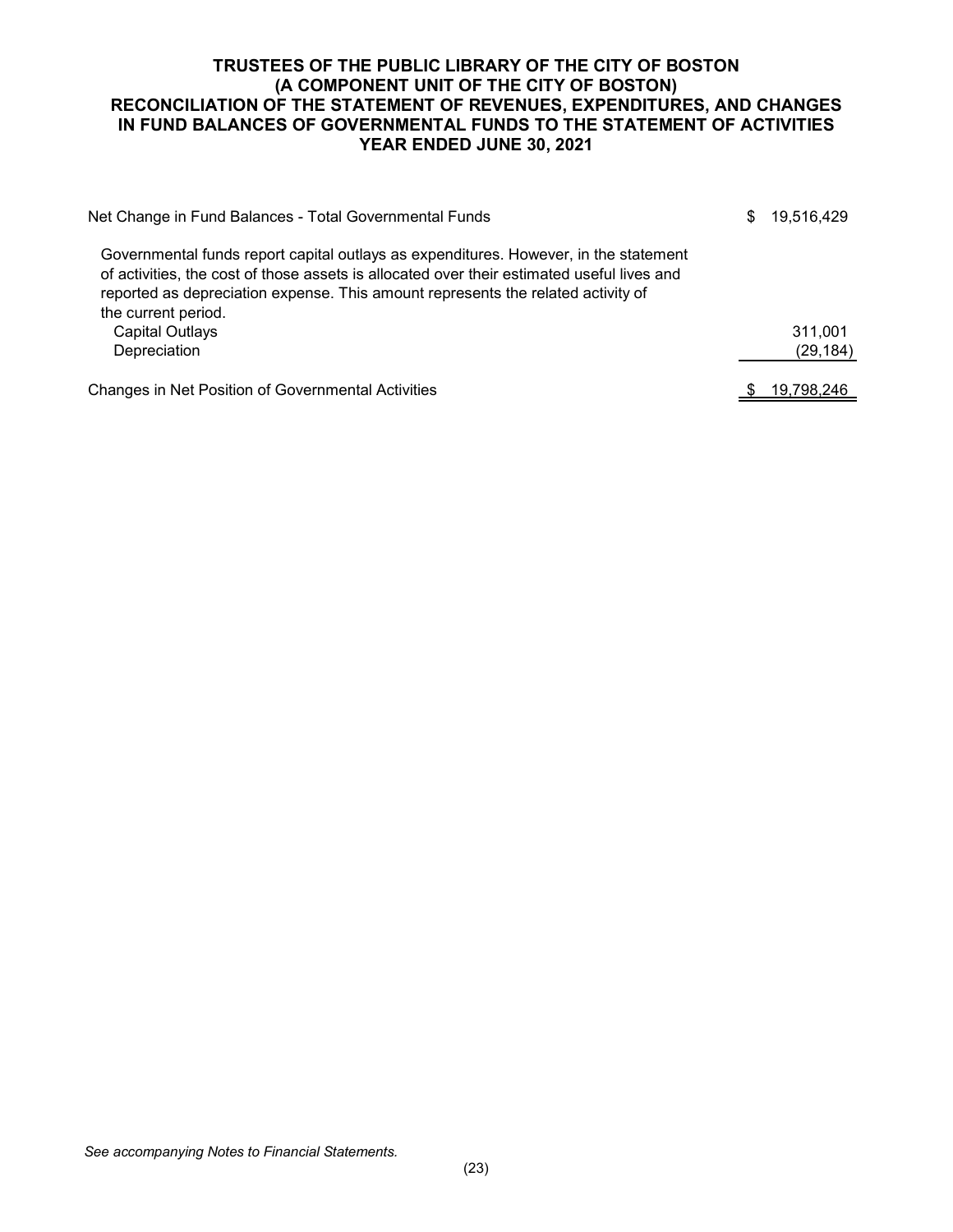### **TRUSTEES OF THE PUBLIC LIBRARY OF THE CITY OF BOSTON (A COMPONENT UNIT OF THE CITY OF BOSTON) RECONCILIATION OF THE STATEMENT OF REVENUES, EXPENDITURES, AND CHANGES IN FUND BALANCES OF GOVERNMENTAL FUNDS TO THE STATEMENT OF ACTIVITIES YEAR ENDED JUNE 30, 2021**

| Net Change in Fund Balances - Total Governmental Funds                                                                                                                                                                                                                 | S. | 19,516,429 |
|------------------------------------------------------------------------------------------------------------------------------------------------------------------------------------------------------------------------------------------------------------------------|----|------------|
| Governmental funds report capital outlays as expenditures. However, in the statement<br>of activities, the cost of those assets is allocated over their estimated useful lives and<br>reported as depreciation expense. This amount represents the related activity of |    |            |
| the current period.                                                                                                                                                                                                                                                    |    |            |
| <b>Capital Outlays</b>                                                                                                                                                                                                                                                 |    | 311,001    |
| Depreciation                                                                                                                                                                                                                                                           |    | (29, 184)  |
| Changes in Net Position of Governmental Activities                                                                                                                                                                                                                     |    | 19,798,246 |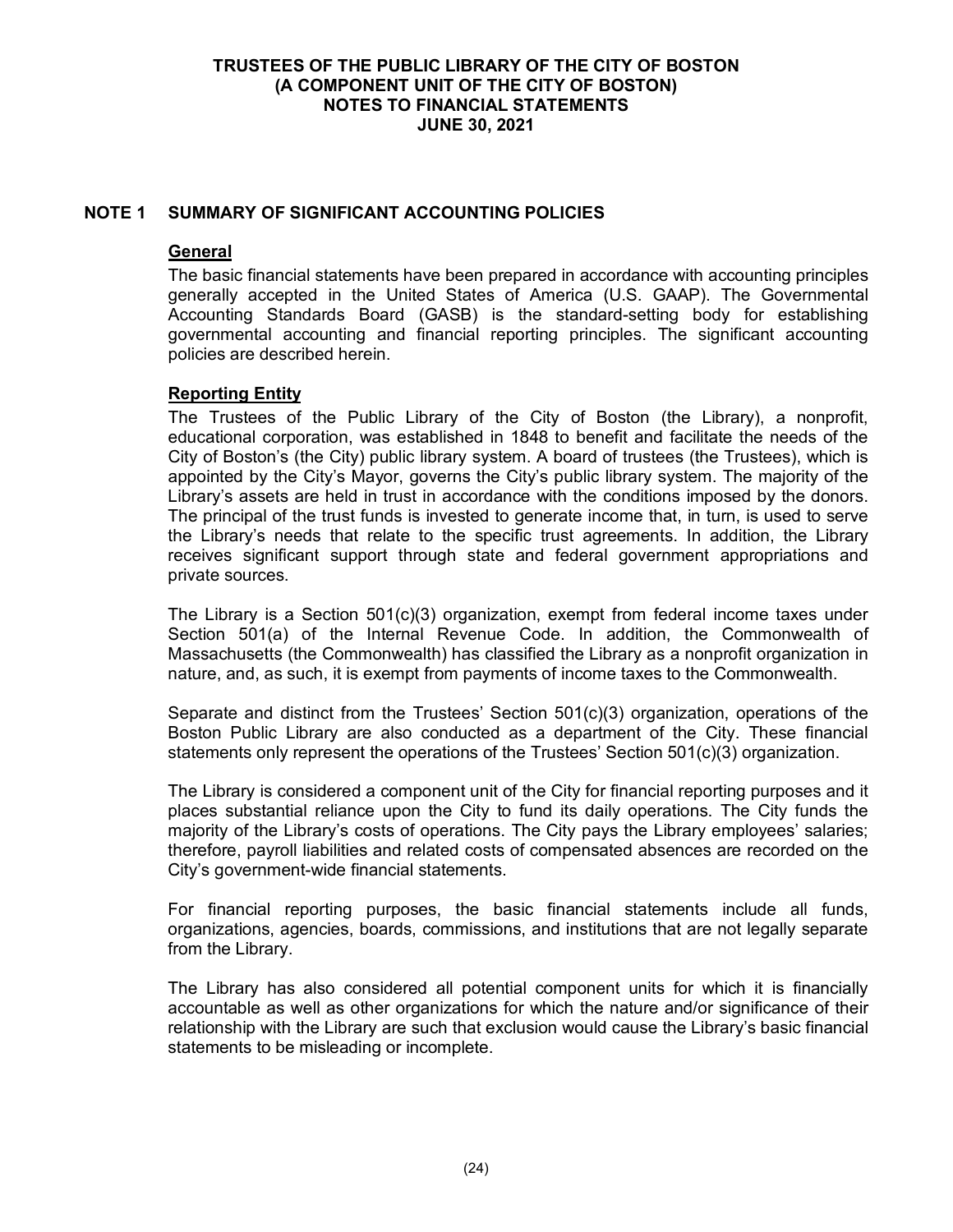# **NOTE 1 SUMMARY OF SIGNIFICANT ACCOUNTING POLICIES**

### **General**

The basic financial statements have been prepared in accordance with accounting principles generally accepted in the United States of America (U.S. GAAP). The Governmental Accounting Standards Board (GASB) is the standard-setting body for establishing governmental accounting and financial reporting principles. The significant accounting policies are described herein.

### **Reporting Entity**

The Trustees of the Public Library of the City of Boston (the Library), a nonprofit, educational corporation, was established in 1848 to benefit and facilitate the needs of the City of Boston's (the City) public library system. A board of trustees (the Trustees), which is appointed by the City's Mayor, governs the City's public library system. The majority of the Library's assets are held in trust in accordance with the conditions imposed by the donors. The principal of the trust funds is invested to generate income that, in turn, is used to serve the Library's needs that relate to the specific trust agreements. In addition, the Library receives significant support through state and federal government appropriations and private sources.

The Library is a Section  $501(c)(3)$  organization, exempt from federal income taxes under Section 501(a) of the Internal Revenue Code. In addition, the Commonwealth of Massachusetts (the Commonwealth) has classified the Library as a nonprofit organization in nature, and, as such, it is exempt from payments of income taxes to the Commonwealth.

Separate and distinct from the Trustees' Section 501(c)(3) organization, operations of the Boston Public Library are also conducted as a department of the City. These financial statements only represent the operations of the Trustees' Section 501(c)(3) organization.

The Library is considered a component unit of the City for financial reporting purposes and it places substantial reliance upon the City to fund its daily operations. The City funds the majority of the Library's costs of operations. The City pays the Library employees' salaries; therefore, payroll liabilities and related costs of compensated absences are recorded on the City's government-wide financial statements.

For financial reporting purposes, the basic financial statements include all funds, organizations, agencies, boards, commissions, and institutions that are not legally separate from the Library.

The Library has also considered all potential component units for which it is financially accountable as well as other organizations for which the nature and/or significance of their relationship with the Library are such that exclusion would cause the Library's basic financial statements to be misleading or incomplete.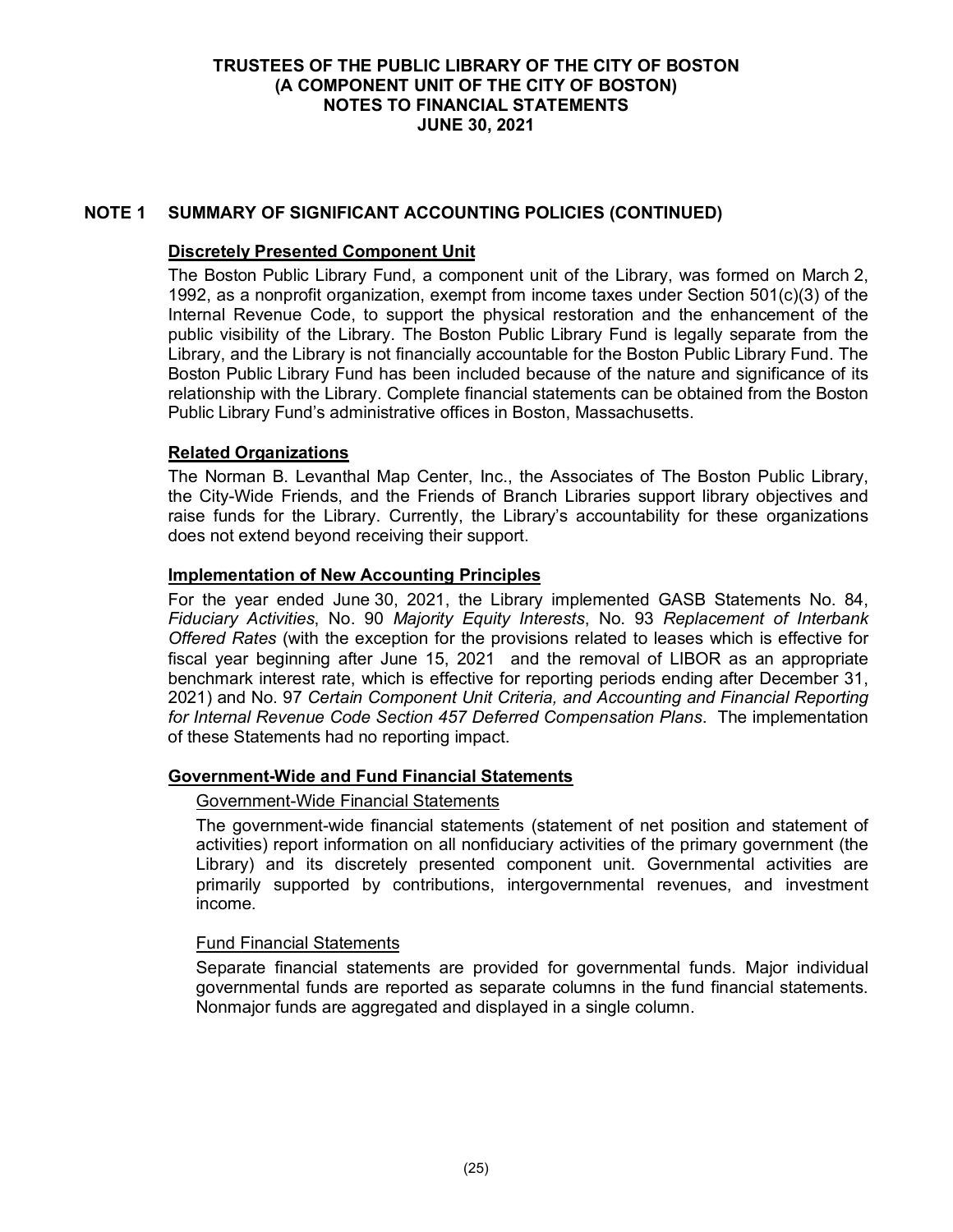# **NOTE 1 SUMMARY OF SIGNIFICANT ACCOUNTING POLICIES (CONTINUED)**

## **Discretely Presented Component Unit**

The Boston Public Library Fund, a component unit of the Library, was formed on March 2, 1992, as a nonprofit organization, exempt from income taxes under Section 501(c)(3) of the Internal Revenue Code, to support the physical restoration and the enhancement of the public visibility of the Library. The Boston Public Library Fund is legally separate from the Library, and the Library is not financially accountable for the Boston Public Library Fund. The Boston Public Library Fund has been included because of the nature and significance of its relationship with the Library. Complete financial statements can be obtained from the Boston Public Library Fund's administrative offices in Boston, Massachusetts.

## **Related Organizations**

The Norman B. Levanthal Map Center, Inc., the Associates of The Boston Public Library, the City-Wide Friends, and the Friends of Branch Libraries support library objectives and raise funds for the Library. Currently, the Library's accountability for these organizations does not extend beyond receiving their support.

### **Implementation of New Accounting Principles**

For the year ended June 30, 2021, the Library implemented GASB Statements No. 84, *Fiduciary Activities*, No. 90 *Majority Equity Interests*, No. 93 *Replacement of Interbank Offered Rates* (with the exception for the provisions related to leases which is effective for fiscal year beginning after June 15, 2021 and the removal of LIBOR as an appropriate benchmark interest rate, which is effective for reporting periods ending after December 31, 2021) and No. 97 *Certain Component Unit Criteria, and Accounting and Financial Reporting for Internal Revenue Code Section 457 Deferred Compensation Plans*. The implementation of these Statements had no reporting impact.

#### **Government-Wide and Fund Financial Statements**

#### Government-Wide Financial Statements

The government-wide financial statements (statement of net position and statement of activities) report information on all nonfiduciary activities of the primary government (the Library) and its discretely presented component unit. Governmental activities are primarily supported by contributions, intergovernmental revenues, and investment income.

#### Fund Financial Statements

Separate financial statements are provided for governmental funds. Major individual governmental funds are reported as separate columns in the fund financial statements. Nonmajor funds are aggregated and displayed in a single column.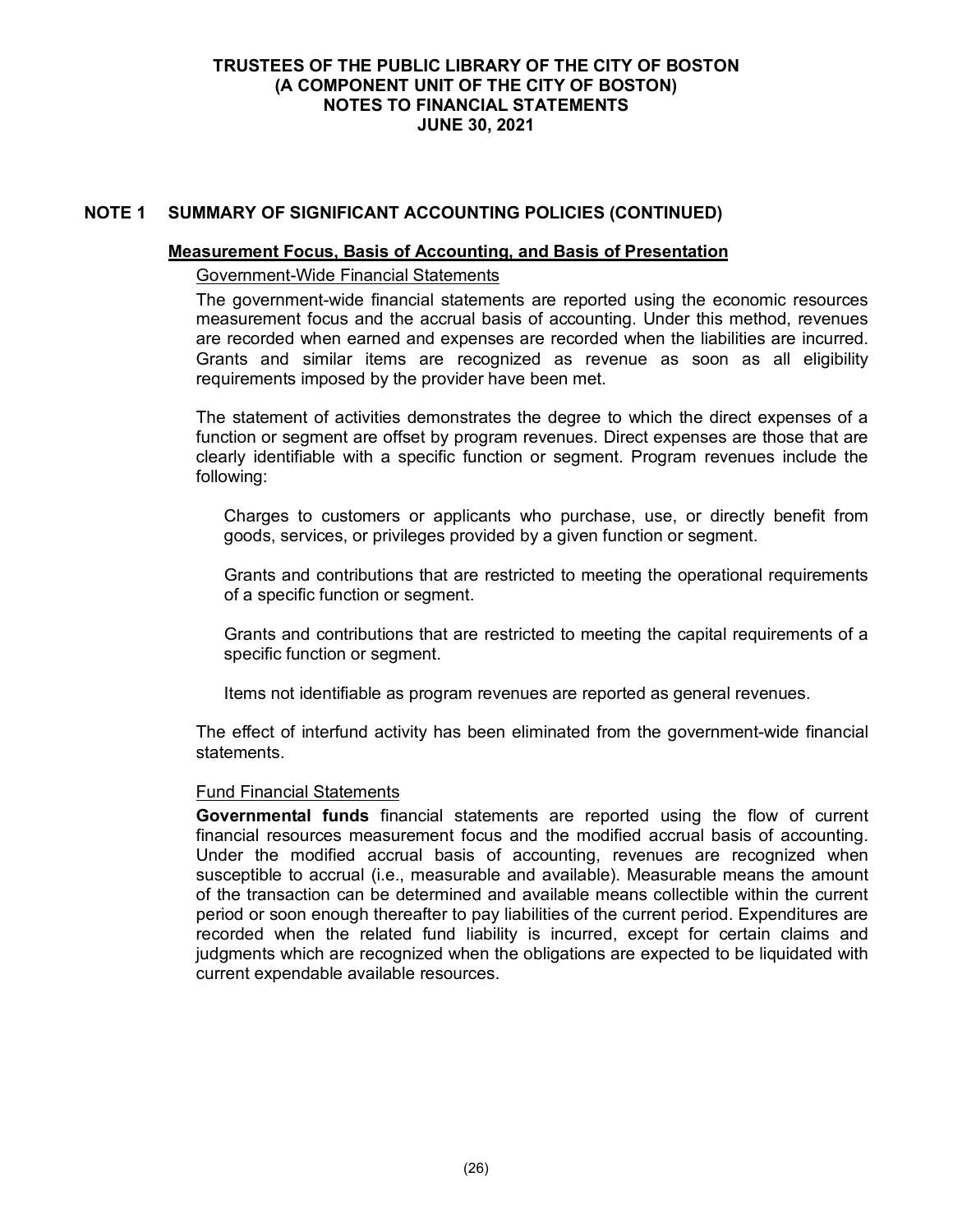## **NOTE 1 SUMMARY OF SIGNIFICANT ACCOUNTING POLICIES (CONTINUED)**

## **Measurement Focus, Basis of Accounting, and Basis of Presentation**

Government-Wide Financial Statements

The government-wide financial statements are reported using the economic resources measurement focus and the accrual basis of accounting. Under this method, revenues are recorded when earned and expenses are recorded when the liabilities are incurred. Grants and similar items are recognized as revenue as soon as all eligibility requirements imposed by the provider have been met.

The statement of activities demonstrates the degree to which the direct expenses of a function or segment are offset by program revenues. Direct expenses are those that are clearly identifiable with a specific function or segment. Program revenues include the following:

Charges to customers or applicants who purchase, use, or directly benefit from goods, services, or privileges provided by a given function or segment.

Grants and contributions that are restricted to meeting the operational requirements of a specific function or segment.

Grants and contributions that are restricted to meeting the capital requirements of a specific function or segment.

Items not identifiable as program revenues are reported as general revenues.

The effect of interfund activity has been eliminated from the government-wide financial statements.

#### Fund Financial Statements

**Governmental funds** financial statements are reported using the flow of current financial resources measurement focus and the modified accrual basis of accounting. Under the modified accrual basis of accounting, revenues are recognized when susceptible to accrual (i.e., measurable and available). Measurable means the amount of the transaction can be determined and available means collectible within the current period or soon enough thereafter to pay liabilities of the current period. Expenditures are recorded when the related fund liability is incurred, except for certain claims and judgments which are recognized when the obligations are expected to be liquidated with current expendable available resources.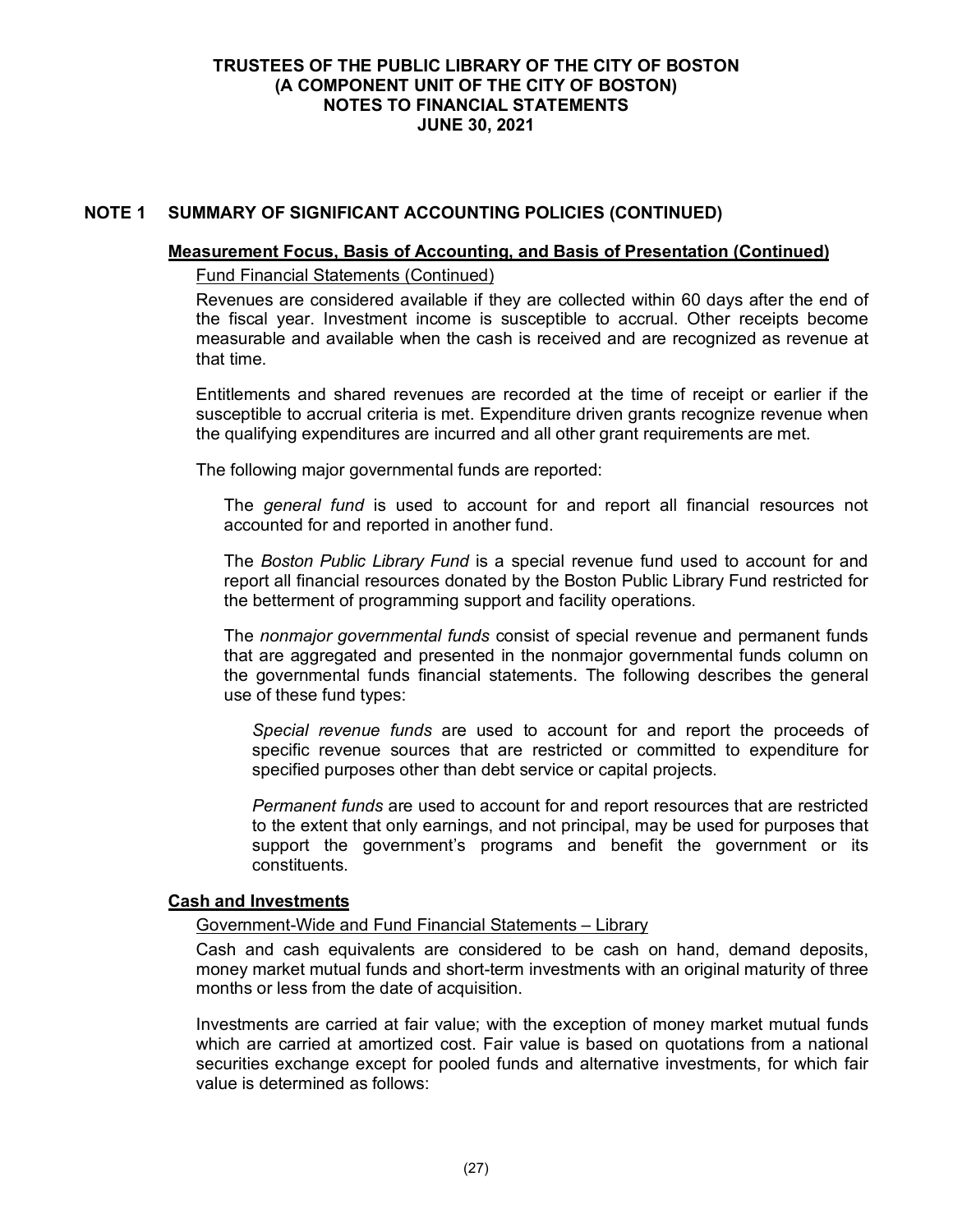## **NOTE 1 SUMMARY OF SIGNIFICANT ACCOUNTING POLICIES (CONTINUED)**

## **Measurement Focus, Basis of Accounting, and Basis of Presentation (Continued)**

Fund Financial Statements (Continued)

Revenues are considered available if they are collected within 60 days after the end of the fiscal year. Investment income is susceptible to accrual. Other receipts become measurable and available when the cash is received and are recognized as revenue at that time.

Entitlements and shared revenues are recorded at the time of receipt or earlier if the susceptible to accrual criteria is met. Expenditure driven grants recognize revenue when the qualifying expenditures are incurred and all other grant requirements are met.

The following major governmental funds are reported:

The *general fund* is used to account for and report all financial resources not accounted for and reported in another fund.

The *Boston Public Library Fund* is a special revenue fund used to account for and report all financial resources donated by the Boston Public Library Fund restricted for the betterment of programming support and facility operations.

The *nonmajor governmental funds* consist of special revenue and permanent funds that are aggregated and presented in the nonmajor governmental funds column on the governmental funds financial statements. The following describes the general use of these fund types:

*Special revenue funds* are used to account for and report the proceeds of specific revenue sources that are restricted or committed to expenditure for specified purposes other than debt service or capital projects.

*Permanent funds* are used to account for and report resources that are restricted to the extent that only earnings, and not principal, may be used for purposes that support the government's programs and benefit the government or its constituents.

#### **Cash and Investments**

Government-Wide and Fund Financial Statements – Library

Cash and cash equivalents are considered to be cash on hand, demand deposits, money market mutual funds and short-term investments with an original maturity of three months or less from the date of acquisition.

Investments are carried at fair value; with the exception of money market mutual funds which are carried at amortized cost. Fair value is based on quotations from a national securities exchange except for pooled funds and alternative investments, for which fair value is determined as follows: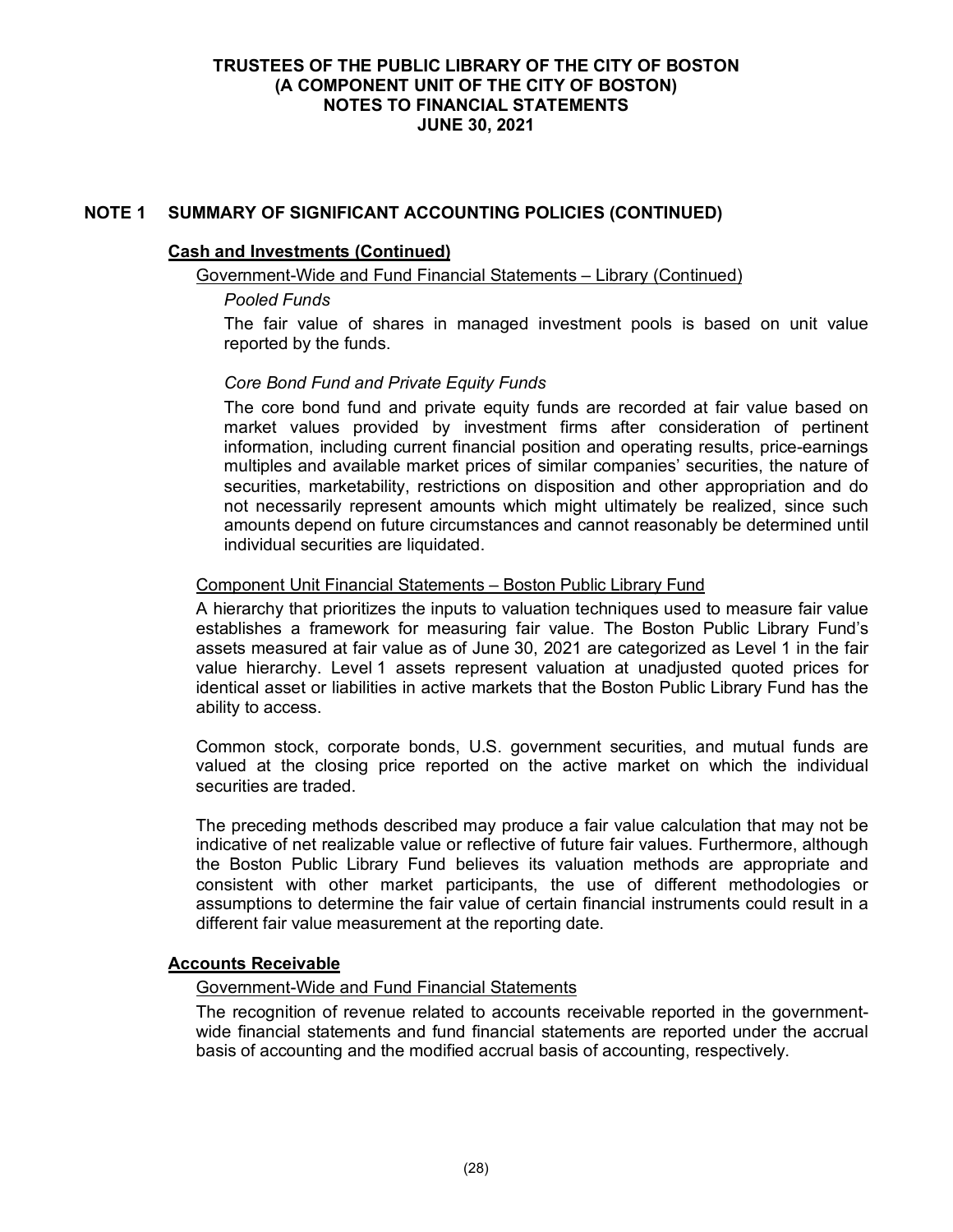## **NOTE 1 SUMMARY OF SIGNIFICANT ACCOUNTING POLICIES (CONTINUED)**

### **Cash and Investments (Continued)**

Government-Wide and Fund Financial Statements – Library (Continued)

### *Pooled Funds*

The fair value of shares in managed investment pools is based on unit value reported by the funds.

## *Core Bond Fund and Private Equity Funds*

The core bond fund and private equity funds are recorded at fair value based on market values provided by investment firms after consideration of pertinent information, including current financial position and operating results, price-earnings multiples and available market prices of similar companies' securities, the nature of securities, marketability, restrictions on disposition and other appropriation and do not necessarily represent amounts which might ultimately be realized, since such amounts depend on future circumstances and cannot reasonably be determined until individual securities are liquidated.

## Component Unit Financial Statements – Boston Public Library Fund

A hierarchy that prioritizes the inputs to valuation techniques used to measure fair value establishes a framework for measuring fair value. The Boston Public Library Fund's assets measured at fair value as of June 30, 2021 are categorized as Level 1 in the fair value hierarchy. Level 1 assets represent valuation at unadjusted quoted prices for identical asset or liabilities in active markets that the Boston Public Library Fund has the ability to access.

Common stock, corporate bonds, U.S. government securities, and mutual funds are valued at the closing price reported on the active market on which the individual securities are traded.

The preceding methods described may produce a fair value calculation that may not be indicative of net realizable value or reflective of future fair values. Furthermore, although the Boston Public Library Fund believes its valuation methods are appropriate and consistent with other market participants, the use of different methodologies or assumptions to determine the fair value of certain financial instruments could result in a different fair value measurement at the reporting date.

## **Accounts Receivable**

## Government-Wide and Fund Financial Statements

The recognition of revenue related to accounts receivable reported in the governmentwide financial statements and fund financial statements are reported under the accrual basis of accounting and the modified accrual basis of accounting, respectively.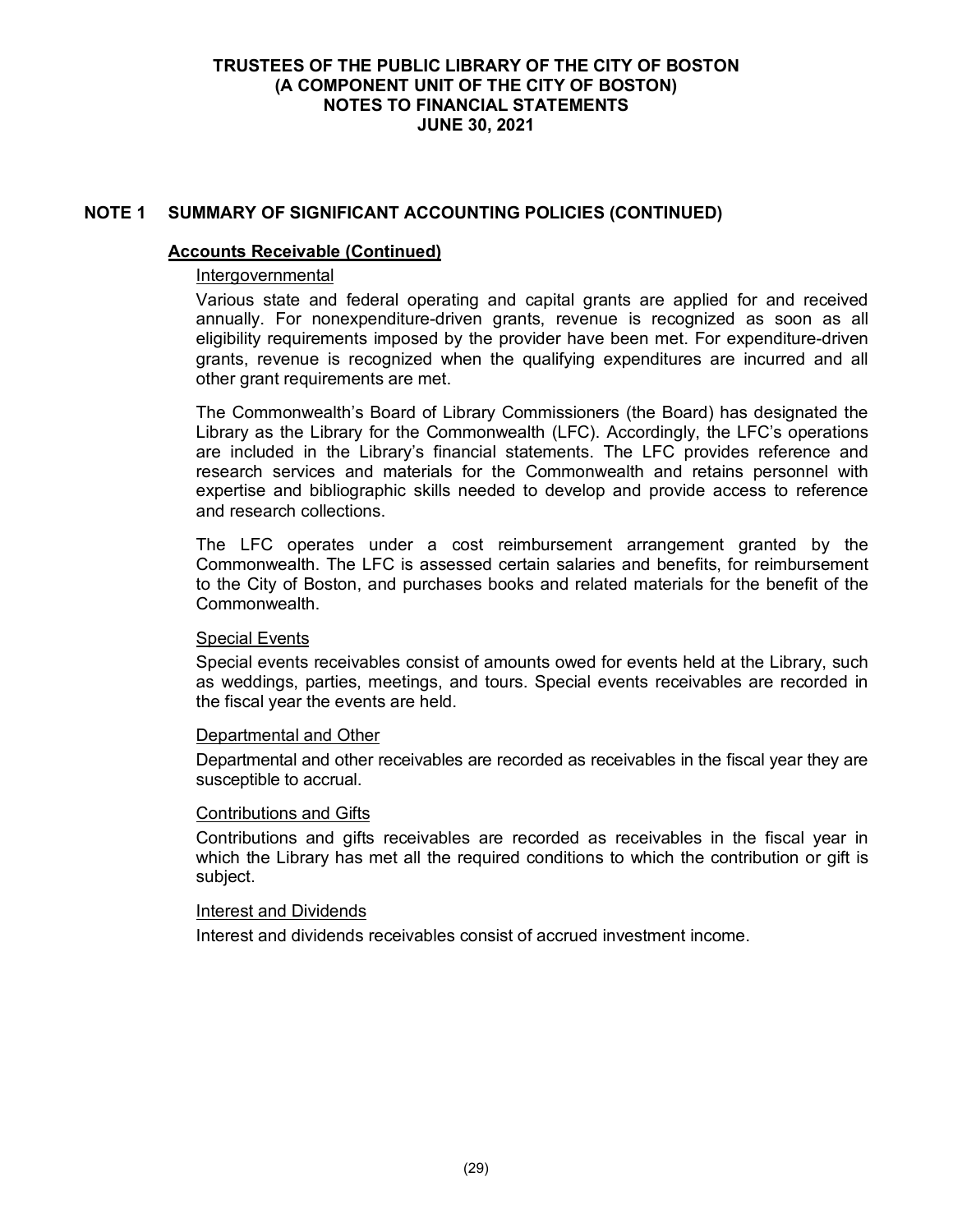# **NOTE 1 SUMMARY OF SIGNIFICANT ACCOUNTING POLICIES (CONTINUED)**

## **Accounts Receivable (Continued)**

### Intergovernmental

Various state and federal operating and capital grants are applied for and received annually. For nonexpenditure-driven grants, revenue is recognized as soon as all eligibility requirements imposed by the provider have been met. For expenditure-driven grants, revenue is recognized when the qualifying expenditures are incurred and all other grant requirements are met.

The Commonwealth's Board of Library Commissioners (the Board) has designated the Library as the Library for the Commonwealth (LFC). Accordingly, the LFC's operations are included in the Library's financial statements. The LFC provides reference and research services and materials for the Commonwealth and retains personnel with expertise and bibliographic skills needed to develop and provide access to reference and research collections.

The LFC operates under a cost reimbursement arrangement granted by the Commonwealth. The LFC is assessed certain salaries and benefits, for reimbursement to the City of Boston, and purchases books and related materials for the benefit of the Commonwealth.

#### Special Events

Special events receivables consist of amounts owed for events held at the Library, such as weddings, parties, meetings, and tours. Special events receivables are recorded in the fiscal year the events are held.

#### Departmental and Other

Departmental and other receivables are recorded as receivables in the fiscal year they are susceptible to accrual.

#### Contributions and Gifts

Contributions and gifts receivables are recorded as receivables in the fiscal year in which the Library has met all the required conditions to which the contribution or gift is subject.

#### Interest and Dividends

Interest and dividends receivables consist of accrued investment income.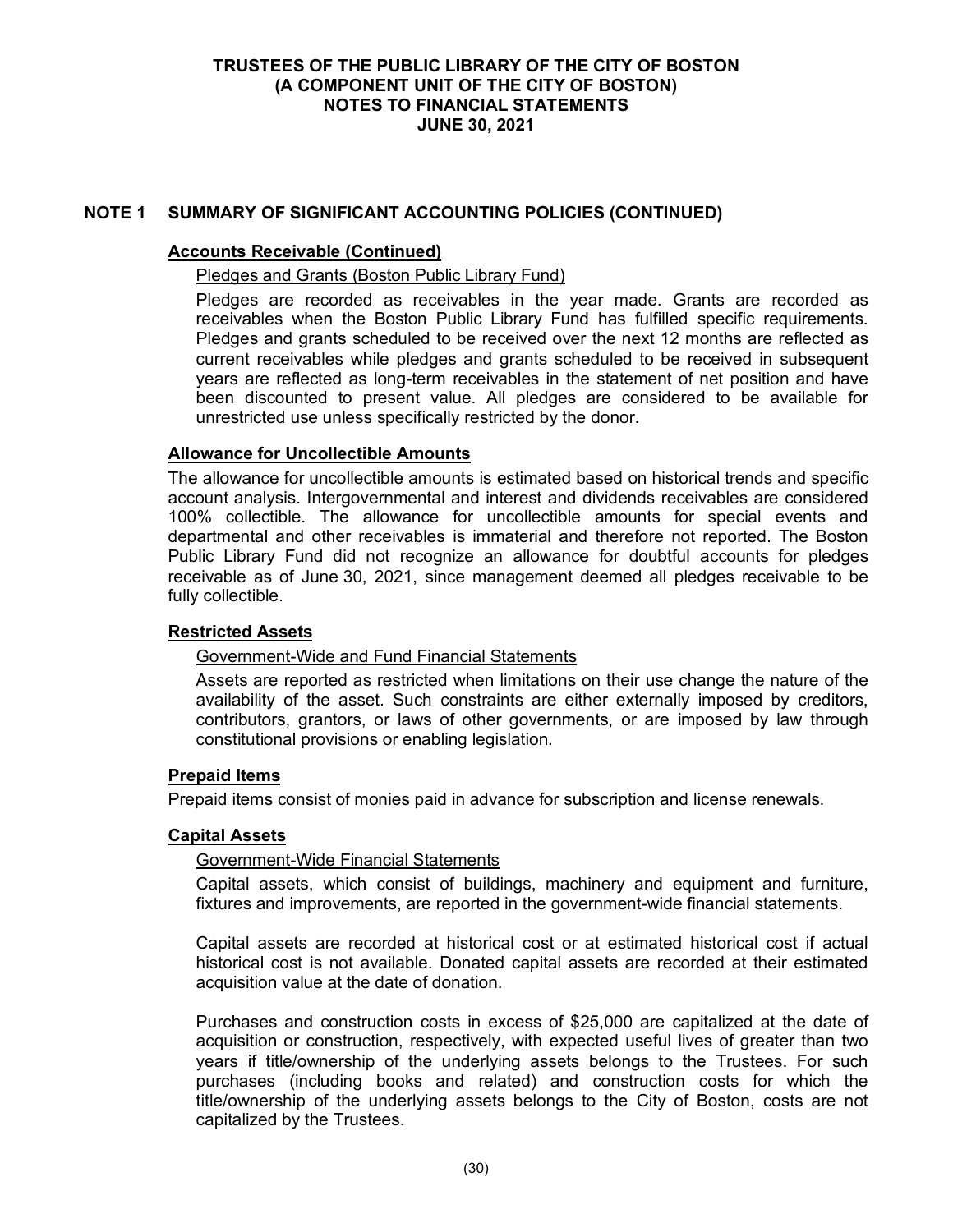# **NOTE 1 SUMMARY OF SIGNIFICANT ACCOUNTING POLICIES (CONTINUED)**

## **Accounts Receivable (Continued)**

### Pledges and Grants (Boston Public Library Fund)

Pledges are recorded as receivables in the year made. Grants are recorded as receivables when the Boston Public Library Fund has fulfilled specific requirements. Pledges and grants scheduled to be received over the next 12 months are reflected as current receivables while pledges and grants scheduled to be received in subsequent years are reflected as long-term receivables in the statement of net position and have been discounted to present value. All pledges are considered to be available for unrestricted use unless specifically restricted by the donor.

### **Allowance for Uncollectible Amounts**

The allowance for uncollectible amounts is estimated based on historical trends and specific account analysis. Intergovernmental and interest and dividends receivables are considered 100% collectible. The allowance for uncollectible amounts for special events and departmental and other receivables is immaterial and therefore not reported. The Boston Public Library Fund did not recognize an allowance for doubtful accounts for pledges receivable as of June 30, 2021, since management deemed all pledges receivable to be fully collectible.

## **Restricted Assets**

#### Government-Wide and Fund Financial Statements

Assets are reported as restricted when limitations on their use change the nature of the availability of the asset. Such constraints are either externally imposed by creditors, contributors, grantors, or laws of other governments, or are imposed by law through constitutional provisions or enabling legislation.

#### **Prepaid Items**

Prepaid items consist of monies paid in advance for subscription and license renewals.

#### **Capital Assets**

## Government-Wide Financial Statements

Capital assets, which consist of buildings, machinery and equipment and furniture, fixtures and improvements, are reported in the government-wide financial statements.

Capital assets are recorded at historical cost or at estimated historical cost if actual historical cost is not available. Donated capital assets are recorded at their estimated acquisition value at the date of donation.

Purchases and construction costs in excess of \$25,000 are capitalized at the date of acquisition or construction, respectively, with expected useful lives of greater than two years if title/ownership of the underlying assets belongs to the Trustees. For such purchases (including books and related) and construction costs for which the title/ownership of the underlying assets belongs to the City of Boston, costs are not capitalized by the Trustees.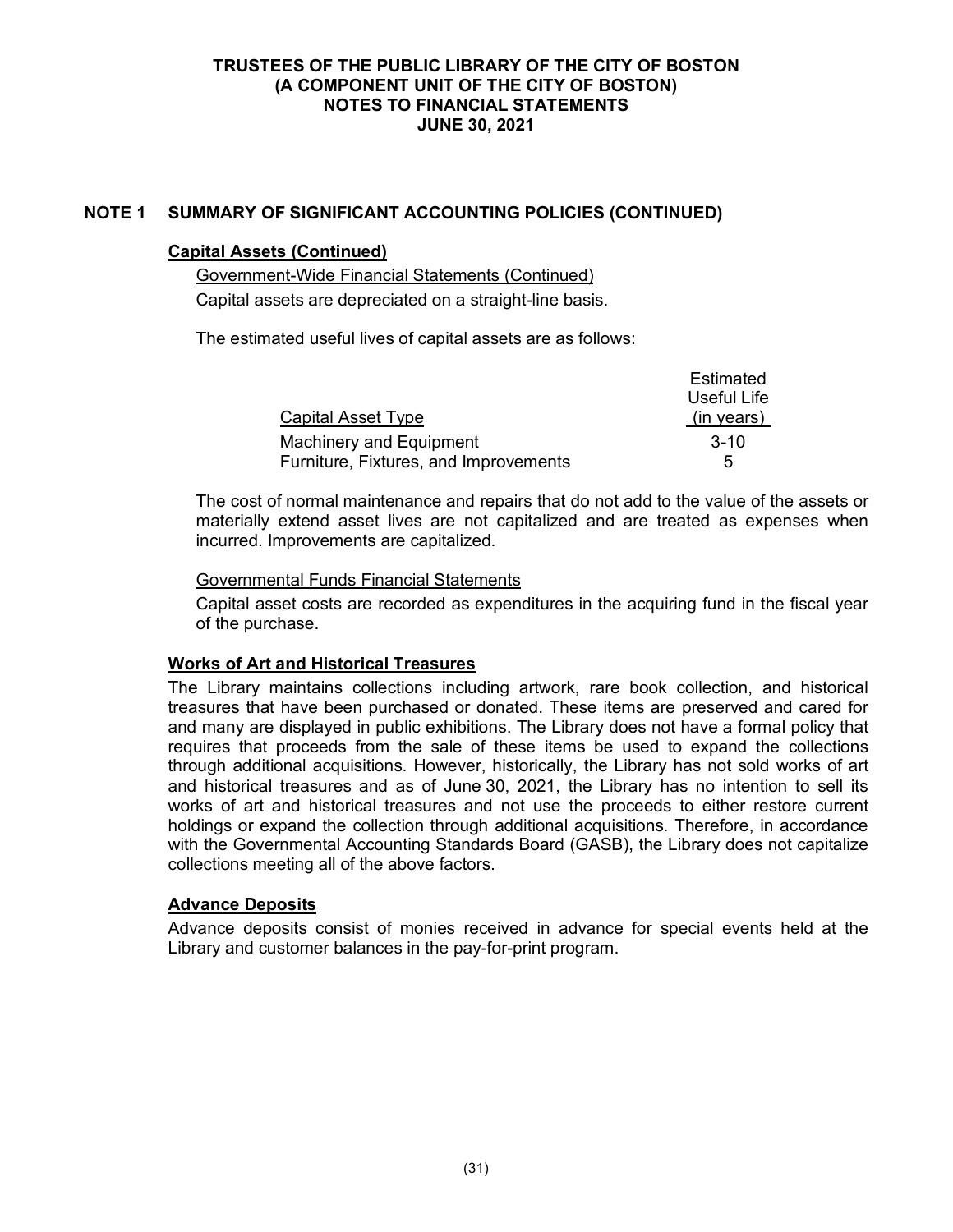# **NOTE 1 SUMMARY OF SIGNIFICANT ACCOUNTING POLICIES (CONTINUED)**

# **Capital Assets (Continued)**

Government-Wide Financial Statements (Continued) Capital assets are depreciated on a straight-line basis.

The estimated useful lives of capital assets are as follows:

|                                       | Estimated   |
|---------------------------------------|-------------|
|                                       | Useful Life |
| Capital Asset Type                    | (in years)  |
| Machinery and Equipment               | $3 - 10$    |
| Furniture, Fixtures, and Improvements | 5           |

The cost of normal maintenance and repairs that do not add to the value of the assets or materially extend asset lives are not capitalized and are treated as expenses when incurred. Improvements are capitalized.

## Governmental Funds Financial Statements

Capital asset costs are recorded as expenditures in the acquiring fund in the fiscal year of the purchase.

## **Works of Art and Historical Treasures**

The Library maintains collections including artwork, rare book collection, and historical treasures that have been purchased or donated. These items are preserved and cared for and many are displayed in public exhibitions. The Library does not have a formal policy that requires that proceeds from the sale of these items be used to expand the collections through additional acquisitions. However, historically, the Library has not sold works of art and historical treasures and as of June 30, 2021, the Library has no intention to sell its works of art and historical treasures and not use the proceeds to either restore current holdings or expand the collection through additional acquisitions. Therefore, in accordance with the Governmental Accounting Standards Board (GASB), the Library does not capitalize collections meeting all of the above factors.

## **Advance Deposits**

Advance deposits consist of monies received in advance for special events held at the Library and customer balances in the pay-for-print program.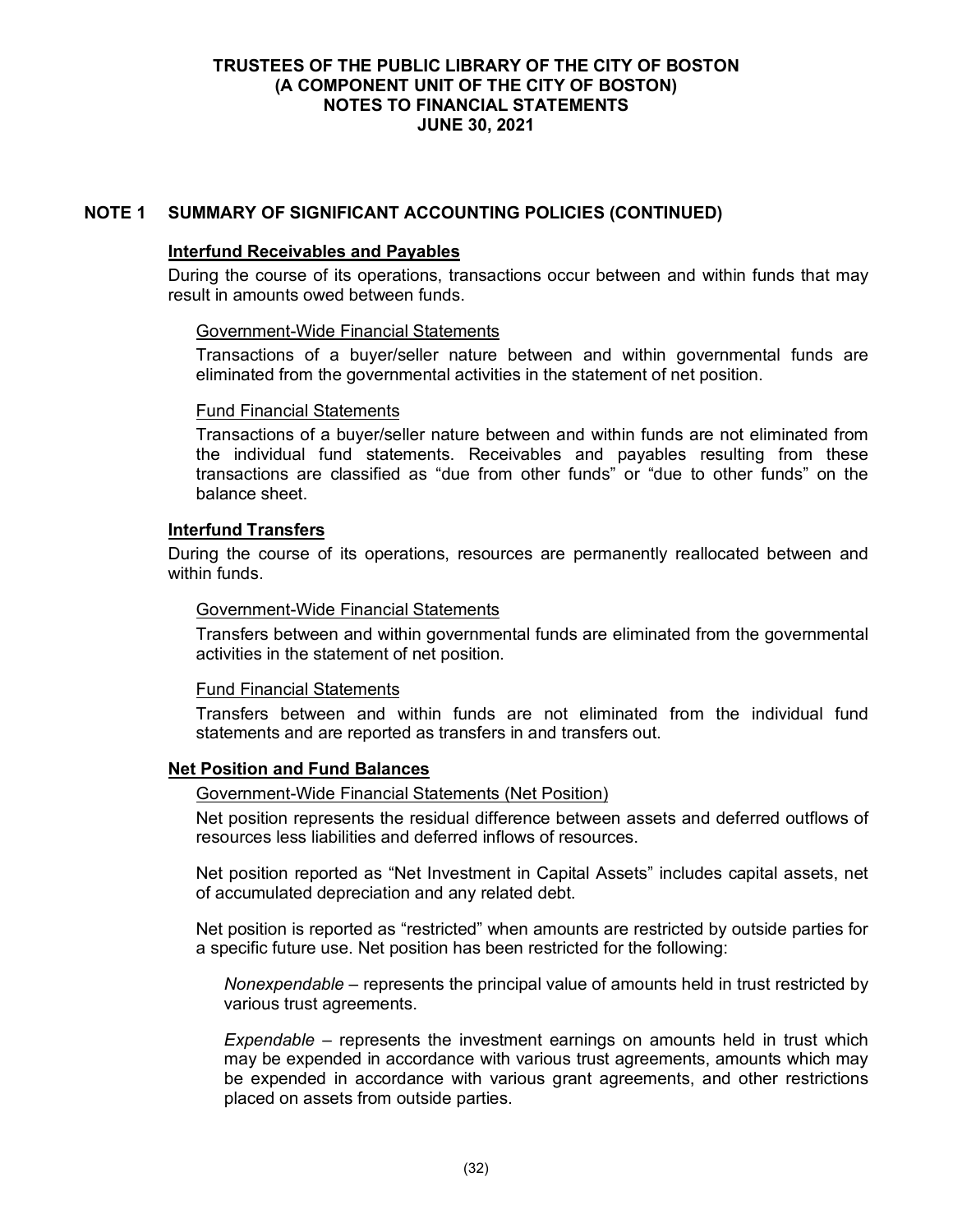## **NOTE 1 SUMMARY OF SIGNIFICANT ACCOUNTING POLICIES (CONTINUED)**

### **Interfund Receivables and Payables**

During the course of its operations, transactions occur between and within funds that may result in amounts owed between funds.

### Government-Wide Financial Statements

Transactions of a buyer/seller nature between and within governmental funds are eliminated from the governmental activities in the statement of net position.

### Fund Financial Statements

Transactions of a buyer/seller nature between and within funds are not eliminated from the individual fund statements. Receivables and payables resulting from these transactions are classified as "due from other funds" or "due to other funds" on the balance sheet.

### **Interfund Transfers**

During the course of its operations, resources are permanently reallocated between and within funds.

### Government-Wide Financial Statements

Transfers between and within governmental funds are eliminated from the governmental activities in the statement of net position.

## Fund Financial Statements

Transfers between and within funds are not eliminated from the individual fund statements and are reported as transfers in and transfers out.

## **Net Position and Fund Balances**

Government-Wide Financial Statements (Net Position)

Net position represents the residual difference between assets and deferred outflows of resources less liabilities and deferred inflows of resources.

Net position reported as "Net Investment in Capital Assets" includes capital assets, net of accumulated depreciation and any related debt.

Net position is reported as "restricted" when amounts are restricted by outside parties for a specific future use. Net position has been restricted for the following:

*Nonexpendable* – represents the principal value of amounts held in trust restricted by various trust agreements.

*Expendable* – represents the investment earnings on amounts held in trust which may be expended in accordance with various trust agreements, amounts which may be expended in accordance with various grant agreements, and other restrictions placed on assets from outside parties.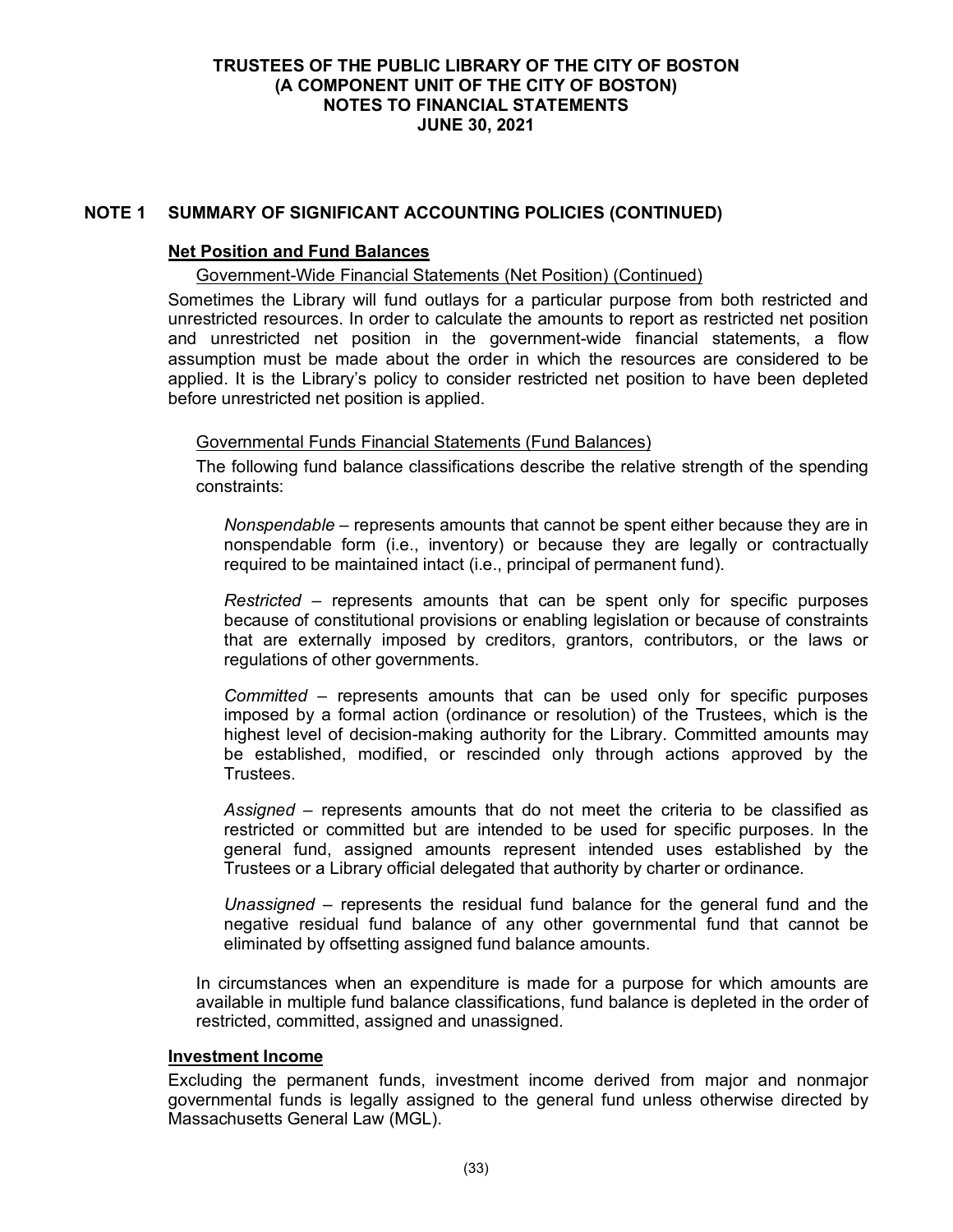# **NOTE 1 SUMMARY OF SIGNIFICANT ACCOUNTING POLICIES (CONTINUED)**

### **Net Position and Fund Balances**

Government-Wide Financial Statements (Net Position) (Continued)

Sometimes the Library will fund outlays for a particular purpose from both restricted and unrestricted resources. In order to calculate the amounts to report as restricted net position and unrestricted net position in the government-wide financial statements, a flow assumption must be made about the order in which the resources are considered to be applied. It is the Library's policy to consider restricted net position to have been depleted before unrestricted net position is applied.

### Governmental Funds Financial Statements (Fund Balances)

The following fund balance classifications describe the relative strength of the spending constraints:

*Nonspendable* – represents amounts that cannot be spent either because they are in nonspendable form (i.e., inventory) or because they are legally or contractually required to be maintained intact (i.e., principal of permanent fund).

*Restricted* – represents amounts that can be spent only for specific purposes because of constitutional provisions or enabling legislation or because of constraints that are externally imposed by creditors, grantors, contributors, or the laws or regulations of other governments.

*Committed* – represents amounts that can be used only for specific purposes imposed by a formal action (ordinance or resolution) of the Trustees, which is the highest level of decision-making authority for the Library. Committed amounts may be established, modified, or rescinded only through actions approved by the **Trustees** 

*Assigned* – represents amounts that do not meet the criteria to be classified as restricted or committed but are intended to be used for specific purposes. In the general fund, assigned amounts represent intended uses established by the Trustees or a Library official delegated that authority by charter or ordinance.

*Unassigned* – represents the residual fund balance for the general fund and the negative residual fund balance of any other governmental fund that cannot be eliminated by offsetting assigned fund balance amounts.

In circumstances when an expenditure is made for a purpose for which amounts are available in multiple fund balance classifications, fund balance is depleted in the order of restricted, committed, assigned and unassigned.

#### **Investment Income**

Excluding the permanent funds, investment income derived from major and nonmajor governmental funds is legally assigned to the general fund unless otherwise directed by Massachusetts General Law (MGL).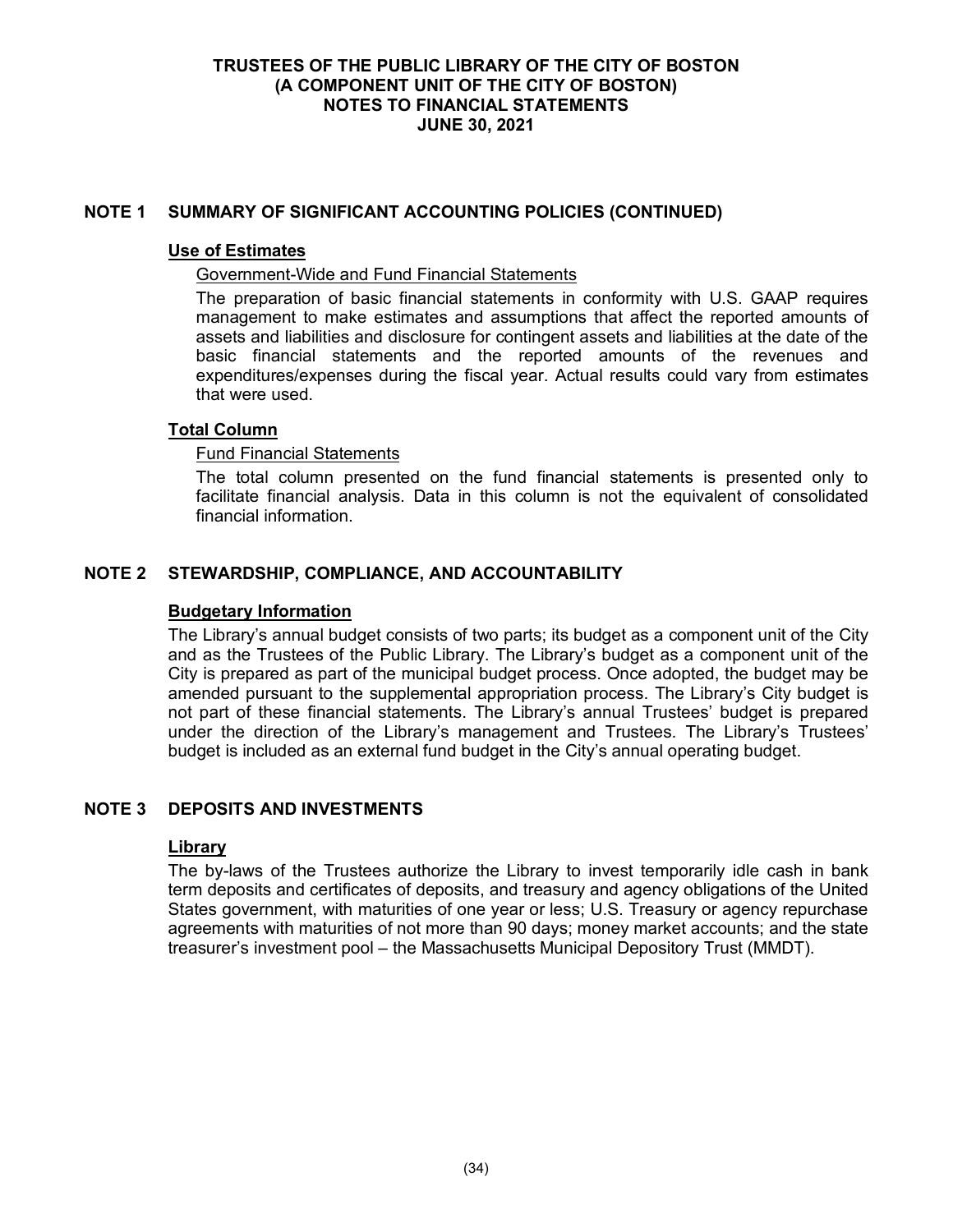# **NOTE 1 SUMMARY OF SIGNIFICANT ACCOUNTING POLICIES (CONTINUED)**

### **Use of Estimates**

Government-Wide and Fund Financial Statements

The preparation of basic financial statements in conformity with U.S. GAAP requires management to make estimates and assumptions that affect the reported amounts of assets and liabilities and disclosure for contingent assets and liabilities at the date of the basic financial statements and the reported amounts of the revenues and expenditures/expenses during the fiscal year. Actual results could vary from estimates that were used.

### **Total Column**

Fund Financial Statements

The total column presented on the fund financial statements is presented only to facilitate financial analysis. Data in this column is not the equivalent of consolidated financial information.

## **NOTE 2 STEWARDSHIP, COMPLIANCE, AND ACCOUNTABILITY**

#### **Budgetary Information**

The Library's annual budget consists of two parts; its budget as a component unit of the City and as the Trustees of the Public Library. The Library's budget as a component unit of the City is prepared as part of the municipal budget process. Once adopted, the budget may be amended pursuant to the supplemental appropriation process. The Library's City budget is not part of these financial statements. The Library's annual Trustees' budget is prepared under the direction of the Library's management and Trustees. The Library's Trustees' budget is included as an external fund budget in the City's annual operating budget.

## **NOTE 3 DEPOSITS AND INVESTMENTS**

### **Library**

The by-laws of the Trustees authorize the Library to invest temporarily idle cash in bank term deposits and certificates of deposits, and treasury and agency obligations of the United States government, with maturities of one year or less; U.S. Treasury or agency repurchase agreements with maturities of not more than 90 days; money market accounts; and the state treasurer's investment pool – the Massachusetts Municipal Depository Trust (MMDT).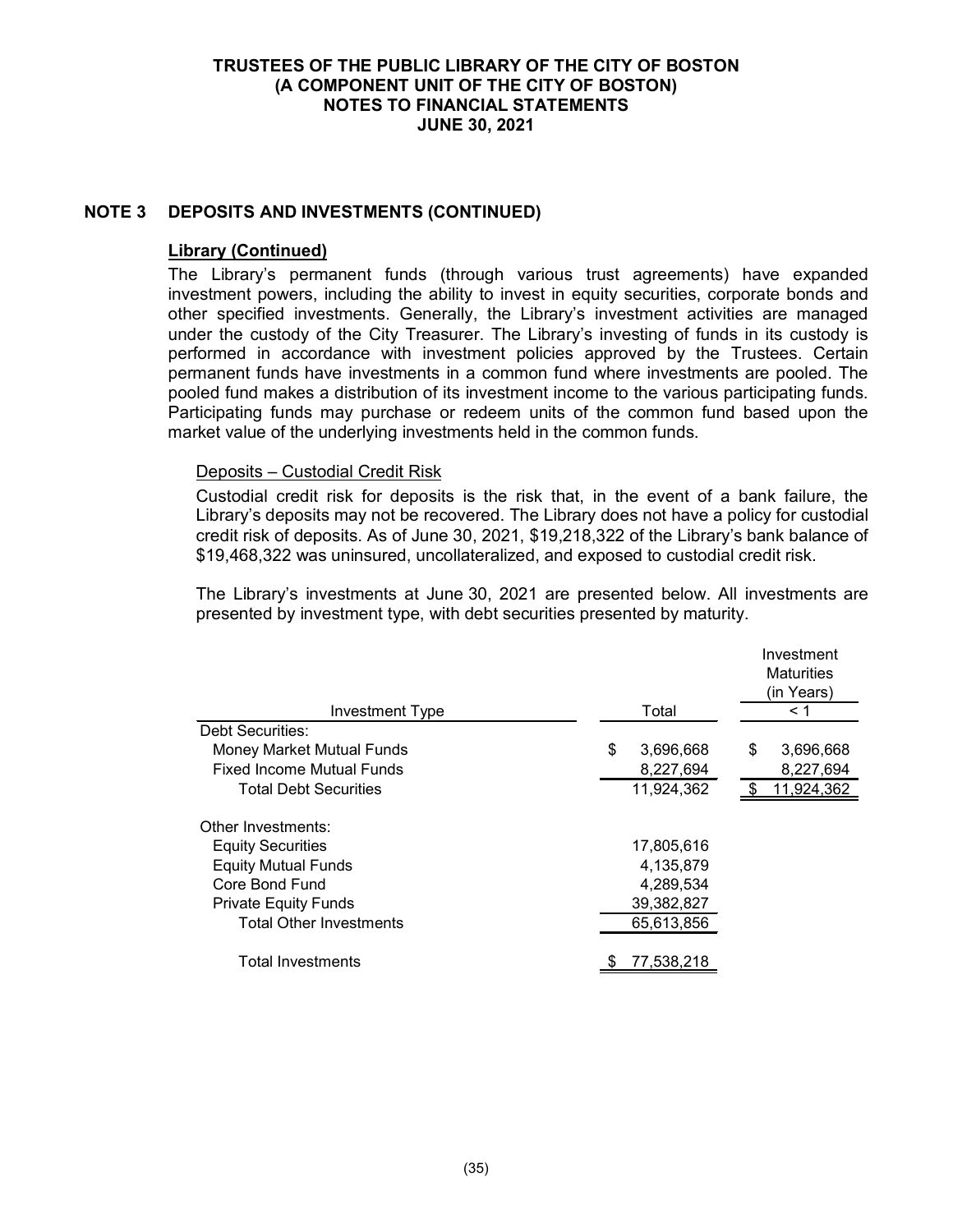# **NOTE 3 DEPOSITS AND INVESTMENTS (CONTINUED)**

## **Library (Continued)**

The Library's permanent funds (through various trust agreements) have expanded investment powers, including the ability to invest in equity securities, corporate bonds and other specified investments. Generally, the Library's investment activities are managed under the custody of the City Treasurer. The Library's investing of funds in its custody is performed in accordance with investment policies approved by the Trustees. Certain permanent funds have investments in a common fund where investments are pooled. The pooled fund makes a distribution of its investment income to the various participating funds. Participating funds may purchase or redeem units of the common fund based upon the market value of the underlying investments held in the common funds.

### Deposits – Custodial Credit Risk

Custodial credit risk for deposits is the risk that, in the event of a bank failure, the Library's deposits may not be recovered. The Library does not have a policy for custodial credit risk of deposits. As of June 30, 2021, \$19,218,322 of the Library's bank balance of \$19,468,322 was uninsured, uncollateralized, and exposed to custodial credit risk.

The Library's investments at June 30, 2021 are presented below. All investments are presented by investment type, with debt securities presented by maturity.

|                                  |                 | Investment<br>Maturities<br>(in Years) |
|----------------------------------|-----------------|----------------------------------------|
| Investment Type                  | Total           | < 1                                    |
| Debt Securities:                 |                 |                                        |
| <b>Money Market Mutual Funds</b> | \$<br>3,696,668 | 3,696,668<br>S                         |
| <b>Fixed Income Mutual Funds</b> | 8,227,694       | 8,227,694                              |
| <b>Total Debt Securities</b>     | 11,924,362      | 11,924,362                             |
| Other Investments:               |                 |                                        |
| <b>Equity Securities</b>         | 17,805,616      |                                        |
| <b>Equity Mutual Funds</b>       | 4,135,879       |                                        |
| Core Bond Fund                   | 4,289,534       |                                        |
| <b>Private Equity Funds</b>      | 39,382,827      |                                        |
| <b>Total Other Investments</b>   | 65,613,856      |                                        |
| Total Investments                | 77.538.218      |                                        |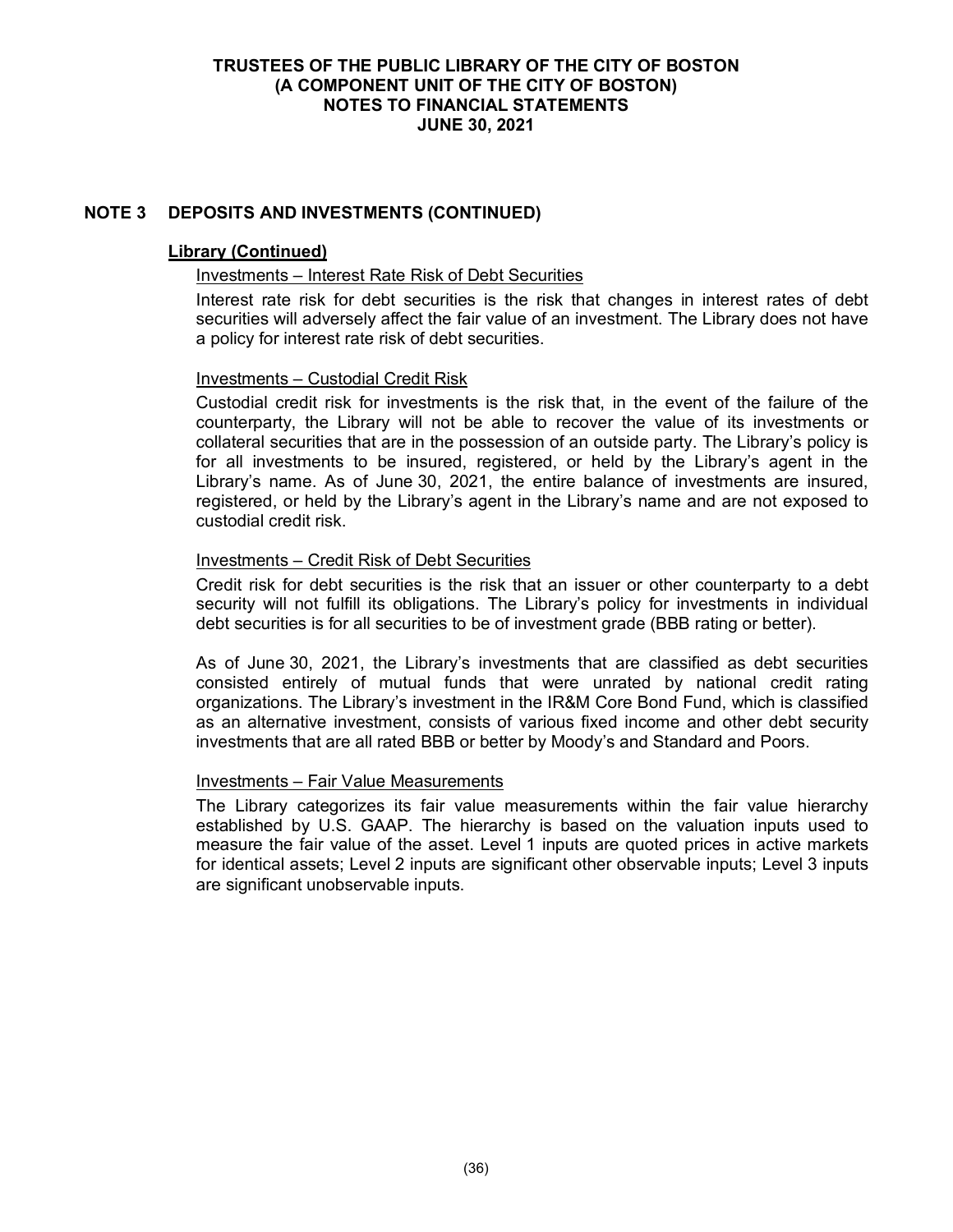# **NOTE 3 DEPOSITS AND INVESTMENTS (CONTINUED)**

## **Library (Continued)**

#### Investments – Interest Rate Risk of Debt Securities

Interest rate risk for debt securities is the risk that changes in interest rates of debt securities will adversely affect the fair value of an investment. The Library does not have a policy for interest rate risk of debt securities.

#### Investments – Custodial Credit Risk

Custodial credit risk for investments is the risk that, in the event of the failure of the counterparty, the Library will not be able to recover the value of its investments or collateral securities that are in the possession of an outside party. The Library's policy is for all investments to be insured, registered, or held by the Library's agent in the Library's name. As of June 30, 2021, the entire balance of investments are insured, registered, or held by the Library's agent in the Library's name and are not exposed to custodial credit risk.

### Investments – Credit Risk of Debt Securities

Credit risk for debt securities is the risk that an issuer or other counterparty to a debt security will not fulfill its obligations. The Library's policy for investments in individual debt securities is for all securities to be of investment grade (BBB rating or better).

As of June 30, 2021, the Library's investments that are classified as debt securities consisted entirely of mutual funds that were unrated by national credit rating organizations. The Library's investment in the IR&M Core Bond Fund, which is classified as an alternative investment, consists of various fixed income and other debt security investments that are all rated BBB or better by Moody's and Standard and Poors.

#### Investments – Fair Value Measurements

The Library categorizes its fair value measurements within the fair value hierarchy established by U.S. GAAP. The hierarchy is based on the valuation inputs used to measure the fair value of the asset. Level 1 inputs are quoted prices in active markets for identical assets; Level 2 inputs are significant other observable inputs; Level 3 inputs are significant unobservable inputs.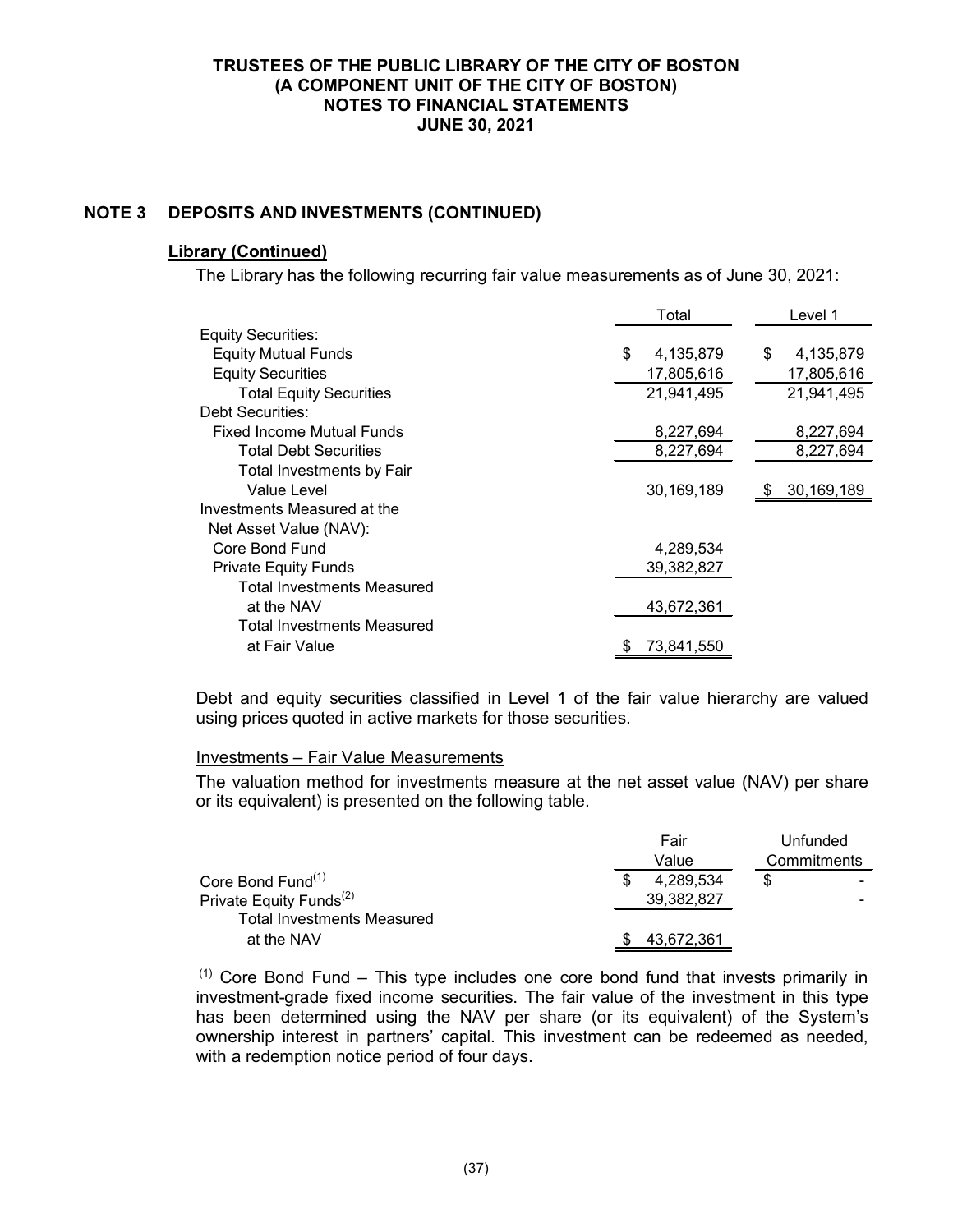## **NOTE 3 DEPOSITS AND INVESTMENTS (CONTINUED)**

## **Library (Continued)**

The Library has the following recurring fair value measurements as of June 30, 2021:

|                                   | Total           |     |            |
|-----------------------------------|-----------------|-----|------------|
| <b>Equity Securities:</b>         |                 |     |            |
| <b>Equity Mutual Funds</b>        | \$<br>4,135,879 | \$. | 4,135,879  |
| <b>Equity Securities</b>          | 17,805,616      |     | 17,805,616 |
| <b>Total Equity Securities</b>    | 21,941,495      |     | 21,941,495 |
| Debt Securities:                  |                 |     |            |
| <b>Fixed Income Mutual Funds</b>  | 8,227,694       |     | 8,227,694  |
| <b>Total Debt Securities</b>      | 8,227,694       |     | 8,227,694  |
| Total Investments by Fair         |                 |     |            |
| Value Level                       | 30,169,189      |     | 30,169,189 |
| Investments Measured at the       |                 |     |            |
| Net Asset Value (NAV):            |                 |     |            |
| Core Bond Fund                    | 4,289,534       |     |            |
| <b>Private Equity Funds</b>       | 39,382,827      |     |            |
| <b>Total Investments Measured</b> |                 |     |            |
| at the NAV                        | 43,672,361      |     |            |
| <b>Total Investments Measured</b> |                 |     |            |
| at Fair Value                     | 73,841,550      |     |            |

Debt and equity securities classified in Level 1 of the fair value hierarchy are valued using prices quoted in active markets for those securities.

#### Investments – Fair Value Measurements

The valuation method for investments measure at the net asset value (NAV) per share or its equivalent) is presented on the following table.

|                                     | Fair       | Unfunded    |  |
|-------------------------------------|------------|-------------|--|
|                                     | Value      | Commitments |  |
| Core Bond Fund <sup>(1)</sup>       | 4.289.534  |             |  |
| Private Equity Funds <sup>(2)</sup> | 39,382,827 |             |  |
| <b>Total Investments Measured</b>   |            |             |  |
| at the NAV                          | 43.672.361 |             |  |

 $(1)$  Core Bond Fund – This type includes one core bond fund that invests primarily in investment-grade fixed income securities. The fair value of the investment in this type has been determined using the NAV per share (or its equivalent) of the System's ownership interest in partners' capital. This investment can be redeemed as needed, with a redemption notice period of four days.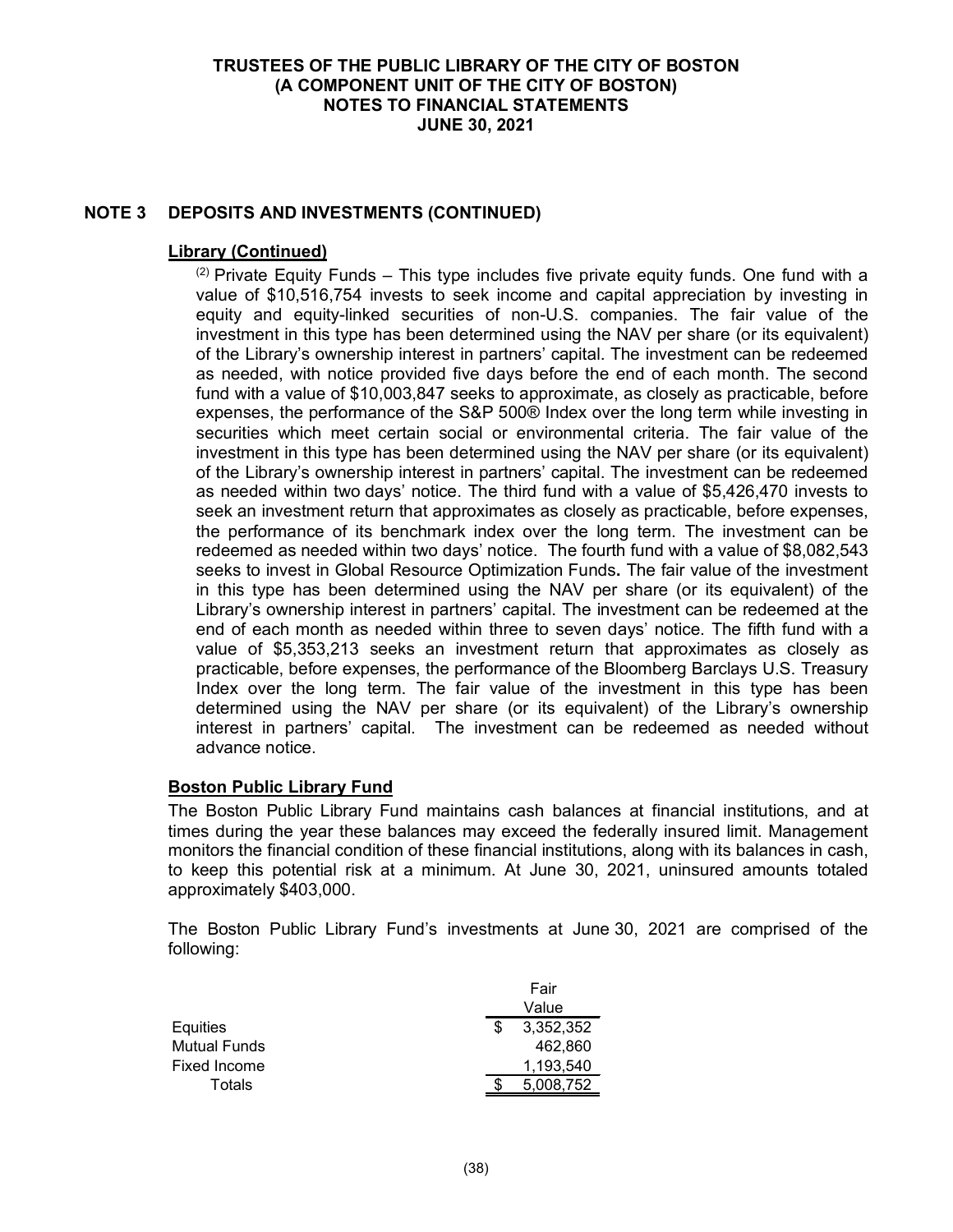## **NOTE 3 DEPOSITS AND INVESTMENTS (CONTINUED)**

## **Library (Continued)**

 $(2)$  Private Equity Funds – This type includes five private equity funds. One fund with a value of \$10,516,754 invests to seek income and capital appreciation by investing in equity and equity-linked securities of non-U.S. companies. The fair value of the investment in this type has been determined using the NAV per share (or its equivalent) of the Library's ownership interest in partners' capital. The investment can be redeemed as needed, with notice provided five days before the end of each month. The second fund with a value of \$10,003,847 seeks to approximate, as closely as practicable, before expenses, the performance of the S&P 500® Index over the long term while investing in securities which meet certain social or environmental criteria. The fair value of the investment in this type has been determined using the NAV per share (or its equivalent) of the Library's ownership interest in partners' capital. The investment can be redeemed as needed within two days' notice. The third fund with a value of \$5,426,470 invests to seek an investment return that approximates as closely as practicable, before expenses, the performance of its benchmark index over the long term. The investment can be redeemed as needed within two days' notice. The fourth fund with a value of \$8,082,543 seeks to invest in Global Resource Optimization Funds**.** The fair value of the investment in this type has been determined using the NAV per share (or its equivalent) of the Library's ownership interest in partners' capital. The investment can be redeemed at the end of each month as needed within three to seven days' notice. The fifth fund with a value of \$5,353,213 seeks an investment return that approximates as closely as practicable, before expenses, the performance of the Bloomberg Barclays U.S. Treasury Index over the long term. The fair value of the investment in this type has been determined using the NAV per share (or its equivalent) of the Library's ownership interest in partners' capital. The investment can be redeemed as needed without advance notice.

## **Boston Public Library Fund**

The Boston Public Library Fund maintains cash balances at financial institutions, and at times during the year these balances may exceed the federally insured limit. Management monitors the financial condition of these financial institutions, along with its balances in cash, to keep this potential risk at a minimum. At June 30, 2021, uninsured amounts totaled approximately \$403,000.

The Boston Public Library Fund's investments at June 30, 2021 are comprised of the following:

|                     | Fair  |           |  |  |
|---------------------|-------|-----------|--|--|
|                     | Value |           |  |  |
| Equities            |       | 3,352,352 |  |  |
| <b>Mutual Funds</b> |       | 462.860   |  |  |
| Fixed Income        |       | 1,193,540 |  |  |
| Totals              |       | 5.008.752 |  |  |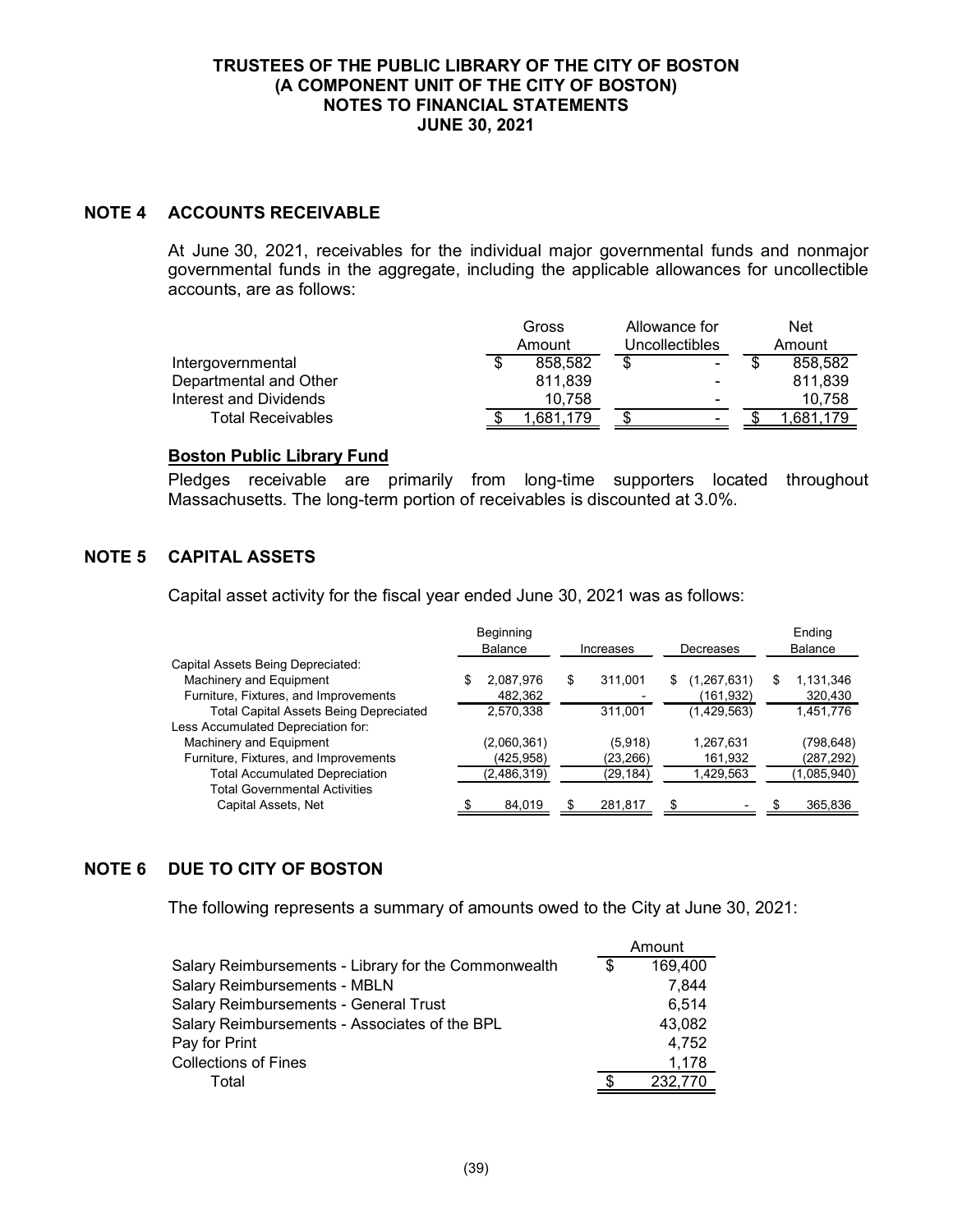### **NOTE 4 ACCOUNTS RECEIVABLE**

At June 30, 2021, receivables for the individual major governmental funds and nonmajor governmental funds in the aggregate, including the applicable allowances for uncollectible accounts, are as follows:

|                          | Gross |          | Allowance for  | <b>Net</b> |          |  |
|--------------------------|-------|----------|----------------|------------|----------|--|
|                          |       | Amount   | Uncollectibles | Amount     |          |  |
| Intergovernmental        |       | 858.582  | $\blacksquare$ |            | 858.582  |  |
| Departmental and Other   |       | 811.839  | -              |            | 811,839  |  |
| Interest and Dividends   |       | 10.758   | -              |            | 10.758   |  |
| <b>Total Receivables</b> |       | .681.179 | -              |            | .681.179 |  |

#### **Boston Public Library Fund**

Pledges receivable are primarily from long-time supporters located throughout Massachusetts. The long-term portion of receivables is discounted at 3.0%.

# **NOTE 5 CAPITAL ASSETS**

Capital asset activity for the fiscal year ended June 30, 2021 was as follows:

|                                               | Beginning<br>Balance |             |   | Increases | Decreases         |   | Ending<br><b>Balance</b> |
|-----------------------------------------------|----------------------|-------------|---|-----------|-------------------|---|--------------------------|
| Capital Assets Being Depreciated:             |                      |             |   |           |                   |   |                          |
| Machinery and Equipment                       |                      | 2,087,976   | S | 311.001   | \$<br>(1,267,631) | S | 1,131,346                |
| Furniture, Fixtures, and Improvements         |                      | 482,362     |   |           | (161,932)         |   | 320,430                  |
| <b>Total Capital Assets Being Depreciated</b> |                      | 2.570.338   |   | 311.001   | (1,429,563)       |   | 1,451,776                |
| Less Accumulated Depreciation for:            |                      |             |   |           |                   |   |                          |
| Machinery and Equipment                       |                      | (2,060,361) |   | (5,918)   | 1,267,631         |   | (798, 648)               |
| Furniture, Fixtures, and Improvements         |                      | (425,958)   |   | (23, 266) | 161,932           |   | (287,292)                |
| <b>Total Accumulated Depreciation</b>         |                      | (2,486,319) |   | (29, 184) | 1,429,563         |   | (1,085,940)              |
| <b>Total Governmental Activities</b>          |                      |             |   |           |                   |   |                          |
| Capital Assets, Net                           |                      | 84,019      |   | 281,817   | \$                |   | 365,836                  |

## **NOTE 6 DUE TO CITY OF BOSTON**

The following represents a summary of amounts owed to the City at June 30, 2021:

|                                                      |     | Amount  |
|------------------------------------------------------|-----|---------|
| Salary Reimbursements - Library for the Commonwealth | \$. | 169,400 |
| <b>Salary Reimbursements - MBLN</b>                  |     | 7.844   |
| Salary Reimbursements - General Trust                |     | 6,514   |
| Salary Reimbursements - Associates of the BPL        |     | 43,082  |
| Pay for Print                                        |     | 4.752   |
| Collections of Fines                                 |     | 1,178   |
| Total                                                |     | 232,770 |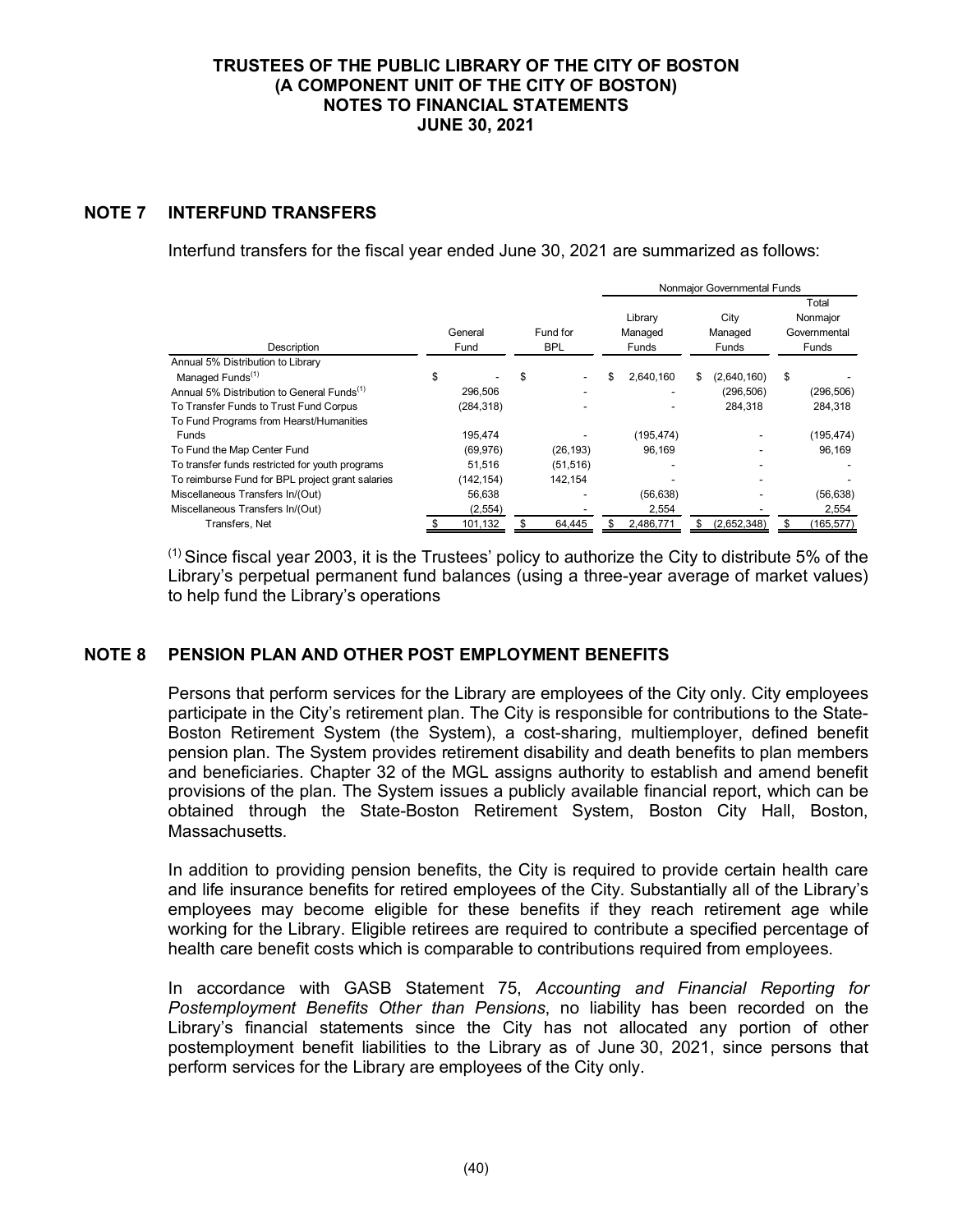# **NOTE 7 INTERFUND TRANSFERS**

Interfund transfers for the fiscal year ended June 30, 2021 are summarized as follows:

|                                                        |                 |                        | Nonmajor Governmental Funds |            |                          |             |    |                                            |
|--------------------------------------------------------|-----------------|------------------------|-----------------------------|------------|--------------------------|-------------|----|--------------------------------------------|
| Description                                            | General<br>Fund | Fund for<br><b>BPL</b> | Library<br>Managed<br>Funds |            | City<br>Managed<br>Funds |             |    | Total<br>Nonmajor<br>Governmental<br>Funds |
| Annual 5% Distribution to Library                      |                 |                        |                             |            |                          |             |    |                                            |
| Managed Funds <sup>(1)</sup>                           | \$              | \$                     |                             | 2,640,160  | S                        | (2,640,160) | \$ |                                            |
| Annual 5% Distribution to General Funds <sup>(1)</sup> | 296.506         |                        |                             |            |                          | (296, 506)  |    | (296, 506)                                 |
| To Transfer Funds to Trust Fund Corpus                 | (284, 318)      |                        |                             |            |                          | 284.318     |    | 284,318                                    |
| To Fund Programs from Hearst/Humanities                |                 |                        |                             |            |                          |             |    |                                            |
| Funds                                                  | 195.474         |                        |                             | (195, 474) |                          |             |    | (195, 474)                                 |
| To Fund the Map Center Fund                            | (69, 976)       | (26, 193)              |                             | 96,169     |                          |             |    | 96,169                                     |
| To transfer funds restricted for youth programs        | 51,516          | (51, 516)              |                             |            |                          |             |    |                                            |
| To reimburse Fund for BPL project grant salaries       | (142,154)       | 142,154                |                             |            |                          |             |    |                                            |
| Miscellaneous Transfers In/(Out)                       | 56,638          |                        |                             | (56, 638)  |                          |             |    | (56, 638)                                  |
| Miscellaneous Transfers In/(Out)                       | (2,554)         |                        |                             | 2,554      |                          |             |    | 2,554                                      |
| Transfers, Net                                         | 101,132         | 64,445                 |                             | 2,486,771  | S                        | (2,652,348) |    | (165, 577)                                 |

 $(1)$  Since fiscal year 2003, it is the Trustees' policy to authorize the City to distribute 5% of the Library's perpetual permanent fund balances (using a three-year average of market values) to help fund the Library's operations

## **NOTE 8 PENSION PLAN AND OTHER POST EMPLOYMENT BENEFITS**

Persons that perform services for the Library are employees of the City only. City employees participate in the City's retirement plan. The City is responsible for contributions to the State-Boston Retirement System (the System), a cost-sharing, multiemployer, defined benefit pension plan. The System provides retirement disability and death benefits to plan members and beneficiaries. Chapter 32 of the MGL assigns authority to establish and amend benefit provisions of the plan. The System issues a publicly available financial report, which can be obtained through the State-Boston Retirement System, Boston City Hall, Boston, Massachusetts.

In addition to providing pension benefits, the City is required to provide certain health care and life insurance benefits for retired employees of the City. Substantially all of the Library's employees may become eligible for these benefits if they reach retirement age while working for the Library. Eligible retirees are required to contribute a specified percentage of health care benefit costs which is comparable to contributions required from employees.

In accordance with GASB Statement 75, *Accounting and Financial Reporting for Postemployment Benefits Other than Pensions*, no liability has been recorded on the Library's financial statements since the City has not allocated any portion of other postemployment benefit liabilities to the Library as of June 30, 2021, since persons that perform services for the Library are employees of the City only.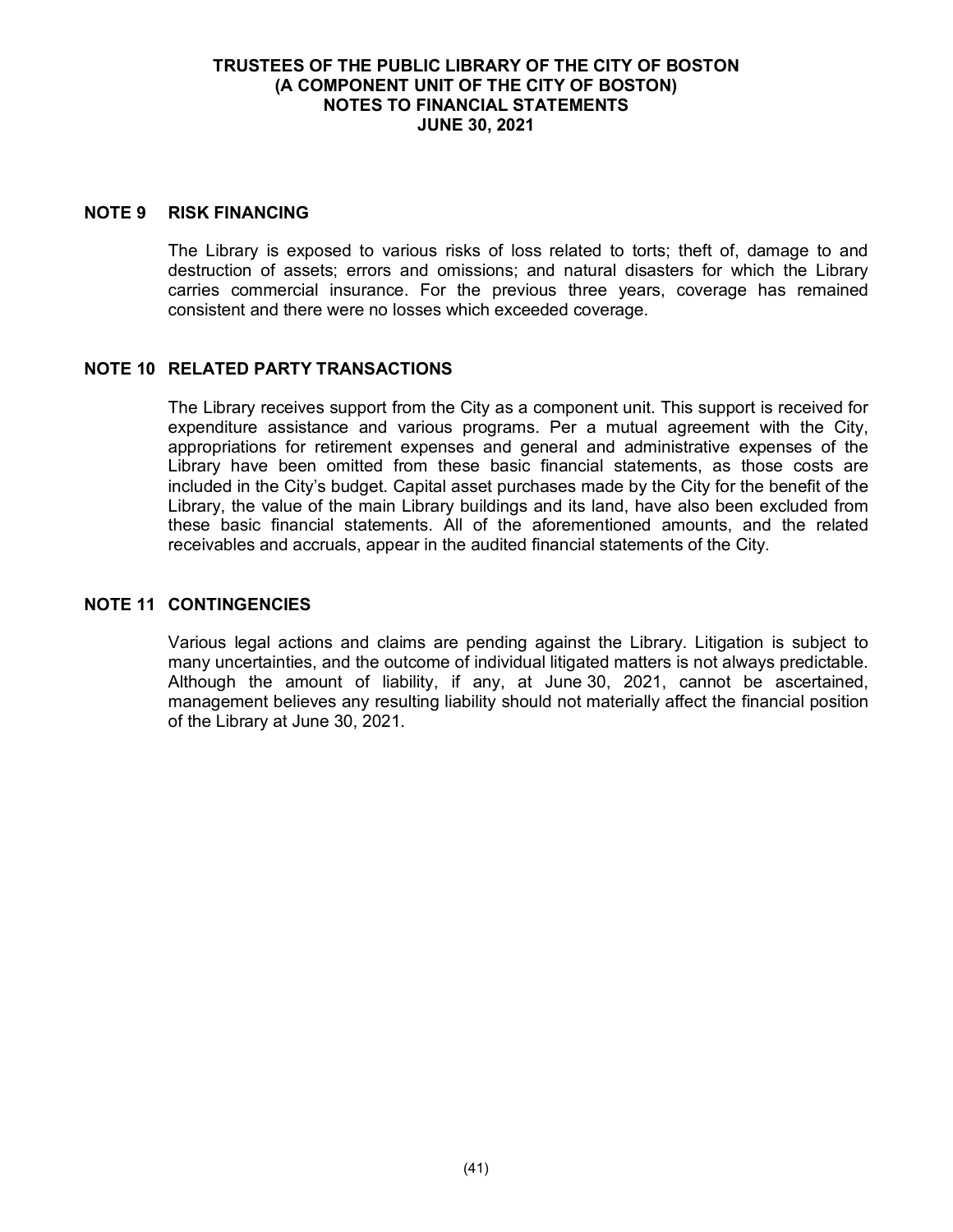#### **NOTE 9 RISK FINANCING**

The Library is exposed to various risks of loss related to torts; theft of, damage to and destruction of assets; errors and omissions; and natural disasters for which the Library carries commercial insurance. For the previous three years, coverage has remained consistent and there were no losses which exceeded coverage.

#### **NOTE 10 RELATED PARTY TRANSACTIONS**

The Library receives support from the City as a component unit. This support is received for expenditure assistance and various programs. Per a mutual agreement with the City, appropriations for retirement expenses and general and administrative expenses of the Library have been omitted from these basic financial statements, as those costs are included in the City's budget. Capital asset purchases made by the City for the benefit of the Library, the value of the main Library buildings and its land, have also been excluded from these basic financial statements. All of the aforementioned amounts, and the related receivables and accruals, appear in the audited financial statements of the City.

### **NOTE 11 CONTINGENCIES**

Various legal actions and claims are pending against the Library. Litigation is subject to many uncertainties, and the outcome of individual litigated matters is not always predictable. Although the amount of liability, if any, at June 30, 2021, cannot be ascertained, management believes any resulting liability should not materially affect the financial position of the Library at June 30, 2021.